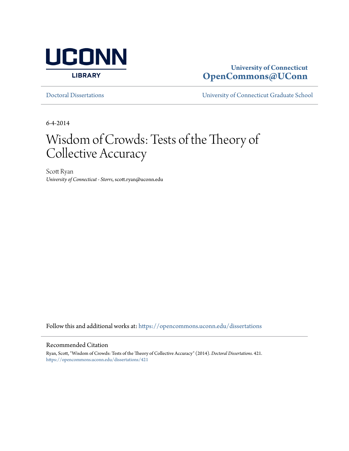

# **University of Connecticut [OpenCommons@UConn](https://opencommons.uconn.edu?utm_source=opencommons.uconn.edu%2Fdissertations%2F421&utm_medium=PDF&utm_campaign=PDFCoverPages)**

[Doctoral Dissertations](https://opencommons.uconn.edu/dissertations?utm_source=opencommons.uconn.edu%2Fdissertations%2F421&utm_medium=PDF&utm_campaign=PDFCoverPages) [University of Connecticut Graduate School](https://opencommons.uconn.edu/gs?utm_source=opencommons.uconn.edu%2Fdissertations%2F421&utm_medium=PDF&utm_campaign=PDFCoverPages)

6-4-2014

# Wisdom of Crowds: Tests of the Theory of Collective Accuracy

Scott Ryan *University of Connecticut - Storrs*, scott.ryan@uconn.edu

Follow this and additional works at: [https://opencommons.uconn.edu/dissertations](https://opencommons.uconn.edu/dissertations?utm_source=opencommons.uconn.edu%2Fdissertations%2F421&utm_medium=PDF&utm_campaign=PDFCoverPages)

#### Recommended Citation

Ryan, Scott, "Wisdom of Crowds: Tests of the Theory of Collective Accuracy" (2014). *Doctoral Dissertations*. 421. [https://opencommons.uconn.edu/dissertations/421](https://opencommons.uconn.edu/dissertations/421?utm_source=opencommons.uconn.edu%2Fdissertations%2F421&utm_medium=PDF&utm_campaign=PDFCoverPages)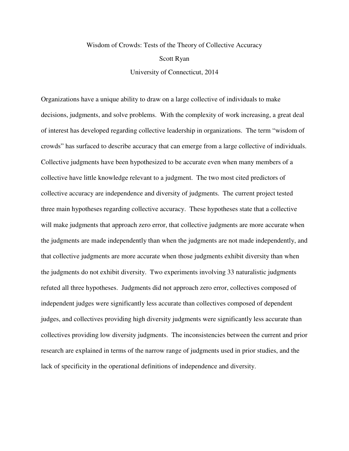# Wisdom of Crowds: Tests of the Theory of Collective Accuracy Scott Ryan University of Connecticut, 2014

Organizations have a unique ability to draw on a large collective of individuals to make decisions, judgments, and solve problems. With the complexity of work increasing, a great deal of interest has developed regarding collective leadership in organizations. The term "wisdom of crowds" has surfaced to describe accuracy that can emerge from a large collective of individuals. Collective judgments have been hypothesized to be accurate even when many members of a collective have little knowledge relevant to a judgment. The two most cited predictors of collective accuracy are independence and diversity of judgments. The current project tested three main hypotheses regarding collective accuracy. These hypotheses state that a collective will make judgments that approach zero error, that collective judgments are more accurate when the judgments are made independently than when the judgments are not made independently, and that collective judgments are more accurate when those judgments exhibit diversity than when the judgments do not exhibit diversity. Two experiments involving 33 naturalistic judgments refuted all three hypotheses. Judgments did not approach zero error, collectives composed of independent judges were significantly less accurate than collectives composed of dependent judges, and collectives providing high diversity judgments were significantly less accurate than collectives providing low diversity judgments. The inconsistencies between the current and prior research are explained in terms of the narrow range of judgments used in prior studies, and the lack of specificity in the operational definitions of independence and diversity.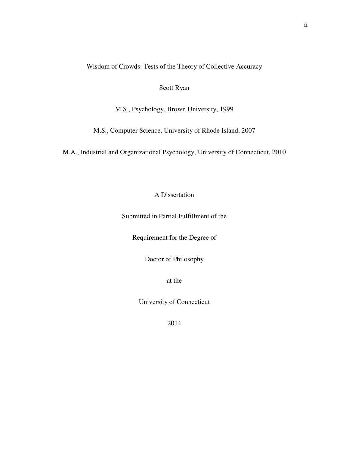Wisdom of Crowds: Tests of the Theory of Collective Accuracy

# Scott Ryan

M.S., Psychology, Brown University, 1999

M.S., Computer Science, University of Rhode Island, 2007

M.A., Industrial and Organizational Psychology, University of Connecticut, 2010

# A Dissertation

Submitted in Partial Fulfillment of the

Requirement for the Degree of

Doctor of Philosophy

at the

University of Connecticut

2014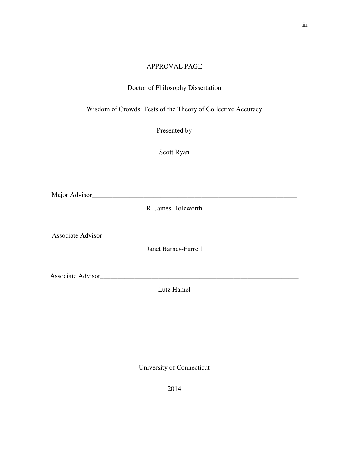#### APPROVAL PAGE

### Doctor of Philosophy Dissertation

Wisdom of Crowds: Tests of the Theory of Collective Accuracy

Presented by

Scott Ryan

Major Advisor\_\_\_\_\_\_\_\_\_\_\_\_\_\_\_\_\_\_\_\_\_\_\_\_\_\_\_\_\_\_\_\_\_\_\_\_\_\_\_\_\_\_\_\_\_\_\_\_\_\_\_\_\_\_\_\_\_\_\_\_

R. James Holzworth

Associate Advisor\_\_\_\_\_\_\_\_\_\_\_\_\_\_\_\_\_\_\_\_\_\_\_\_\_\_\_\_\_\_\_\_\_\_\_\_\_\_\_\_\_\_\_\_\_\_\_\_\_\_\_\_\_\_\_\_\_

Janet Barnes-Farrell

Associate Advisor\_\_\_\_\_\_\_\_\_\_\_\_\_\_\_\_\_\_\_\_\_\_\_\_\_\_\_\_\_\_\_\_\_\_\_\_\_\_\_\_\_\_\_\_\_\_\_\_\_\_\_\_\_\_\_\_\_\_

Lutz Hamel

University of Connecticut

2014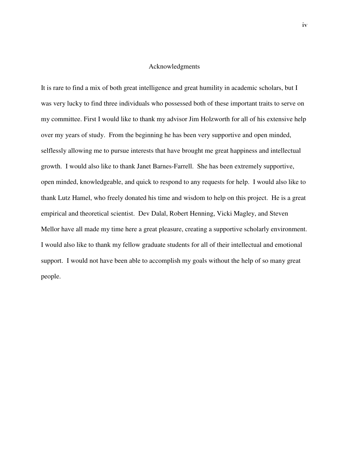#### Acknowledgments

It is rare to find a mix of both great intelligence and great humility in academic scholars, but I was very lucky to find three individuals who possessed both of these important traits to serve on my committee. First I would like to thank my advisor Jim Holzworth for all of his extensive help over my years of study. From the beginning he has been very supportive and open minded, selflessly allowing me to pursue interests that have brought me great happiness and intellectual growth. I would also like to thank Janet Barnes-Farrell. She has been extremely supportive, open minded, knowledgeable, and quick to respond to any requests for help. I would also like to thank Lutz Hamel, who freely donated his time and wisdom to help on this project. He is a great empirical and theoretical scientist. Dev Dalal, Robert Henning, Vicki Magley, and Steven Mellor have all made my time here a great pleasure, creating a supportive scholarly environment. I would also like to thank my fellow graduate students for all of their intellectual and emotional support. I would not have been able to accomplish my goals without the help of so many great people.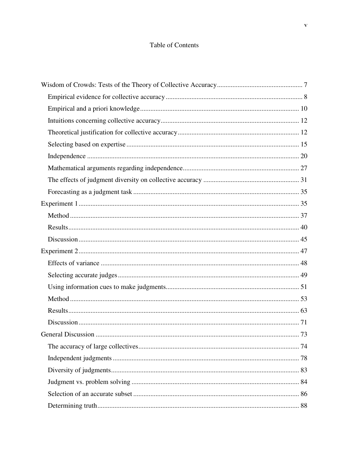# Table of Contents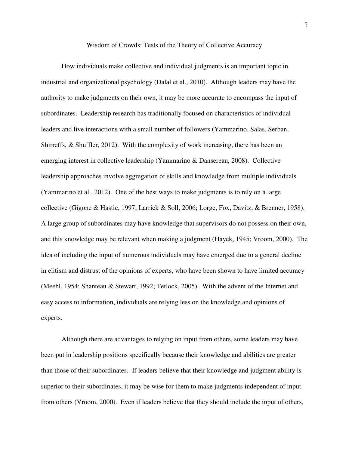Wisdom of Crowds: Tests of the Theory of Collective Accuracy

How individuals make collective and individual judgments is an important topic in industrial and organizational psychology (Dalal et al., 2010). Although leaders may have the authority to make judgments on their own, it may be more accurate to encompass the input of subordinates. Leadership research has traditionally focused on characteristics of individual leaders and live interactions with a small number of followers (Yammarino, Salas, Serban, Shirreffs, & Shuffler, 2012). With the complexity of work increasing, there has been an emerging interest in collective leadership (Yammarino & Dansereau, 2008). Collective leadership approaches involve aggregation of skills and knowledge from multiple individuals (Yammarino et al., 2012). One of the best ways to make judgments is to rely on a large collective (Gigone & Hastie, 1997; Larrick & Soll, 2006; Lorge, Fox, Davitz, & Brenner, 1958). A large group of subordinates may have knowledge that supervisors do not possess on their own, and this knowledge may be relevant when making a judgment (Hayek, 1945; Vroom, 2000). The idea of including the input of numerous individuals may have emerged due to a general decline in elitism and distrust of the opinions of experts, who have been shown to have limited accuracy (Meehl, 1954; Shanteau & Stewart, 1992; Tetlock, 2005). With the advent of the Internet and easy access to information, individuals are relying less on the knowledge and opinions of experts.

Although there are advantages to relying on input from others, some leaders may have been put in leadership positions specifically because their knowledge and abilities are greater than those of their subordinates. If leaders believe that their knowledge and judgment ability is superior to their subordinates, it may be wise for them to make judgments independent of input from others (Vroom, 2000). Even if leaders believe that they should include the input of others,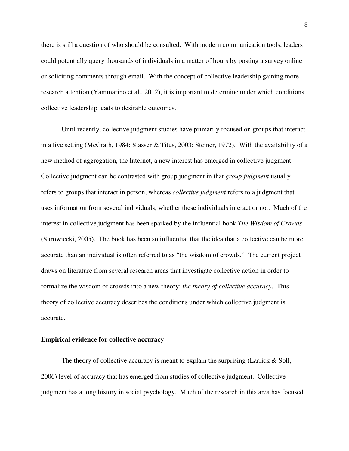there is still a question of who should be consulted. With modern communication tools, leaders could potentially query thousands of individuals in a matter of hours by posting a survey online or soliciting comments through email. With the concept of collective leadership gaining more research attention (Yammarino et al., 2012), it is important to determine under which conditions collective leadership leads to desirable outcomes.

Until recently, collective judgment studies have primarily focused on groups that interact in a live setting (McGrath, 1984; Stasser & Titus, 2003; Steiner, 1972). With the availability of a new method of aggregation, the Internet, a new interest has emerged in collective judgment. Collective judgment can be contrasted with group judgment in that *group judgment* usually refers to groups that interact in person, whereas *collective judgment* refers to a judgment that uses information from several individuals, whether these individuals interact or not. Much of the interest in collective judgment has been sparked by the influential book *The Wisdom of Crowds* (Surowiecki, 2005). The book has been so influential that the idea that a collective can be more accurate than an individual is often referred to as "the wisdom of crowds." The current project draws on literature from several research areas that investigate collective action in order to formalize the wisdom of crowds into a new theory: *the theory of collective accuracy*. This theory of collective accuracy describes the conditions under which collective judgment is accurate.

#### **Empirical evidence for collective accuracy**

The theory of collective accuracy is meant to explain the surprising (Larrick  $\&$  Soll, 2006) level of accuracy that has emerged from studies of collective judgment. Collective judgment has a long history in social psychology. Much of the research in this area has focused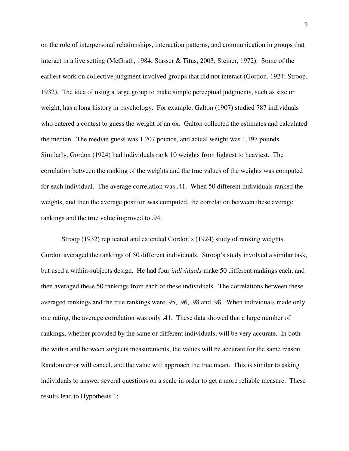on the role of interpersonal relationships, interaction patterns, and communication in groups that interact in a live setting (McGrath, 1984; Stasser & Titus, 2003; Steiner, 1972). Some of the earliest work on collective judgment involved groups that did not interact (Gordon, 1924; Stroop, 1932). The idea of using a large group to make simple perceptual judgments, such as size or weight, has a long history in psychology. For example, Galton (1907) studied 787 individuals who entered a contest to guess the weight of an ox. Galton collected the estimates and calculated the median. The median guess was 1,207 pounds, and actual weight was 1,197 pounds. Similarly, Gordon (1924) had individuals rank 10 weights from lightest to heaviest. The correlation between the ranking of the weights and the true values of the weights was computed for each individual. The average correlation was .41. When 50 different individuals ranked the weights, and then the average position was computed, the correlation between these average rankings and the true value improved to .94.

Stroop (1932) replicated and extended Gordon's (1924) study of ranking weights. Gordon averaged the rankings of 50 different individuals. Stroop's study involved a similar task, but used a within-subjects design. He had four *individuals* make 50 different rankings each, and then averaged these 50 rankings from each of these individuals. The correlations between these averaged rankings and the true rankings were .95, .96, .98 and .98. When individuals made only one rating, the average correlation was only .41. These data showed that a large number of rankings, whether provided by the same or different individuals, will be very accurate. In both the within and between subjects measurements, the values will be accurate for the same reason. Random error will cancel, and the value will approach the true mean. This is similar to asking individuals to answer several questions on a scale in order to get a more reliable measure. These results lead to Hypothesis 1: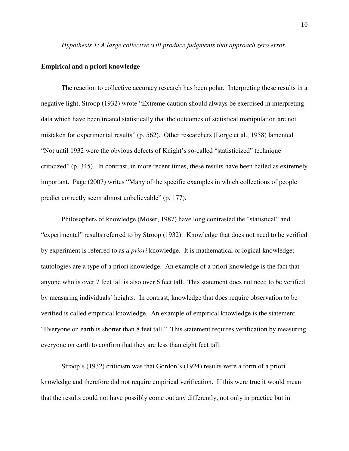*Hypothesis 1: A large collective will produce judgments that approach zero error.*

#### **Empirical and a priori knowledge**

The reaction to collective accuracy research has been polar. Interpreting these results in a negative light, Stroop (1932) wrote "Extreme caution should always be exercised in interpreting data which have been treated statistically that the outcomes of statistical manipulation are not mistaken for experimental results" (p. 562). Other researchers (Lorge et al., 1958) lamented "Not until 1932 were the obvious defects of Knight's so-called "statisticized" technique criticized" (p. 345). In contrast, in more recent times, these results have been hailed as extremely important. Page (2007) writes "Many of the specific examples in which collections of people predict correctly seem almost unbelievable" (p. 177).

Philosophers of knowledge (Moser, 1987) have long contrasted the "statistical" and "experimental" results referred to by Stroop (1932). Knowledge that does not need to be verified by experiment is referred to as *a priori* knowledge. It is mathematical or logical knowledge; tautologies are a type of a priori knowledge. An example of a priori knowledge is the fact that anyone who is over 7 feet tall is also over 6 feet tall. This statement does not need to be verified by measuring individuals' heights. In contrast, knowledge that does require observation to be verified is called empirical knowledge. An example of empirical knowledge is the statement "Everyone on earth is shorter than 8 feet tall." This statement requires verification by measuring everyone on earth to confirm that they are less than eight feet tall.

Stroop's (1932) criticism was that Gordon's (1924) results were a form of a priori knowledge and therefore did not require empirical verification. If this were true it would mean that the results could not have possibly come out any differently, not only in practice but in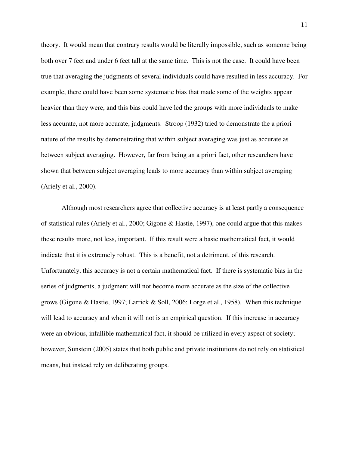theory. It would mean that contrary results would be literally impossible, such as someone being both over 7 feet and under 6 feet tall at the same time. This is not the case. It could have been true that averaging the judgments of several individuals could have resulted in less accuracy. For example, there could have been some systematic bias that made some of the weights appear heavier than they were, and this bias could have led the groups with more individuals to make less accurate, not more accurate, judgments. Stroop (1932) tried to demonstrate the a priori nature of the results by demonstrating that within subject averaging was just as accurate as between subject averaging. However, far from being an a priori fact, other researchers have shown that between subject averaging leads to more accuracy than within subject averaging (Ariely et al., 2000).

Although most researchers agree that collective accuracy is at least partly a consequence of statistical rules (Ariely et al., 2000; Gigone & Hastie, 1997), one could argue that this makes these results more, not less, important. If this result were a basic mathematical fact, it would indicate that it is extremely robust. This is a benefit, not a detriment, of this research. Unfortunately, this accuracy is not a certain mathematical fact. If there is systematic bias in the series of judgments, a judgment will not become more accurate as the size of the collective grows (Gigone & Hastie, 1997; Larrick & Soll, 2006; Lorge et al., 1958). When this technique will lead to accuracy and when it will not is an empirical question. If this increase in accuracy were an obvious, infallible mathematical fact, it should be utilized in every aspect of society; however, Sunstein (2005) states that both public and private institutions do not rely on statistical means, but instead rely on deliberating groups.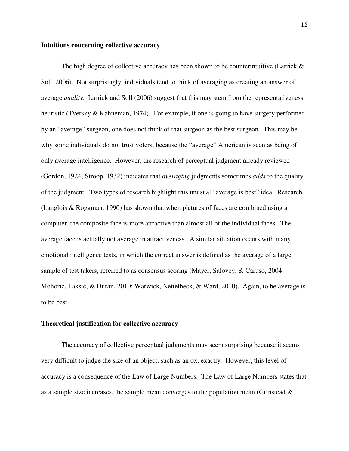#### **Intuitions concerning collective accuracy**

The high degree of collective accuracy has been shown to be counterintuitive (Larrick  $\&$ Soll, 2006). Not surprisingly, individuals tend to think of averaging as creating an answer of average *quality*. Larrick and Soll (2006) suggest that this may stem from the representativeness heuristic (Tversky & Kahneman, 1974). For example, if one is going to have surgery performed by an "average" surgeon, one does not think of that surgeon as the best surgeon. This may be why some individuals do not trust voters, because the "average" American is seen as being of only average intelligence. However, the research of perceptual judgment already reviewed (Gordon, 1924; Stroop, 1932) indicates that *averaging* judgments sometimes *adds* to the quality of the judgment. Two types of research highlight this unusual "average is best" idea. Research (Langlois & Roggman, 1990) has shown that when pictures of faces are combined using a computer, the composite face is more attractive than almost all of the individual faces. The average face is actually not average in attractiveness. A similar situation occurs with many emotional intelligence tests, in which the correct answer is defined as the average of a large sample of test takers, referred to as consensus scoring (Mayer, Salovey, & Caruso, 2004; Mohoric, Taksic, & Duran, 2010; Warwick, Nettelbeck, & Ward, 2010). Again, to be average is to be best.

#### **Theoretical justification for collective accuracy**

The accuracy of collective perceptual judgments may seem surprising because it seems very difficult to judge the size of an object, such as an ox, exactly. However, this level of accuracy is a consequence of the Law of Large Numbers. The Law of Large Numbers states that as a sample size increases, the sample mean converges to the population mean (Grinstead  $\&$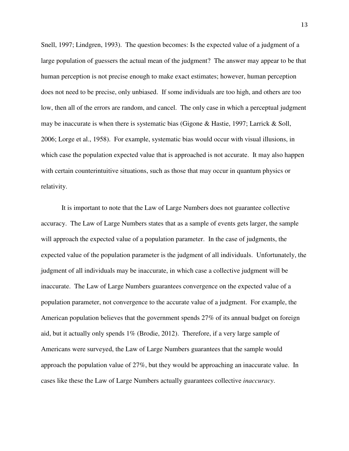Snell, 1997; Lindgren, 1993). The question becomes: Is the expected value of a judgment of a large population of guessers the actual mean of the judgment? The answer may appear to be that human perception is not precise enough to make exact estimates; however, human perception does not need to be precise, only unbiased. If some individuals are too high, and others are too low, then all of the errors are random, and cancel. The only case in which a perceptual judgment may be inaccurate is when there is systematic bias (Gigone & Hastie, 1997; Larrick & Soll, 2006; Lorge et al., 1958). For example, systematic bias would occur with visual illusions, in which case the population expected value that is approached is not accurate. It may also happen with certain counterintuitive situations, such as those that may occur in quantum physics or relativity.

It is important to note that the Law of Large Numbers does not guarantee collective accuracy. The Law of Large Numbers states that as a sample of events gets larger, the sample will approach the expected value of a population parameter. In the case of judgments, the expected value of the population parameter is the judgment of all individuals. Unfortunately, the judgment of all individuals may be inaccurate, in which case a collective judgment will be inaccurate. The Law of Large Numbers guarantees convergence on the expected value of a population parameter, not convergence to the accurate value of a judgment. For example, the American population believes that the government spends 27% of its annual budget on foreign aid, but it actually only spends 1% (Brodie, 2012). Therefore, if a very large sample of Americans were surveyed, the Law of Large Numbers guarantees that the sample would approach the population value of 27%, but they would be approaching an inaccurate value. In cases like these the Law of Large Numbers actually guarantees collective *inaccuracy*.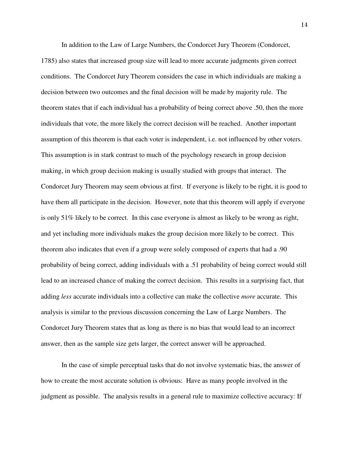In addition to the Law of Large Numbers, the Condorcet Jury Theorem (Condorcet, 1785) also states that increased group size will lead to more accurate judgments given correct conditions. The Condorcet Jury Theorem considers the case in which individuals are making a decision between two outcomes and the final decision will be made by majority rule. The theorem states that if each individual has a probability of being correct above .50, then the more individuals that vote, the more likely the correct decision will be reached. Another important assumption of this theorem is that each voter is independent, i.e. not influenced by other voters. This assumption is in stark contrast to much of the psychology research in group decision making, in which group decision making is usually studied with groups that interact. The Condorcet Jury Theorem may seem obvious at first. If everyone is likely to be right, it is good to have them all participate in the decision. However, note that this theorem will apply if everyone is only 51% likely to be correct. In this case everyone is almost as likely to be wrong as right, and yet including more individuals makes the group decision more likely to be correct. This theorem also indicates that even if a group were solely composed of experts that had a .90 probability of being correct, adding individuals with a .51 probability of being correct would still lead to an increased chance of making the correct decision. This results in a surprising fact, that adding *less* accurate individuals into a collective can make the collective *more* accurate. This analysis is similar to the previous discussion concerning the Law of Large Numbers. The Condorcet Jury Theorem states that as long as there is no bias that would lead to an incorrect answer, then as the sample size gets larger, the correct answer will be approached.

In the case of simple perceptual tasks that do not involve systematic bias, the answer of how to create the most accurate solution is obvious: Have as many people involved in the judgment as possible. The analysis results in a general rule to maximize collective accuracy: If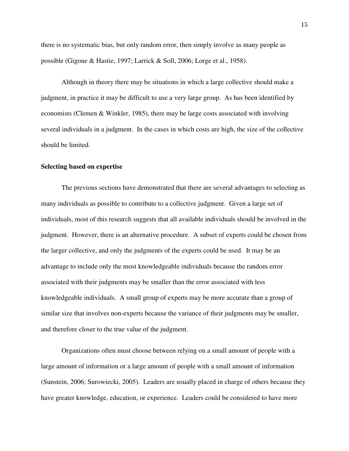there is no systematic bias, but only random error, then simply involve as many people as possible (Gigone & Hastie, 1997; Larrick & Soll, 2006; Lorge et al., 1958).

Although in theory there may be situations in which a large collective should make a judgment, in practice it may be difficult to use a very large group. As has been identified by economists (Clemen & Winkler, 1985), there may be large costs associated with involving several individuals in a judgment. In the cases in which costs are high, the size of the collective should be limited.

#### **Selecting based on expertise**

The previous sections have demonstrated that there are several advantages to selecting as many individuals as possible to contribute to a collective judgment. Given a large set of individuals, most of this research suggests that all available individuals should be involved in the judgment. However, there is an alternative procedure. A subset of experts could be chosen from the larger collective, and only the judgments of the experts could be used. It may be an advantage to include only the most knowledgeable individuals because the random error associated with their judgments may be smaller than the error associated with less knowledgeable individuals. A small group of experts may be more accurate than a group of similar size that involves non-experts because the variance of their judgments may be smaller, and therefore closer to the true value of the judgment.

Organizations often must choose between relying on a small amount of people with a large amount of information or a large amount of people with a small amount of information (Sunstein, 2006; Surowiecki, 2005). Leaders are usually placed in charge of others because they have greater knowledge, education, or experience. Leaders could be considered to have more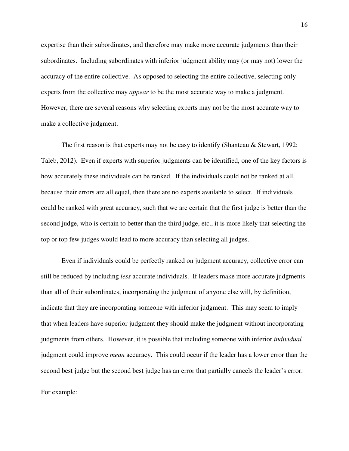expertise than their subordinates, and therefore may make more accurate judgments than their subordinates. Including subordinates with inferior judgment ability may (or may not) lower the accuracy of the entire collective. As opposed to selecting the entire collective, selecting only experts from the collective may *appear* to be the most accurate way to make a judgment. However, there are several reasons why selecting experts may not be the most accurate way to make a collective judgment.

The first reason is that experts may not be easy to identify (Shanteau & Stewart, 1992; Taleb, 2012). Even if experts with superior judgments can be identified, one of the key factors is how accurately these individuals can be ranked. If the individuals could not be ranked at all, because their errors are all equal, then there are no experts available to select. If individuals could be ranked with great accuracy, such that we are certain that the first judge is better than the second judge, who is certain to better than the third judge, etc., it is more likely that selecting the top or top few judges would lead to more accuracy than selecting all judges.

Even if individuals could be perfectly ranked on judgment accuracy, collective error can still be reduced by including *less* accurate individuals. If leaders make more accurate judgments than all of their subordinates, incorporating the judgment of anyone else will, by definition, indicate that they are incorporating someone with inferior judgment. This may seem to imply that when leaders have superior judgment they should make the judgment without incorporating judgments from others. However, it is possible that including someone with inferior *individual* judgment could improve *mean* accuracy. This could occur if the leader has a lower error than the second best judge but the second best judge has an error that partially cancels the leader's error.

For example: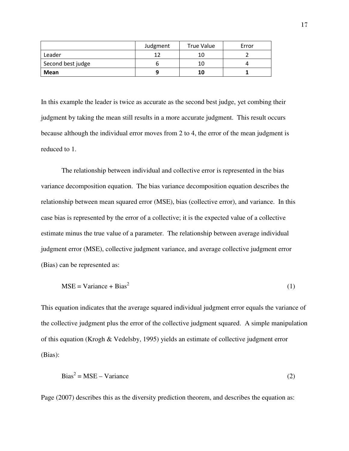|                   | Judgment | <b>True Value</b> | Error |
|-------------------|----------|-------------------|-------|
| Leader            |          |                   |       |
| Second best judge |          | 10                |       |
| Mean              |          | 10                |       |

In this example the leader is twice as accurate as the second best judge, yet combing their judgment by taking the mean still results in a more accurate judgment. This result occurs because although the individual error moves from 2 to 4, the error of the mean judgment is reduced to 1.

The relationship between individual and collective error is represented in the bias variance decomposition equation. The bias variance decomposition equation describes the relationship between mean squared error (MSE), bias (collective error), and variance. In this case bias is represented by the error of a collective; it is the expected value of a collective estimate minus the true value of a parameter. The relationship between average individual judgment error (MSE), collective judgment variance, and average collective judgment error (Bias) can be represented as:

$$
MSE = \text{Variance} + \text{Bias}^2 \tag{1}
$$

This equation indicates that the average squared individual judgment error equals the variance of the collective judgment plus the error of the collective judgment squared. A simple manipulation of this equation (Krogh & Vedelsby, 1995) yields an estimate of collective judgment error (Bias):

$$
Bias^2 = MSE - Variance
$$
 (2)

Page (2007) describes this as the diversity prediction theorem, and describes the equation as: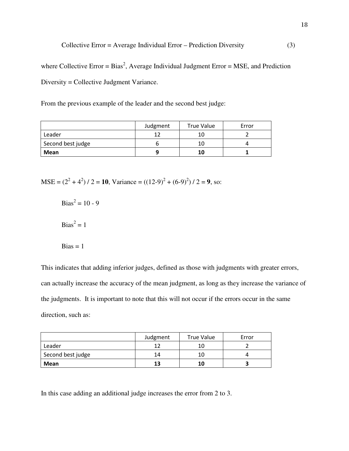$$
Collective Error = Average Individual Error - Prediction Diversity
$$
\n
$$
(3)
$$

where Collective Error =  $Bias^2$ , Average Individual Judgment Error = MSE, and Prediction Diversity = Collective Judgment Variance.

From the previous example of the leader and the second best judge:

|                   | Judgment | True Value | Error |
|-------------------|----------|------------|-------|
| Leader            |          |            |       |
| Second best judge |          | 10         |       |
| Mean              |          | 10         |       |

MSE =  $(2^2 + 4^2)$  / 2 = 10, Variance =  $((12-9)^2 + (6-9)^2)$  / 2 = 9, so:

 $Bias^2 = 10 - 9$  $Bias^2 = 1$  $Bias = 1$ 

This indicates that adding inferior judges, defined as those with judgments with greater errors, can actually increase the accuracy of the mean judgment, as long as they increase the variance of the judgments. It is important to note that this will not occur if the errors occur in the same direction, such as:

|                   | Judgment | <b>True Value</b> | Error |
|-------------------|----------|-------------------|-------|
| Leader            |          |                   |       |
| Second best judge | 14       |                   |       |
| Mean              | 13       | 10                |       |

In this case adding an additional judge increases the error from 2 to 3.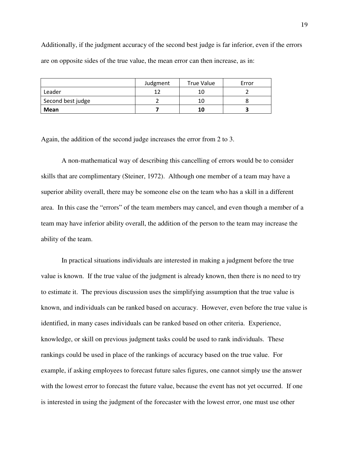Additionally, if the judgment accuracy of the second best judge is far inferior, even if the errors are on opposite sides of the true value, the mean error can then increase, as in:

|                   | Judgment | True Value | Error |
|-------------------|----------|------------|-------|
| Leader            |          |            |       |
| Second best judge |          | 10         |       |
| Mean              |          | 10         |       |

Again, the addition of the second judge increases the error from 2 to 3.

A non-mathematical way of describing this cancelling of errors would be to consider skills that are complimentary (Steiner, 1972). Although one member of a team may have a superior ability overall, there may be someone else on the team who has a skill in a different area. In this case the "errors" of the team members may cancel, and even though a member of a team may have inferior ability overall, the addition of the person to the team may increase the ability of the team.

In practical situations individuals are interested in making a judgment before the true value is known. If the true value of the judgment is already known, then there is no need to try to estimate it. The previous discussion uses the simplifying assumption that the true value is known, and individuals can be ranked based on accuracy. However, even before the true value is identified, in many cases individuals can be ranked based on other criteria. Experience, knowledge, or skill on previous judgment tasks could be used to rank individuals. These rankings could be used in place of the rankings of accuracy based on the true value. For example, if asking employees to forecast future sales figures, one cannot simply use the answer with the lowest error to forecast the future value, because the event has not yet occurred. If one is interested in using the judgment of the forecaster with the lowest error, one must use other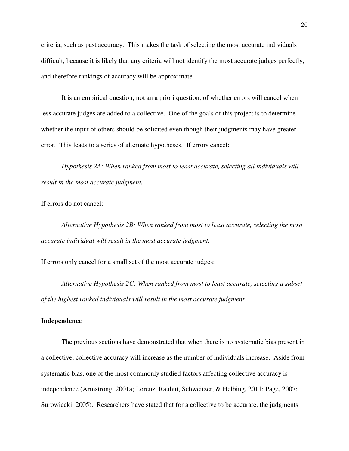criteria, such as past accuracy. This makes the task of selecting the most accurate individuals difficult, because it is likely that any criteria will not identify the most accurate judges perfectly, and therefore rankings of accuracy will be approximate.

It is an empirical question, not an a priori question, of whether errors will cancel when less accurate judges are added to a collective. One of the goals of this project is to determine whether the input of others should be solicited even though their judgments may have greater error. This leads to a series of alternate hypotheses. If errors cancel:

 *Hypothesis 2A: When ranked from most to least accurate, selecting all individuals will result in the most accurate judgment.* 

If errors do not cancel:

*Alternative Hypothesis 2B: When ranked from most to least accurate, selecting the most accurate individual will result in the most accurate judgment.* 

If errors only cancel for a small set of the most accurate judges:

 *Alternative Hypothesis 2C: When ranked from most to least accurate, selecting a subset of the highest ranked individuals will result in the most accurate judgment.* 

#### **Independence**

 The previous sections have demonstrated that when there is no systematic bias present in a collective, collective accuracy will increase as the number of individuals increase. Aside from systematic bias, one of the most commonly studied factors affecting collective accuracy is independence (Armstrong, 2001a; Lorenz, Rauhut, Schweitzer, & Helbing, 2011; Page, 2007; Surowiecki, 2005). Researchers have stated that for a collective to be accurate, the judgments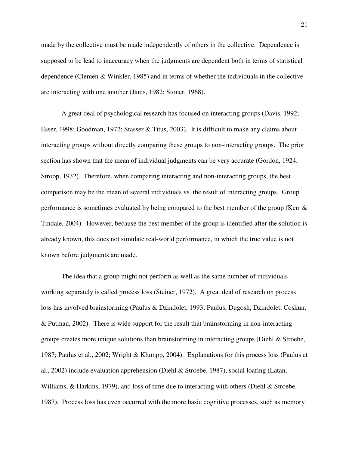made by the collective must be made independently of others in the collective. Dependence is supposed to be lead to inaccuracy when the judgments are dependent both in terms of statistical dependence (Clemen & Winkler, 1985) and in terms of whether the individuals in the collective are interacting with one another (Janis, 1982; Stoner, 1968).

A great deal of psychological research has focused on interacting groups (Davis, 1992; Esser, 1998; Goodman, 1972; Stasser & Titus, 2003). It is difficult to make any claims about interacting groups without directly comparing these groups to non-interacting groups. The prior section has shown that the mean of individual judgments can be very accurate (Gordon, 1924; Stroop, 1932). Therefore, when comparing interacting and non-interacting groups, the best comparison may be the mean of several individuals vs. the result of interacting groups. Group performance is sometimes evaluated by being compared to the best member of the group (Kerr & Tindale, 2004). However, because the best member of the group is identified after the solution is already known, this does not simulate real-world performance, in which the true value is not known before judgments are made.

The idea that a group might not perform as well as the same number of individuals working separately is called process loss (Steiner, 1972). A great deal of research on process loss has involved brainstorming (Paulus & Dzindolet, 1993; Paulus, Dugosh, Dzindolet, Coskun, & Putman, 2002). There is wide support for the result that brainstorming in non-interacting groups creates more unique solutions than brainstorming in interacting groups (Diehl & Stroebe, 1987; Paulus et al., 2002; Wright & Klumpp, 2004). Explanations for this process loss (Paulus et al., 2002) include evaluation apprehension (Diehl & Stroebe, 1987), social loafing (Latan, Williams, & Harkins, 1979), and loss of time due to interacting with others (Diehl & Stroebe, 1987). Process loss has even occurred with the more basic cognitive processes, such as memory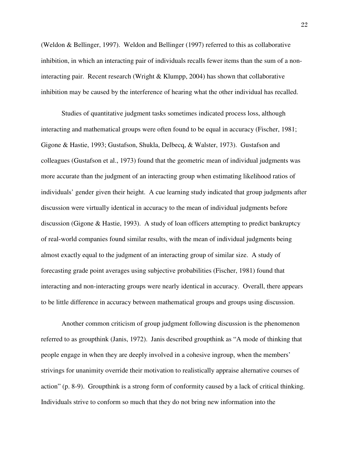(Weldon & Bellinger, 1997). Weldon and Bellinger (1997) referred to this as collaborative inhibition, in which an interacting pair of individuals recalls fewer items than the sum of a noninteracting pair. Recent research (Wright  $&$  Klumpp, 2004) has shown that collaborative inhibition may be caused by the interference of hearing what the other individual has recalled.

Studies of quantitative judgment tasks sometimes indicated process loss, although interacting and mathematical groups were often found to be equal in accuracy (Fischer, 1981; Gigone & Hastie, 1993; Gustafson, Shukla, Delbecq, & Walster, 1973). Gustafson and colleagues (Gustafson et al., 1973) found that the geometric mean of individual judgments was more accurate than the judgment of an interacting group when estimating likelihood ratios of individuals' gender given their height. A cue learning study indicated that group judgments after discussion were virtually identical in accuracy to the mean of individual judgments before discussion (Gigone & Hastie, 1993). A study of loan officers attempting to predict bankruptcy of real-world companies found similar results, with the mean of individual judgments being almost exactly equal to the judgment of an interacting group of similar size. A study of forecasting grade point averages using subjective probabilities (Fischer, 1981) found that interacting and non-interacting groups were nearly identical in accuracy. Overall, there appears to be little difference in accuracy between mathematical groups and groups using discussion.

Another common criticism of group judgment following discussion is the phenomenon referred to as groupthink (Janis, 1972). Janis described groupthink as "A mode of thinking that people engage in when they are deeply involved in a cohesive ingroup, when the members' strivings for unanimity override their motivation to realistically appraise alternative courses of action" (p. 8-9). Groupthink is a strong form of conformity caused by a lack of critical thinking. Individuals strive to conform so much that they do not bring new information into the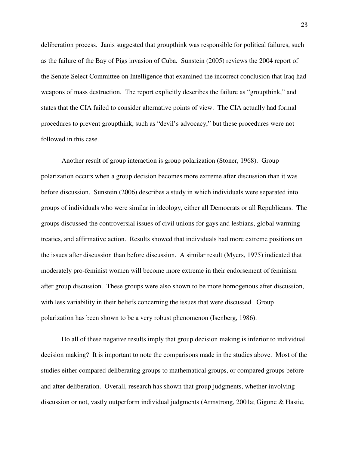deliberation process. Janis suggested that groupthink was responsible for political failures, such as the failure of the Bay of Pigs invasion of Cuba. Sunstein (2005) reviews the 2004 report of the Senate Select Committee on Intelligence that examined the incorrect conclusion that Iraq had weapons of mass destruction. The report explicitly describes the failure as "groupthink," and states that the CIA failed to consider alternative points of view. The CIA actually had formal procedures to prevent groupthink, such as "devil's advocacy," but these procedures were not followed in this case.

 Another result of group interaction is group polarization (Stoner, 1968). Group polarization occurs when a group decision becomes more extreme after discussion than it was before discussion. Sunstein (2006) describes a study in which individuals were separated into groups of individuals who were similar in ideology, either all Democrats or all Republicans. The groups discussed the controversial issues of civil unions for gays and lesbians, global warming treaties, and affirmative action. Results showed that individuals had more extreme positions on the issues after discussion than before discussion. A similar result (Myers, 1975) indicated that moderately pro-feminist women will become more extreme in their endorsement of feminism after group discussion. These groups were also shown to be more homogenous after discussion, with less variability in their beliefs concerning the issues that were discussed. Group polarization has been shown to be a very robust phenomenon (Isenberg, 1986).

Do all of these negative results imply that group decision making is inferior to individual decision making? It is important to note the comparisons made in the studies above. Most of the studies either compared deliberating groups to mathematical groups, or compared groups before and after deliberation. Overall, research has shown that group judgments, whether involving discussion or not, vastly outperform individual judgments (Armstrong, 2001a; Gigone & Hastie,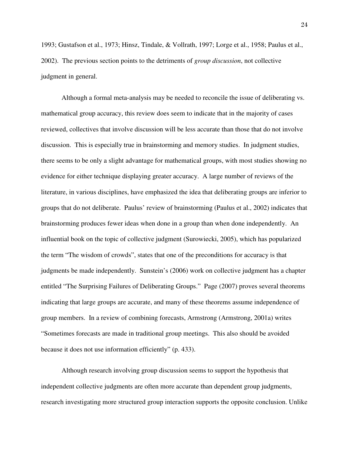1993; Gustafson et al., 1973; Hinsz, Tindale, & Vollrath, 1997; Lorge et al., 1958; Paulus et al., 2002). The previous section points to the detriments of *group discussion*, not collective judgment in general.

Although a formal meta-analysis may be needed to reconcile the issue of deliberating vs. mathematical group accuracy, this review does seem to indicate that in the majority of cases reviewed, collectives that involve discussion will be less accurate than those that do not involve discussion. This is especially true in brainstorming and memory studies. In judgment studies, there seems to be only a slight advantage for mathematical groups, with most studies showing no evidence for either technique displaying greater accuracy. A large number of reviews of the literature, in various disciplines, have emphasized the idea that deliberating groups are inferior to groups that do not deliberate. Paulus' review of brainstorming (Paulus et al., 2002) indicates that brainstorming produces fewer ideas when done in a group than when done independently. An influential book on the topic of collective judgment (Surowiecki, 2005), which has popularized the term "The wisdom of crowds", states that one of the preconditions for accuracy is that judgments be made independently. Sunstein's (2006) work on collective judgment has a chapter entitled "The Surprising Failures of Deliberating Groups." Page (2007) proves several theorems indicating that large groups are accurate, and many of these theorems assume independence of group members. In a review of combining forecasts, Armstrong (Armstrong, 2001a) writes "Sometimes forecasts are made in traditional group meetings. This also should be avoided because it does not use information efficiently" (p. 433).

Although research involving group discussion seems to support the hypothesis that independent collective judgments are often more accurate than dependent group judgments, research investigating more structured group interaction supports the opposite conclusion. Unlike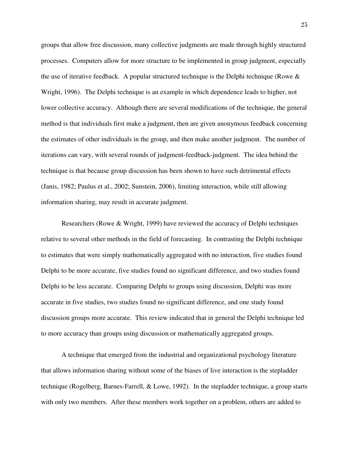groups that allow free discussion, many collective judgments are made through highly structured processes. Computers allow for more structure to be implemented in group judgment, especially the use of iterative feedback. A popular structured technique is the Delphi technique (Rowe  $\&$ Wright, 1996). The Delphi technique is an example in which dependence leads to higher, not lower collective accuracy. Although there are several modifications of the technique, the general method is that individuals first make a judgment, then are given anonymous feedback concerning the estimates of other individuals in the group, and then make another judgment. The number of iterations can vary, with several rounds of judgment-feedback-judgment. The idea behind the technique is that because group discussion has been shown to have such detrimental effects (Janis, 1982; Paulus et al., 2002; Sunstein, 2006), limiting interaction, while still allowing information sharing, may result in accurate judgment.

Researchers (Rowe & Wright, 1999) have reviewed the accuracy of Delphi techniques relative to several other methods in the field of forecasting. In contrasting the Delphi technique to estimates that were simply mathematically aggregated with no interaction, five studies found Delphi to be more accurate, five studies found no significant difference, and two studies found Delphi to be less accurate. Comparing Delphi to groups using discussion, Delphi was more accurate in five studies, two studies found no significant difference, and one study found discussion groups more accurate. This review indicated that in general the Delphi technique led to more accuracy than groups using discussion or mathematically aggregated groups.

A technique that emerged from the industrial and organizational psychology literature that allows information sharing without some of the biases of live interaction is the stepladder technique (Rogelberg, Barnes-Farrell, & Lowe, 1992). In the stepladder technique, a group starts with only two members. After these members work together on a problem, others are added to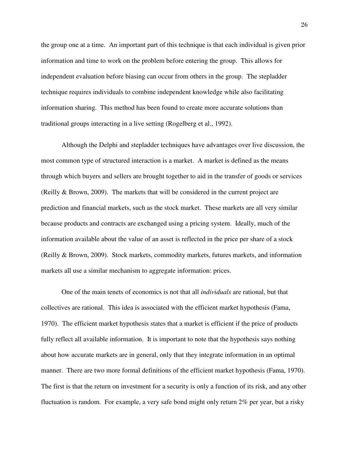the group one at a time. An important part of this technique is that each individual is given prior information and time to work on the problem before entering the group. This allows for independent evaluation before biasing can occur from others in the group. The stepladder technique requires individuals to combine independent knowledge while also facilitating information sharing. This method has been found to create more accurate solutions than traditional groups interacting in a live setting (Rogelberg et al., 1992).

Although the Delphi and stepladder techniques have advantages over live discussion, the most common type of structured interaction is a market. A market is defined as the means through which buyers and sellers are brought together to aid in the transfer of goods or services (Reilly & Brown, 2009). The markets that will be considered in the current project are prediction and financial markets, such as the stock market. These markets are all very similar because products and contracts are exchanged using a pricing system. Ideally, much of the information available about the value of an asset is reflected in the price per share of a stock (Reilly & Brown, 2009). Stock markets, commodity markets, futures markets, and information markets all use a similar mechanism to aggregate information: prices.

One of the main tenets of economics is not that all *individuals* are rational, but that collectives are rational. This idea is associated with the efficient market hypothesis (Fama, 1970). The efficient market hypothesis states that a market is efficient if the price of products fully reflect all available information. It is important to note that the hypothesis says nothing about how accurate markets are in general, only that they integrate information in an optimal manner. There are two more formal definitions of the efficient market hypothesis (Fama, 1970). The first is that the return on investment for a security is only a function of its risk, and any other fluctuation is random. For example, a very safe bond might only return 2% per year, but a risky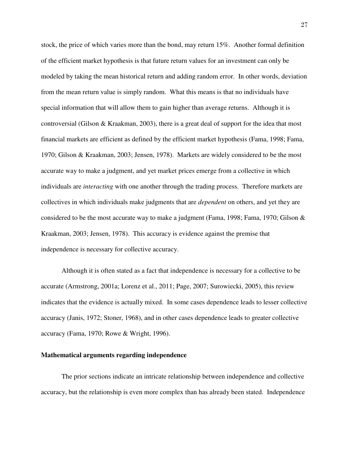stock, the price of which varies more than the bond, may return 15%. Another formal definition of the efficient market hypothesis is that future return values for an investment can only be modeled by taking the mean historical return and adding random error. In other words, deviation from the mean return value is simply random. What this means is that no individuals have special information that will allow them to gain higher than average returns. Although it is controversial (Gilson & Kraakman, 2003), there is a great deal of support for the idea that most financial markets are efficient as defined by the efficient market hypothesis (Fama, 1998; Fama, 1970; Gilson & Kraakman, 2003; Jensen, 1978). Markets are widely considered to be the most accurate way to make a judgment, and yet market prices emerge from a collective in which individuals are *interacting* with one another through the trading process. Therefore markets are collectives in which individuals make judgments that are *dependent* on others, and yet they are considered to be the most accurate way to make a judgment (Fama, 1998; Fama, 1970; Gilson  $\&$ Kraakman, 2003; Jensen, 1978). This accuracy is evidence against the premise that independence is necessary for collective accuracy.

Although it is often stated as a fact that independence is necessary for a collective to be accurate (Armstrong, 2001a; Lorenz et al., 2011; Page, 2007; Surowiecki, 2005), this review indicates that the evidence is actually mixed. In some cases dependence leads to lesser collective accuracy (Janis, 1972; Stoner, 1968), and in other cases dependence leads to greater collective accuracy (Fama, 1970; Rowe & Wright, 1996).

#### **Mathematical arguments regarding independence**

The prior sections indicate an intricate relationship between independence and collective accuracy, but the relationship is even more complex than has already been stated. Independence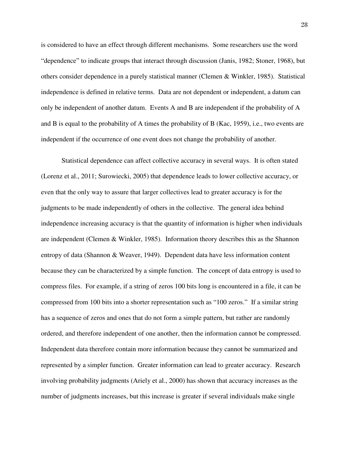is considered to have an effect through different mechanisms. Some researchers use the word "dependence" to indicate groups that interact through discussion (Janis, 1982; Stoner, 1968), but others consider dependence in a purely statistical manner (Clemen & Winkler, 1985). Statistical independence is defined in relative terms. Data are not dependent or independent, a datum can only be independent of another datum. Events A and B are independent if the probability of A and B is equal to the probability of A times the probability of B (Kac, 1959), i.e., two events are independent if the occurrence of one event does not change the probability of another.

Statistical dependence can affect collective accuracy in several ways. It is often stated (Lorenz et al., 2011; Surowiecki, 2005) that dependence leads to lower collective accuracy, or even that the only way to assure that larger collectives lead to greater accuracy is for the judgments to be made independently of others in the collective. The general idea behind independence increasing accuracy is that the quantity of information is higher when individuals are independent (Clemen & Winkler, 1985). Information theory describes this as the Shannon entropy of data (Shannon & Weaver, 1949). Dependent data have less information content because they can be characterized by a simple function. The concept of data entropy is used to compress files. For example, if a string of zeros 100 bits long is encountered in a file, it can be compressed from 100 bits into a shorter representation such as "100 zeros." If a similar string has a sequence of zeros and ones that do not form a simple pattern, but rather are randomly ordered, and therefore independent of one another, then the information cannot be compressed. Independent data therefore contain more information because they cannot be summarized and represented by a simpler function. Greater information can lead to greater accuracy. Research involving probability judgments (Ariely et al., 2000) has shown that accuracy increases as the number of judgments increases, but this increase is greater if several individuals make single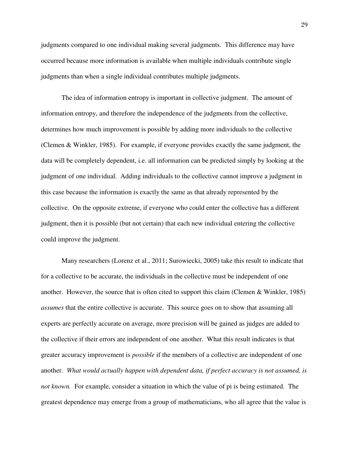judgments compared to one individual making several judgments. This difference may have occurred because more information is available when multiple individuals contribute single judgments than when a single individual contributes multiple judgments.

The idea of information entropy is important in collective judgment. The amount of information entropy, and therefore the independence of the judgments from the collective, determines how much improvement is possible by adding more individuals to the collective (Clemen & Winkler, 1985). For example, if everyone provides exactly the same judgment, the data will be completely dependent, i.e. all information can be predicted simply by looking at the judgment of one individual. Adding individuals to the collective cannot improve a judgment in this case because the information is exactly the same as that already represented by the collective. On the opposite extreme, if everyone who could enter the collective has a different judgment, then it is possible (but not certain) that each new individual entering the collective could improve the judgment.

Many researchers (Lorenz et al., 2011; Surowiecki, 2005) take this result to indicate that for a collective to be accurate, the individuals in the collective must be independent of one another. However, the source that is often cited to support this claim (Clemen & Winkler, 1985) *assumes* that the entire collective is accurate. This source goes on to show that assuming all experts are perfectly accurate on average, more precision will be gained as judges are added to the collective if their errors are independent of one another. What this result indicates is that greater accuracy improvement is *possible* if the members of a collective are independent of one another. *What would actually happen with dependent data, if perfect accuracy is not assumed, is not known.* For example, consider a situation in which the value of pi is being estimated. The greatest dependence may emerge from a group of mathematicians, who all agree that the value is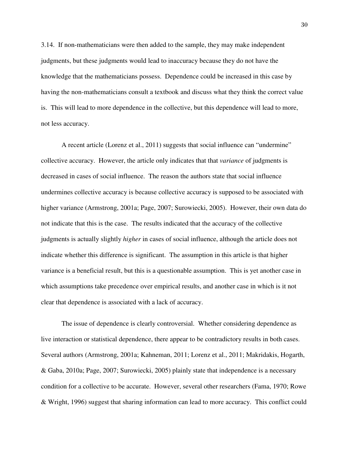3.14. If non-mathematicians were then added to the sample, they may make independent judgments, but these judgments would lead to inaccuracy because they do not have the knowledge that the mathematicians possess. Dependence could be increased in this case by having the non-mathematicians consult a textbook and discuss what they think the correct value is. This will lead to more dependence in the collective, but this dependence will lead to more, not less accuracy.

A recent article (Lorenz et al., 2011) suggests that social influence can "undermine" collective accuracy. However, the article only indicates that that *variance* of judgments is decreased in cases of social influence. The reason the authors state that social influence undermines collective accuracy is because collective accuracy is supposed to be associated with higher variance (Armstrong, 2001a; Page, 2007; Surowiecki, 2005). However, their own data do not indicate that this is the case. The results indicated that the accuracy of the collective judgments is actually slightly *higher* in cases of social influence, although the article does not indicate whether this difference is significant. The assumption in this article is that higher variance is a beneficial result, but this is a questionable assumption. This is yet another case in which assumptions take precedence over empirical results, and another case in which is it not clear that dependence is associated with a lack of accuracy.

The issue of dependence is clearly controversial. Whether considering dependence as live interaction or statistical dependence, there appear to be contradictory results in both cases. Several authors (Armstrong, 2001a; Kahneman, 2011; Lorenz et al., 2011; Makridakis, Hogarth, & Gaba, 2010a; Page, 2007; Surowiecki, 2005) plainly state that independence is a necessary condition for a collective to be accurate. However, several other researchers (Fama, 1970; Rowe & Wright, 1996) suggest that sharing information can lead to more accuracy. This conflict could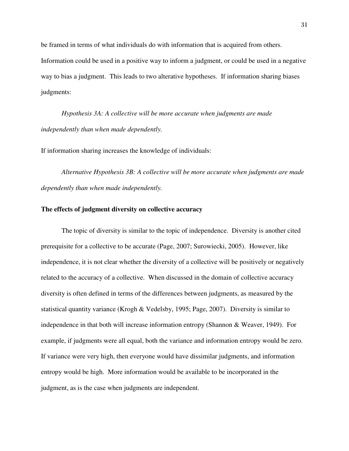be framed in terms of what individuals do with information that is acquired from others. Information could be used in a positive way to inform a judgment, or could be used in a negative way to bias a judgment. This leads to two alterative hypotheses. If information sharing biases judgments:

*Hypothesis 3A: A collective will be more accurate when judgments are made independently than when made dependently.* 

If information sharing increases the knowledge of individuals:

*Alternative Hypothesis 3B: A collective will be more accurate when judgments are made dependently than when made independently.*

#### **The effects of judgment diversity on collective accuracy**

The topic of diversity is similar to the topic of independence. Diversity is another cited prerequisite for a collective to be accurate (Page, 2007; Surowiecki, 2005). However, like independence, it is not clear whether the diversity of a collective will be positively or negatively related to the accuracy of a collective. When discussed in the domain of collective accuracy diversity is often defined in terms of the differences between judgments, as measured by the statistical quantity variance (Krogh & Vedelsby, 1995; Page, 2007). Diversity is similar to independence in that both will increase information entropy (Shannon & Weaver, 1949). For example, if judgments were all equal, both the variance and information entropy would be zero. If variance were very high, then everyone would have dissimilar judgments, and information entropy would be high. More information would be available to be incorporated in the judgment, as is the case when judgments are independent.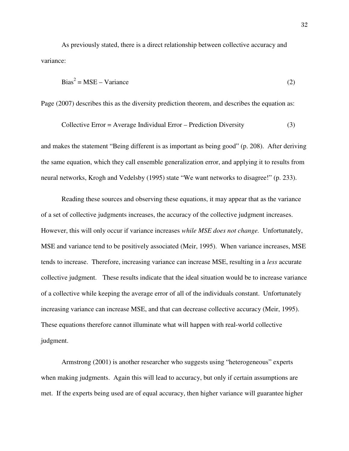As previously stated, there is a direct relationship between collective accuracy and variance:

$$
Bias^2 = MSE - Variance
$$
 (2)

Page (2007) describes this as the diversity prediction theorem, and describes the equation as:

$$
Collective Error = Average Individual Error - Prediction Diversity
$$
\n
$$
(3)
$$

and makes the statement "Being different is as important as being good" (p. 208). After deriving the same equation, which they call ensemble generalization error, and applying it to results from neural networks, Krogh and Vedelsby (1995) state "We want networks to disagree!" (p. 233).

 Reading these sources and observing these equations, it may appear that as the variance of a set of collective judgments increases, the accuracy of the collective judgment increases. However, this will only occur if variance increases *while MSE does not change.* Unfortunately, MSE and variance tend to be positively associated (Meir, 1995). When variance increases, MSE tends to increase. Therefore, increasing variance can increase MSE, resulting in a *less* accurate collective judgment. These results indicate that the ideal situation would be to increase variance of a collective while keeping the average error of all of the individuals constant. Unfortunately increasing variance can increase MSE, and that can decrease collective accuracy (Meir, 1995). These equations therefore cannot illuminate what will happen with real-world collective judgment.

Armstrong (2001) is another researcher who suggests using "heterogeneous" experts when making judgments. Again this will lead to accuracy, but only if certain assumptions are met. If the experts being used are of equal accuracy, then higher variance will guarantee higher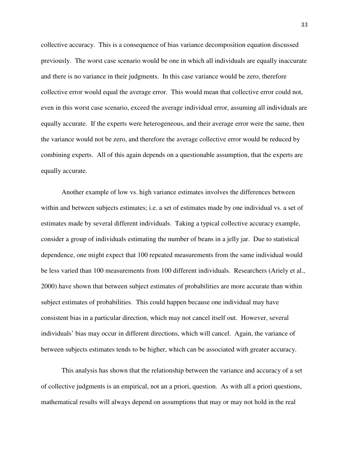collective accuracy. This is a consequence of bias variance decomposition equation discussed previously. The worst case scenario would be one in which all individuals are equally inaccurate and there is no variance in their judgments. In this case variance would be zero, therefore collective error would equal the average error. This would mean that collective error could not, even in this worst case scenario, exceed the average individual error, assuming all individuals are equally accurate. If the experts were heterogeneous, and their average error were the same, then the variance would not be zero, and therefore the average collective error would be reduced by combining experts. All of this again depends on a questionable assumption, that the experts are equally accurate.

Another example of low vs. high variance estimates involves the differences between within and between subjects estimates; i.e. a set of estimates made by one individual vs. a set of estimates made by several different individuals. Taking a typical collective accuracy example, consider a group of individuals estimating the number of beans in a jelly jar. Due to statistical dependence, one might expect that 100 repeated measurements from the same individual would be less varied than 100 measurements from 100 different individuals. Researchers (Ariely et al., 2000) have shown that between subject estimates of probabilities are more accurate than within subject estimates of probabilities. This could happen because one individual may have consistent bias in a particular direction, which may not cancel itself out. However, several individuals' bias may occur in different directions, which will cancel. Again, the variance of between subjects estimates tends to be higher, which can be associated with greater accuracy.

This analysis has shown that the relationship between the variance and accuracy of a set of collective judgments is an empirical, not an a priori, question. As with all a priori questions, mathematical results will always depend on assumptions that may or may not hold in the real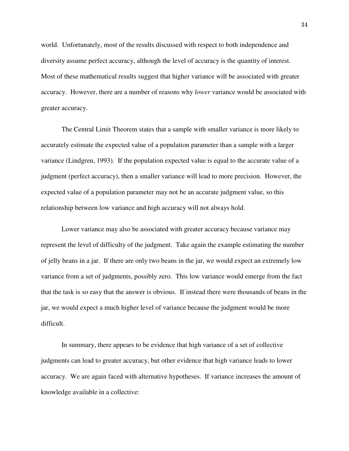world. Unfortunately, most of the results discussed with respect to both independence and diversity assume perfect accuracy, although the level of accuracy is the quantity of interest. Most of these mathematical results suggest that higher variance will be associated with greater accuracy. However, there are a number of reasons why *lower* variance would be associated with greater accuracy.

The Central Limit Theorem states that a sample with smaller variance is more likely to accurately estimate the expected value of a population parameter than a sample with a larger variance (Lindgren, 1993). If the population expected value is equal to the accurate value of a judgment (perfect accuracy), then a smaller variance will lead to more precision. However, the expected value of a population parameter may not be an accurate judgment value, so this relationship between low variance and high accuracy will not always hold.

Lower variance may also be associated with greater accuracy because variance may represent the level of difficulty of the judgment. Take again the example estimating the number of jelly beans in a jar. If there are only two beans in the jar, we would expect an extremely low variance from a set of judgments, possibly zero. This low variance would emerge from the fact that the task is so easy that the answer is obvious. If instead there were thousands of beans in the jar, we would expect a much higher level of variance because the judgment would be more difficult.

In summary, there appears to be evidence that high variance of a set of collective judgments can lead to greater accuracy, but other evidence that high variance leads to lower accuracy. We are again faced with alternative hypotheses. If variance increases the amount of knowledge available in a collective: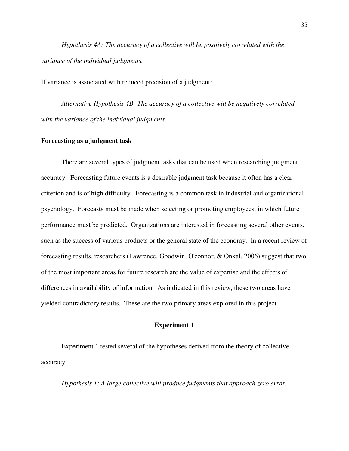*Hypothesis 4A: The accuracy of a collective will be positively correlated with the variance of the individual judgments.* 

If variance is associated with reduced precision of a judgment:

*Alternative Hypothesis 4B: The accuracy of a collective will be negatively correlated with the variance of the individual judgments.* 

#### **Forecasting as a judgment task**

 There are several types of judgment tasks that can be used when researching judgment accuracy. Forecasting future events is a desirable judgment task because it often has a clear criterion and is of high difficulty. Forecasting is a common task in industrial and organizational psychology. Forecasts must be made when selecting or promoting employees, in which future performance must be predicted. Organizations are interested in forecasting several other events, such as the success of various products or the general state of the economy. In a recent review of forecasting results, researchers (Lawrence, Goodwin, O'connor, & Onkal, 2006) suggest that two of the most important areas for future research are the value of expertise and the effects of differences in availability of information. As indicated in this review, these two areas have yielded contradictory results. These are the two primary areas explored in this project.

#### **Experiment 1**

 Experiment 1 tested several of the hypotheses derived from the theory of collective accuracy:

*Hypothesis 1: A large collective will produce judgments that approach zero error.*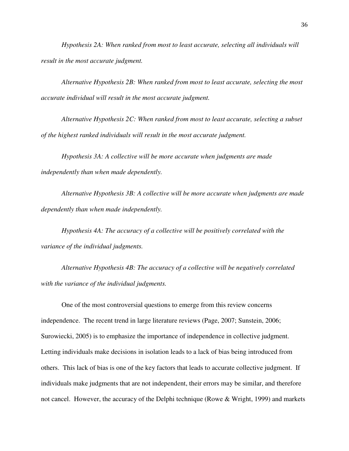*Hypothesis 2A: When ranked from most to least accurate, selecting all individuals will result in the most accurate judgment.* 

 *Alternative Hypothesis 2B: When ranked from most to least accurate, selecting the most accurate individual will result in the most accurate judgment.* 

*Alternative Hypothesis 2C: When ranked from most to least accurate, selecting a subset of the highest ranked individuals will result in the most accurate judgment.* 

*Hypothesis 3A: A collective will be more accurate when judgments are made independently than when made dependently.* 

*Alternative Hypothesis 3B: A collective will be more accurate when judgments are made dependently than when made independently.*

*Hypothesis 4A: The accuracy of a collective will be positively correlated with the variance of the individual judgments.* 

*Alternative Hypothesis 4B: The accuracy of a collective will be negatively correlated with the variance of the individual judgments.* 

One of the most controversial questions to emerge from this review concerns independence. The recent trend in large literature reviews (Page, 2007; Sunstein, 2006; Surowiecki, 2005) is to emphasize the importance of independence in collective judgment. Letting individuals make decisions in isolation leads to a lack of bias being introduced from others. This lack of bias is one of the key factors that leads to accurate collective judgment. If individuals make judgments that are not independent, their errors may be similar, and therefore not cancel. However, the accuracy of the Delphi technique (Rowe & Wright, 1999) and markets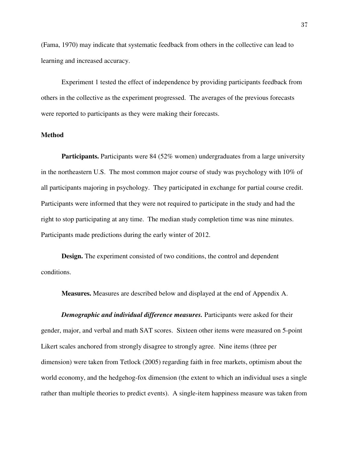(Fama, 1970) may indicate that systematic feedback from others in the collective can lead to learning and increased accuracy.

Experiment 1 tested the effect of independence by providing participants feedback from others in the collective as the experiment progressed. The averages of the previous forecasts were reported to participants as they were making their forecasts.

# **Method**

**Participants.** Participants were 84 (52% women) undergraduates from a large university in the northeastern U.S. The most common major course of study was psychology with 10% of all participants majoring in psychology. They participated in exchange for partial course credit. Participants were informed that they were not required to participate in the study and had the right to stop participating at any time. The median study completion time was nine minutes. Participants made predictions during the early winter of 2012.

**Design.** The experiment consisted of two conditions, the control and dependent conditions.

**Measures.** Measures are described below and displayed at the end of Appendix A.

*Demographic and individual difference measures.* Participants were asked for their gender, major, and verbal and math SAT scores. Sixteen other items were measured on 5-point Likert scales anchored from strongly disagree to strongly agree. Nine items (three per dimension) were taken from Tetlock (2005) regarding faith in free markets, optimism about the world economy, and the hedgehog-fox dimension (the extent to which an individual uses a single rather than multiple theories to predict events). A single-item happiness measure was taken from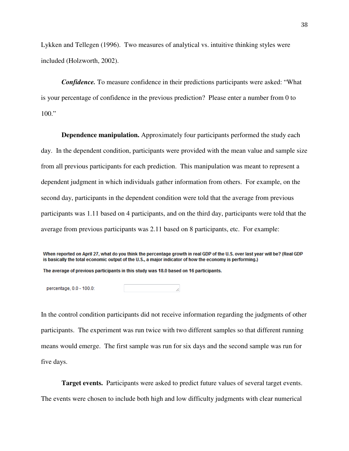Lykken and Tellegen (1996). Two measures of analytical vs. intuitive thinking styles were included (Holzworth, 2002).

*Confidence.* To measure confidence in their predictions participants were asked: "What is your percentage of confidence in the previous prediction? Please enter a number from 0 to 100."

**Dependence manipulation.** Approximately four participants performed the study each day. In the dependent condition, participants were provided with the mean value and sample size from all previous participants for each prediction. This manipulation was meant to represent a dependent judgment in which individuals gather information from others. For example, on the second day, participants in the dependent condition were told that the average from previous participants was 1.11 based on 4 participants, and on the third day, participants were told that the average from previous participants was 2.11 based on 8 participants, etc. For example:

When reported on April 27, what do you think the percentage growth in real GDP of the U.S. over last year will be? (Real GDP is basically the total economic output of the U.S., a major indicator of how the economy is performing.)

The average of previous participants in this study was 18.0 based on 16 participants.

percentage, 0.0 - 100.0:

In the control condition participants did not receive information regarding the judgments of other participants. The experiment was run twice with two different samples so that different running means would emerge. The first sample was run for six days and the second sample was run for five days.

**Target events.** Participants were asked to predict future values of several target events. The events were chosen to include both high and low difficulty judgments with clear numerical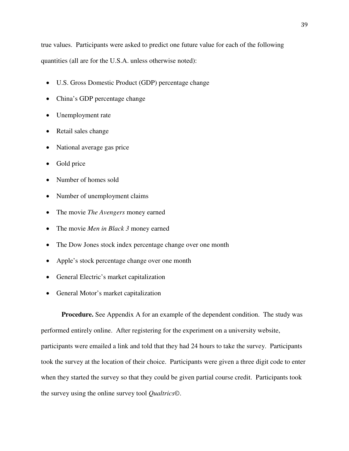true values. Participants were asked to predict one future value for each of the following quantities (all are for the U.S.A. unless otherwise noted):

- U.S. Gross Domestic Product (GDP) percentage change
- China's GDP percentage change
- Unemployment rate
- Retail sales change
- National average gas price
- Gold price
- Number of homes sold
- Number of unemployment claims
- The movie *The Avengers* money earned
- The movie *Men in Black 3* money earned
- The Dow Jones stock index percentage change over one month
- Apple's stock percentage change over one month
- General Electric's market capitalization
- General Motor's market capitalization

**Procedure.** See Appendix A for an example of the dependent condition. The study was performed entirely online. After registering for the experiment on a university website, participants were emailed a link and told that they had 24 hours to take the survey. Participants took the survey at the location of their choice. Participants were given a three digit code to enter when they started the survey so that they could be given partial course credit. Participants took the survey using the online survey tool *Qualtrics©*.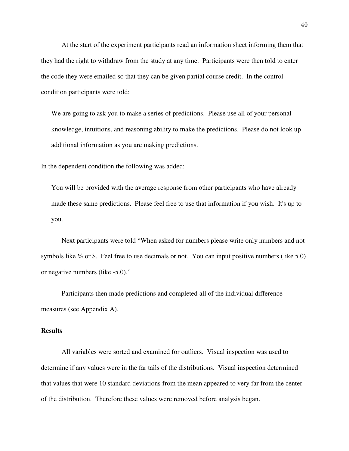At the start of the experiment participants read an information sheet informing them that they had the right to withdraw from the study at any time. Participants were then told to enter the code they were emailed so that they can be given partial course credit. In the control condition participants were told:

We are going to ask you to make a series of predictions. Please use all of your personal knowledge, intuitions, and reasoning ability to make the predictions. Please do not look up additional information as you are making predictions.

In the dependent condition the following was added:

You will be provided with the average response from other participants who have already made these same predictions. Please feel free to use that information if you wish. It's up to you.

Next participants were told "When asked for numbers please write only numbers and not symbols like % or \$. Feel free to use decimals or not. You can input positive numbers (like 5.0) or negative numbers (like -5.0)."

Participants then made predictions and completed all of the individual difference measures (see Appendix A).

## **Results**

 All variables were sorted and examined for outliers. Visual inspection was used to determine if any values were in the far tails of the distributions. Visual inspection determined that values that were 10 standard deviations from the mean appeared to very far from the center of the distribution. Therefore these values were removed before analysis began.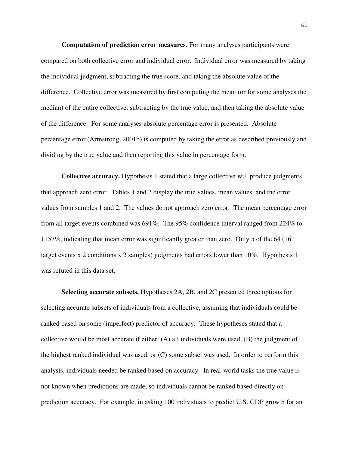**Computation of prediction error measures.** For many analyses participants were compared on both collective error and individual error. Individual error was measured by taking the individual judgment, subtracting the true score, and taking the absolute value of the difference. Collective error was measured by first computing the mean (or for some analyses the median) of the entire collective, subtracting by the true value, and then taking the absolute value of the difference. For some analyses absolute percentage error is presented. Absolute percentage error (Armstrong, 2001b) is computed by taking the error as described previously and dividing by the true value and then reporting this value in percentage form.

**Collective accuracy.** Hypothesis 1 stated that a large collective will produce judgments that approach zero error. Tables 1 and 2 display the true values, mean values, and the error values from samples 1 and 2. The values do not approach zero error. The mean percentage error from all target events combined was 691%. The 95% confidence interval ranged from 224% to 1157%, indicating that mean error was significantly greater than zero. Only 5 of the 64 (16 target events x 2 conditions x 2 samples) judgments had errors lower than 10%. Hypothesis 1 was refuted in this data set.

**Selecting accurate subsets.** Hypotheses 2A, 2B, and 2C presented three options for selecting accurate subsets of individuals from a collective, assuming that individuals could be ranked based on some (imperfect) predictor of accuracy. These hypotheses stated that a collective would be most accurate if either: (A) all individuals were used, (B) the judgment of the highest ranked individual was used, or (C) some subset was used. In order to perform this analysis, individuals needed be ranked based on accuracy. In real-world tasks the true value is not known when predictions are made, so individuals cannot be ranked based directly on prediction accuracy. For example, in asking 100 individuals to predict U.S. GDP growth for an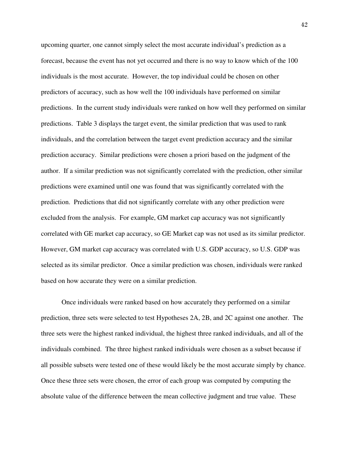upcoming quarter, one cannot simply select the most accurate individual's prediction as a forecast, because the event has not yet occurred and there is no way to know which of the 100 individuals is the most accurate. However, the top individual could be chosen on other predictors of accuracy, such as how well the 100 individuals have performed on similar predictions. In the current study individuals were ranked on how well they performed on similar predictions. Table 3 displays the target event, the similar prediction that was used to rank individuals, and the correlation between the target event prediction accuracy and the similar prediction accuracy. Similar predictions were chosen a priori based on the judgment of the author. If a similar prediction was not significantly correlated with the prediction, other similar predictions were examined until one was found that was significantly correlated with the prediction. Predictions that did not significantly correlate with any other prediction were excluded from the analysis. For example, GM market cap accuracy was not significantly correlated with GE market cap accuracy, so GE Market cap was not used as its similar predictor. However, GM market cap accuracy was correlated with U.S. GDP accuracy, so U.S. GDP was selected as its similar predictor. Once a similar prediction was chosen, individuals were ranked based on how accurate they were on a similar prediction.

Once individuals were ranked based on how accurately they performed on a similar prediction, three sets were selected to test Hypotheses 2A, 2B, and 2C against one another. The three sets were the highest ranked individual, the highest three ranked individuals, and all of the individuals combined. The three highest ranked individuals were chosen as a subset because if all possible subsets were tested one of these would likely be the most accurate simply by chance. Once these three sets were chosen, the error of each group was computed by computing the absolute value of the difference between the mean collective judgment and true value. These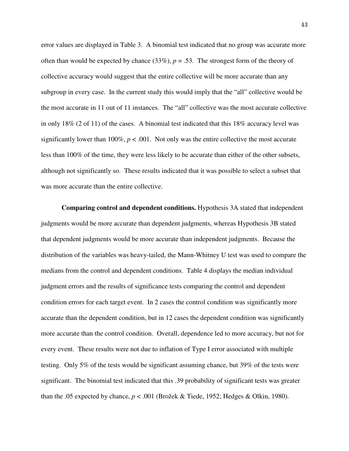error values are displayed in Table 3. A binomial test indicated that no group was accurate more often than would be expected by chance  $(33\%)$ ,  $p = .53$ . The strongest form of the theory of collective accuracy would suggest that the entire collective will be more accurate than any subgroup in every case. In the current study this would imply that the "all" collective would be the most accurate in 11 out of 11 instances. The "all" collective was the most accurate collective in only 18% (2 of 11) of the cases. A binomial test indicated that this 18% accuracy level was significantly lower than 100%,  $p < .001$ . Not only was the entire collective the most accurate less than 100% of the time, they were less likely to be accurate than either of the other subsets, although not significantly so. These results indicated that it was possible to select a subset that was more accurate than the entire collective.

**Comparing control and dependent conditions.** Hypothesis 3A stated that independent judgments would be more accurate than dependent judgments, whereas Hypothesis 3B stated that dependent judgments would be more accurate than independent judgments. Because the distribution of the variables was heavy-tailed, the Mann-Whitney U test was used to compare the medians from the control and dependent conditions. Table 4 displays the median individual judgment errors and the results of significance tests comparing the control and dependent condition errors for each target event. In 2 cases the control condition was significantly more accurate than the dependent condition, but in 12 cases the dependent condition was significantly more accurate than the control condition. Overall, dependence led to more accuracy, but not for every event. These results were not due to inflation of Type I error associated with multiple testing. Only 5% of the tests would be significant assuming chance, but 39% of the tests were significant. The binomial test indicated that this .39 probability of significant tests was greater than the .05 expected by chance,  $p < .001$  (Brožek & Tiede, 1952; Hedges & Olkin, 1980).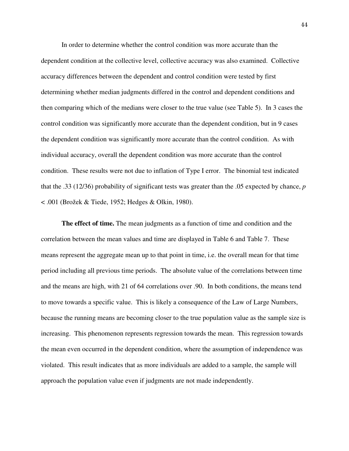In order to determine whether the control condition was more accurate than the dependent condition at the collective level, collective accuracy was also examined. Collective accuracy differences between the dependent and control condition were tested by first determining whether median judgments differed in the control and dependent conditions and then comparing which of the medians were closer to the true value (see Table 5). In 3 cases the control condition was significantly more accurate than the dependent condition, but in 9 cases the dependent condition was significantly more accurate than the control condition. As with individual accuracy, overall the dependent condition was more accurate than the control condition. These results were not due to inflation of Type I error. The binomial test indicated that the .33 (12/36) probability of significant tests was greater than the .05 expected by chance, *p* < .001 (Brožek & Tiede, 1952; Hedges & Olkin, 1980).

**The effect of time.** The mean judgments as a function of time and condition and the correlation between the mean values and time are displayed in Table 6 and Table 7. These means represent the aggregate mean up to that point in time, i.e. the overall mean for that time period including all previous time periods. The absolute value of the correlations between time and the means are high, with 21 of 64 correlations over .90. In both conditions, the means tend to move towards a specific value. This is likely a consequence of the Law of Large Numbers, because the running means are becoming closer to the true population value as the sample size is increasing. This phenomenon represents regression towards the mean. This regression towards the mean even occurred in the dependent condition, where the assumption of independence was violated. This result indicates that as more individuals are added to a sample, the sample will approach the population value even if judgments are not made independently.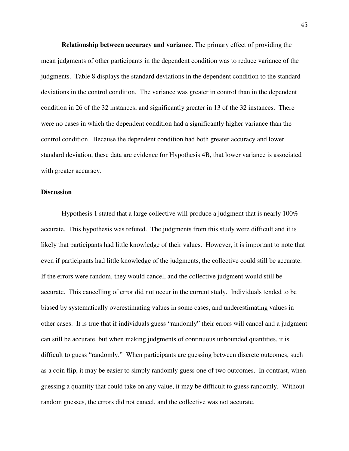**Relationship between accuracy and variance.** The primary effect of providing the mean judgments of other participants in the dependent condition was to reduce variance of the judgments. Table 8 displays the standard deviations in the dependent condition to the standard deviations in the control condition. The variance was greater in control than in the dependent condition in 26 of the 32 instances, and significantly greater in 13 of the 32 instances. There were no cases in which the dependent condition had a significantly higher variance than the control condition. Because the dependent condition had both greater accuracy and lower standard deviation, these data are evidence for Hypothesis 4B, that lower variance is associated with greater accuracy.

# **Discussion**

 Hypothesis 1 stated that a large collective will produce a judgment that is nearly 100% accurate. This hypothesis was refuted. The judgments from this study were difficult and it is likely that participants had little knowledge of their values. However, it is important to note that even if participants had little knowledge of the judgments, the collective could still be accurate. If the errors were random, they would cancel, and the collective judgment would still be accurate. This cancelling of error did not occur in the current study. Individuals tended to be biased by systematically overestimating values in some cases, and underestimating values in other cases. It is true that if individuals guess "randomly" their errors will cancel and a judgment can still be accurate, but when making judgments of continuous unbounded quantities, it is difficult to guess "randomly." When participants are guessing between discrete outcomes, such as a coin flip, it may be easier to simply randomly guess one of two outcomes. In contrast, when guessing a quantity that could take on any value, it may be difficult to guess randomly. Without random guesses, the errors did not cancel, and the collective was not accurate.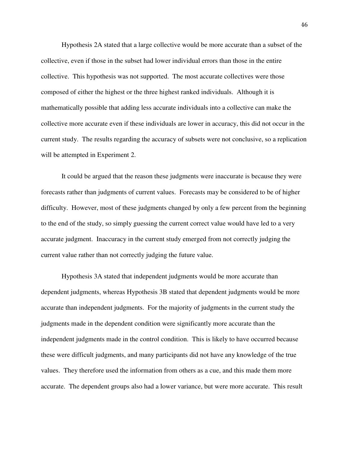Hypothesis 2A stated that a large collective would be more accurate than a subset of the collective, even if those in the subset had lower individual errors than those in the entire collective. This hypothesis was not supported. The most accurate collectives were those composed of either the highest or the three highest ranked individuals. Although it is mathematically possible that adding less accurate individuals into a collective can make the collective more accurate even if these individuals are lower in accuracy, this did not occur in the current study. The results regarding the accuracy of subsets were not conclusive, so a replication will be attempted in Experiment 2.

 It could be argued that the reason these judgments were inaccurate is because they were forecasts rather than judgments of current values. Forecasts may be considered to be of higher difficulty. However, most of these judgments changed by only a few percent from the beginning to the end of the study, so simply guessing the current correct value would have led to a very accurate judgment. Inaccuracy in the current study emerged from not correctly judging the current value rather than not correctly judging the future value.

Hypothesis 3A stated that independent judgments would be more accurate than dependent judgments, whereas Hypothesis 3B stated that dependent judgments would be more accurate than independent judgments. For the majority of judgments in the current study the judgments made in the dependent condition were significantly more accurate than the independent judgments made in the control condition. This is likely to have occurred because these were difficult judgments, and many participants did not have any knowledge of the true values. They therefore used the information from others as a cue, and this made them more accurate. The dependent groups also had a lower variance, but were more accurate. This result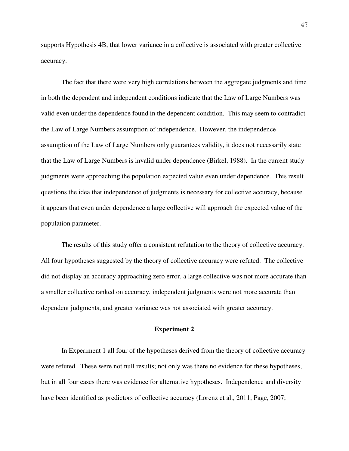supports Hypothesis 4B, that lower variance in a collective is associated with greater collective accuracy.

The fact that there were very high correlations between the aggregate judgments and time in both the dependent and independent conditions indicate that the Law of Large Numbers was valid even under the dependence found in the dependent condition. This may seem to contradict the Law of Large Numbers assumption of independence. However, the independence assumption of the Law of Large Numbers only guarantees validity, it does not necessarily state that the Law of Large Numbers is invalid under dependence (Birkel, 1988). In the current study judgments were approaching the population expected value even under dependence. This result questions the idea that independence of judgments is necessary for collective accuracy, because it appears that even under dependence a large collective will approach the expected value of the population parameter.

The results of this study offer a consistent refutation to the theory of collective accuracy. All four hypotheses suggested by the theory of collective accuracy were refuted. The collective did not display an accuracy approaching zero error, a large collective was not more accurate than a smaller collective ranked on accuracy, independent judgments were not more accurate than dependent judgments, and greater variance was not associated with greater accuracy.

#### **Experiment 2**

 In Experiment 1 all four of the hypotheses derived from the theory of collective accuracy were refuted. These were not null results; not only was there no evidence for these hypotheses, but in all four cases there was evidence for alternative hypotheses. Independence and diversity have been identified as predictors of collective accuracy (Lorenz et al., 2011; Page, 2007;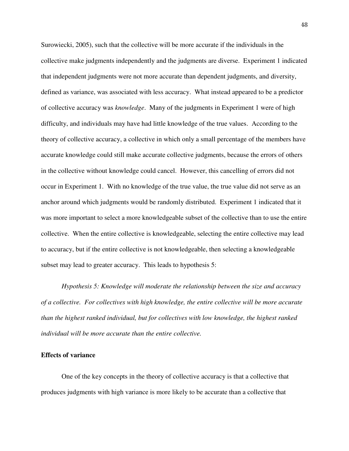Surowiecki, 2005), such that the collective will be more accurate if the individuals in the collective make judgments independently and the judgments are diverse. Experiment 1 indicated that independent judgments were not more accurate than dependent judgments, and diversity, defined as variance, was associated with less accuracy. What instead appeared to be a predictor of collective accuracy was *knowledge*. Many of the judgments in Experiment 1 were of high difficulty, and individuals may have had little knowledge of the true values. According to the theory of collective accuracy, a collective in which only a small percentage of the members have accurate knowledge could still make accurate collective judgments, because the errors of others in the collective without knowledge could cancel. However, this cancelling of errors did not occur in Experiment 1. With no knowledge of the true value, the true value did not serve as an anchor around which judgments would be randomly distributed. Experiment 1 indicated that it was more important to select a more knowledgeable subset of the collective than to use the entire collective. When the entire collective is knowledgeable, selecting the entire collective may lead to accuracy, but if the entire collective is not knowledgeable, then selecting a knowledgeable subset may lead to greater accuracy. This leads to hypothesis 5:

*Hypothesis 5: Knowledge will moderate the relationship between the size and accuracy of a collective. For collectives with high knowledge, the entire collective will be more accurate than the highest ranked individual, but for collectives with low knowledge, the highest ranked individual will be more accurate than the entire collective.* 

#### **Effects of variance**

One of the key concepts in the theory of collective accuracy is that a collective that produces judgments with high variance is more likely to be accurate than a collective that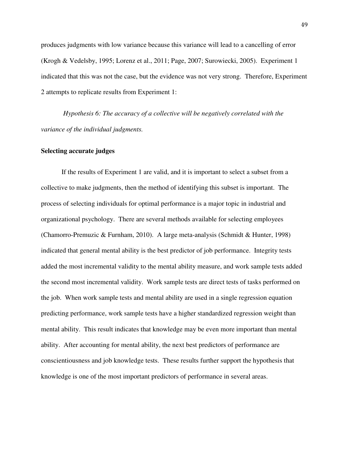produces judgments with low variance because this variance will lead to a cancelling of error (Krogh & Vedelsby, 1995; Lorenz et al., 2011; Page, 2007; Surowiecki, 2005). Experiment 1 indicated that this was not the case, but the evidence was not very strong. Therefore, Experiment 2 attempts to replicate results from Experiment 1:

*Hypothesis 6: The accuracy of a collective will be negatively correlated with the variance of the individual judgments.* 

# **Selecting accurate judges**

If the results of Experiment 1 are valid, and it is important to select a subset from a collective to make judgments, then the method of identifying this subset is important. The process of selecting individuals for optimal performance is a major topic in industrial and organizational psychology. There are several methods available for selecting employees (Chamorro-Premuzic & Furnham, 2010). A large meta-analysis (Schmidt & Hunter, 1998) indicated that general mental ability is the best predictor of job performance. Integrity tests added the most incremental validity to the mental ability measure, and work sample tests added the second most incremental validity. Work sample tests are direct tests of tasks performed on the job. When work sample tests and mental ability are used in a single regression equation predicting performance, work sample tests have a higher standardized regression weight than mental ability. This result indicates that knowledge may be even more important than mental ability. After accounting for mental ability, the next best predictors of performance are conscientiousness and job knowledge tests. These results further support the hypothesis that knowledge is one of the most important predictors of performance in several areas.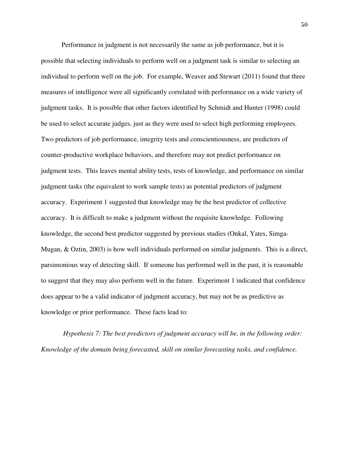Performance in judgment is not necessarily the same as job performance, but it is possible that selecting individuals to perform well on a judgment task is similar to selecting an individual to perform well on the job. For example, Weaver and Stewart (2011) found that three measures of intelligence were all significantly correlated with performance on a wide variety of judgment tasks. It is possible that other factors identified by Schmidt and Hunter (1998) could be used to select accurate judges, just as they were used to select high performing employees. Two predictors of job performance, integrity tests and conscientiousness, are predictors of counter-productive workplace behaviors, and therefore may not predict performance on judgment tests. This leaves mental ability tests, tests of knowledge, and performance on similar judgment tasks (the equivalent to work sample tests) as potential predictors of judgment accuracy. Experiment 1 suggested that knowledge may be the best predictor of collective accuracy. It is difficult to make a judgment without the requisite knowledge. Following knowledge, the second best predictor suggested by previous studies (Onkal, Yates, Simga-Mugan, & Oztin, 2003) is how well individuals performed on similar judgments. This is a direct, parsimonious way of detecting skill. If someone has performed well in the past, it is reasonable to suggest that they may also perform well in the future. Experiment 1 indicated that confidence does appear to be a valid indicator of judgment accuracy, but may not be as predictive as knowledge or prior performance. These facts lead to:

*Hypothesis 7: The best predictors of judgment accuracy will be, in the following order: Knowledge of the domain being forecasted, skill on similar forecasting tasks, and confidence.*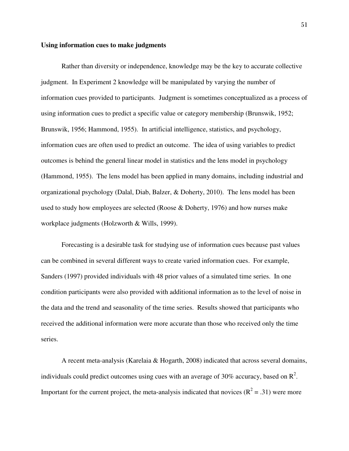#### **Using information cues to make judgments**

 Rather than diversity or independence, knowledge may be the key to accurate collective judgment. In Experiment 2 knowledge will be manipulated by varying the number of information cues provided to participants. Judgment is sometimes conceptualized as a process of using information cues to predict a specific value or category membership (Brunswik, 1952; Brunswik, 1956; Hammond, 1955). In artificial intelligence, statistics, and psychology, information cues are often used to predict an outcome. The idea of using variables to predict outcomes is behind the general linear model in statistics and the lens model in psychology (Hammond, 1955). The lens model has been applied in many domains, including industrial and organizational psychology (Dalal, Diab, Balzer, & Doherty, 2010). The lens model has been used to study how employees are selected (Roose & Doherty, 1976) and how nurses make workplace judgments (Holzworth & Wills, 1999).

Forecasting is a desirable task for studying use of information cues because past values can be combined in several different ways to create varied information cues. For example, Sanders (1997) provided individuals with 48 prior values of a simulated time series. In one condition participants were also provided with additional information as to the level of noise in the data and the trend and seasonality of the time series. Results showed that participants who received the additional information were more accurate than those who received only the time series.

A recent meta-analysis (Karelaia & Hogarth, 2008) indicated that across several domains, individuals could predict outcomes using cues with an average of 30% accuracy, based on  $\mathbb{R}^2$ . Important for the current project, the meta-analysis indicated that novices ( $\mathbb{R}^2 = .31$ ) were more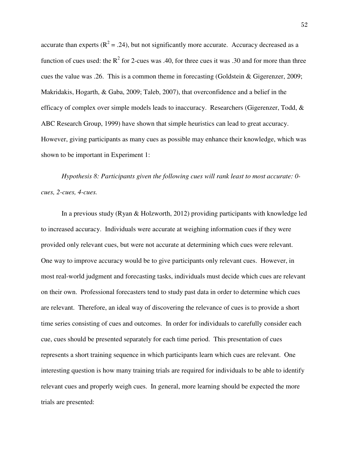accurate than experts ( $R^2 = .24$ ), but not significantly more accurate. Accuracy decreased as a function of cues used: the  $R^2$  for 2-cues was .40, for three cues it was .30 and for more than three cues the value was .26. This is a common theme in forecasting (Goldstein & Gigerenzer, 2009; Makridakis, Hogarth, & Gaba, 2009; Taleb, 2007), that overconfidence and a belief in the efficacy of complex over simple models leads to inaccuracy. Researchers (Gigerenzer, Todd, & ABC Research Group, 1999) have shown that simple heuristics can lead to great accuracy. However, giving participants as many cues as possible may enhance their knowledge, which was shown to be important in Experiment 1:

*Hypothesis 8: Participants given the following cues will rank least to most accurate: 0 cues, 2-cues, 4-cues.* 

In a previous study (Ryan & Holzworth, 2012) providing participants with knowledge led to increased accuracy. Individuals were accurate at weighing information cues if they were provided only relevant cues, but were not accurate at determining which cues were relevant. One way to improve accuracy would be to give participants only relevant cues. However, in most real-world judgment and forecasting tasks, individuals must decide which cues are relevant on their own. Professional forecasters tend to study past data in order to determine which cues are relevant. Therefore, an ideal way of discovering the relevance of cues is to provide a short time series consisting of cues and outcomes. In order for individuals to carefully consider each cue, cues should be presented separately for each time period. This presentation of cues represents a short training sequence in which participants learn which cues are relevant. One interesting question is how many training trials are required for individuals to be able to identify relevant cues and properly weigh cues. In general, more learning should be expected the more trials are presented: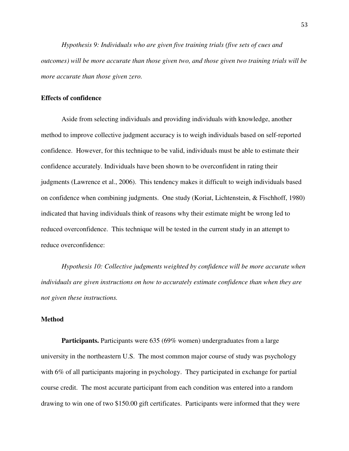*Hypothesis 9: Individuals who are given five training trials (five sets of cues and outcomes) will be more accurate than those given two, and those given two training trials will be more accurate than those given zero.* 

# **Effects of confidence**

Aside from selecting individuals and providing individuals with knowledge, another method to improve collective judgment accuracy is to weigh individuals based on self-reported confidence. However, for this technique to be valid, individuals must be able to estimate their confidence accurately. Individuals have been shown to be overconfident in rating their judgments (Lawrence et al., 2006). This tendency makes it difficult to weigh individuals based on confidence when combining judgments. One study (Koriat, Lichtenstein, & Fischhoff, 1980) indicated that having individuals think of reasons why their estimate might be wrong led to reduced overconfidence. This technique will be tested in the current study in an attempt to reduce overconfidence:

*Hypothesis 10: Collective judgments weighted by confidence will be more accurate when individuals are given instructions on how to accurately estimate confidence than when they are not given these instructions.* 

# **Method**

**Participants.** Participants were 635 (69% women) undergraduates from a large university in the northeastern U.S. The most common major course of study was psychology with 6% of all participants majoring in psychology. They participated in exchange for partial course credit. The most accurate participant from each condition was entered into a random drawing to win one of two \$150.00 gift certificates. Participants were informed that they were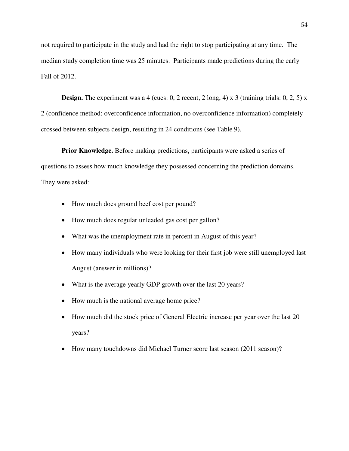not required to participate in the study and had the right to stop participating at any time. The median study completion time was 25 minutes. Participants made predictions during the early Fall of 2012.

**Design.** The experiment was a 4 (cues:  $0, 2$  recent,  $2 \text{ long}$ ,  $4$ ) x  $3$  (training trials:  $0, 2, 5$ ) x 2 (confidence method: overconfidence information, no overconfidence information) completely crossed between subjects design, resulting in 24 conditions (see Table 9).

**Prior Knowledge.** Before making predictions, participants were asked a series of questions to assess how much knowledge they possessed concerning the prediction domains. They were asked:

- How much does ground beef cost per pound?
- How much does regular unleaded gas cost per gallon?
- What was the unemployment rate in percent in August of this year?
- How many individuals who were looking for their first job were still unemployed last August (answer in millions)?
- What is the average yearly GDP growth over the last 20 years?
- How much is the national average home price?
- How much did the stock price of General Electric increase per year over the last 20 years?
- How many touchdowns did Michael Turner score last season (2011 season)?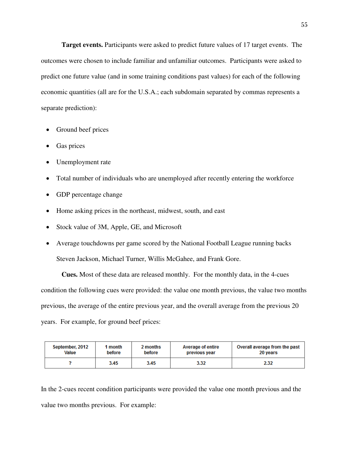**Target events.** Participants were asked to predict future values of 17 target events. The outcomes were chosen to include familiar and unfamiliar outcomes. Participants were asked to predict one future value (and in some training conditions past values) for each of the following economic quantities (all are for the U.S.A.; each subdomain separated by commas represents a separate prediction):

- Ground beef prices
- Gas prices
- Unemployment rate
- Total number of individuals who are unemployed after recently entering the workforce
- GDP percentage change
- Home asking prices in the northeast, midwest, south, and east
- Stock value of 3M, Apple, GE, and Microsoft
- Average touchdowns per game scored by the National Football League running backs Steven Jackson, Michael Turner, Willis McGahee, and Frank Gore.

**Cues.** Most of these data are released monthly. For the monthly data, in the 4-cues condition the following cues were provided: the value one month previous, the value two months previous, the average of the entire previous year, and the overall average from the previous 20 years. For example, for ground beef prices:

| September, 2012 | 1 month | 2 months | Average of entire | Overall average from the past |
|-----------------|---------|----------|-------------------|-------------------------------|
| Value           | before  | before   | previous year     | 20 years                      |
|                 | 3.45    | 3.45     | 3.32              | 2.32                          |

In the 2-cues recent condition participants were provided the value one month previous and the value two months previous. For example: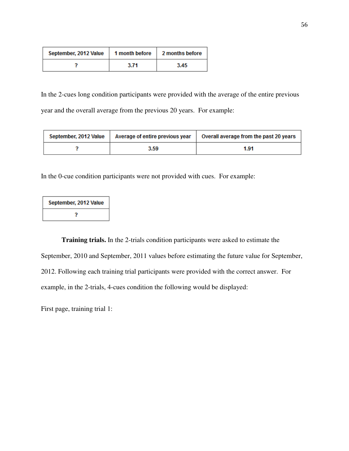| September, 2012 Value | 1 month before | 2 months before |
|-----------------------|----------------|-----------------|
|                       | 3.71           | 3.45            |

In the 2-cues long condition participants were provided with the average of the entire previous year and the overall average from the previous 20 years. For example:

| September, 2012 Value | Average of entire previous year | Overall average from the past 20 years |
|-----------------------|---------------------------------|----------------------------------------|
|                       | 3.59                            | 1.91                                   |

In the 0-cue condition participants were not provided with cues. For example:

| September, 2012 Value |  |  |  |
|-----------------------|--|--|--|
|                       |  |  |  |

**Training trials.** In the 2-trials condition participants were asked to estimate the September, 2010 and September, 2011 values before estimating the future value for September, 2012. Following each training trial participants were provided with the correct answer. For example, in the 2-trials, 4-cues condition the following would be displayed:

First page, training trial 1: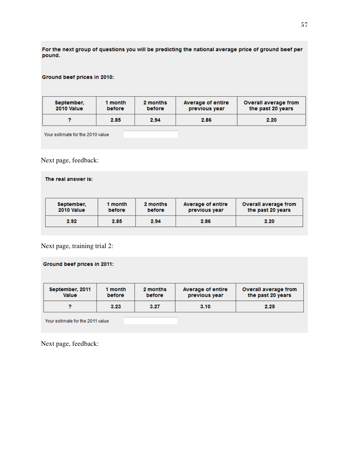For the next group of questions you will be predicting the national average price of ground beef per pound.

## Ground beef prices in 2010:

| September. | 1 month | 2 months | Average of entire | Overall average from |
|------------|---------|----------|-------------------|----------------------|
| 2010 Value | before  | before   | previous year     | the past 20 years    |
|            | 2.85    | 2.94     | 2.86              | 2.20                 |

Your estimate for the 2010 value

Next page, feedback:

| The real answer is:      |                   |                    |                                    |                                           |
|--------------------------|-------------------|--------------------|------------------------------------|-------------------------------------------|
| September,<br>2010 Value | 1 month<br>before | 2 months<br>before | Average of entire<br>previous year | Overall average from<br>the past 20 years |
| 2.92                     | 2.85              | 2.94               | 2.86                               | 2.20                                      |

Next page, training trial 2:

Ground beef prices in 2011:

| September, 2011<br><b>Value</b>  | 1 month<br>before | 2 months<br>before | Average of entire<br>previous year | Overall average from<br>the past 20 years |
|----------------------------------|-------------------|--------------------|------------------------------------|-------------------------------------------|
|                                  | 3.23              | 3.27               | 3.10                               | 2.25                                      |
| Your estimate for the 2011 value |                   |                    |                                    |                                           |

Next page, feedback: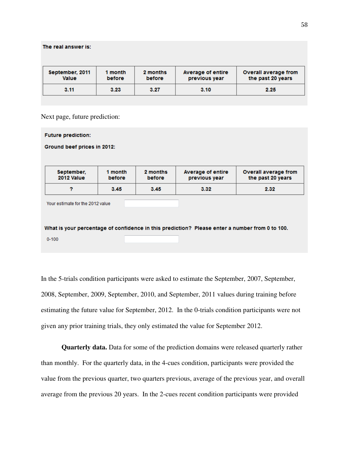| September, 2011<br><b>Value</b> | 1 month<br>before | 2 months<br>before | Average of entire<br>previous year | Overall average from<br>the past 20 years |
|---------------------------------|-------------------|--------------------|------------------------------------|-------------------------------------------|
| 3.11                            | 3.23              | 3.27               | 3.10                               | 2.25                                      |

Next page, future prediction:

The real answer is:

| <b>Future prediction:</b>        |                   |                    |                                                                                                |                                           |  |
|----------------------------------|-------------------|--------------------|------------------------------------------------------------------------------------------------|-------------------------------------------|--|
| Ground beef prices in 2012:      |                   |                    |                                                                                                |                                           |  |
|                                  |                   |                    |                                                                                                |                                           |  |
| September,<br>2012 Value         | 1 month<br>before | 2 months<br>before | Average of entire<br>previous year                                                             | Overall average from<br>the past 20 years |  |
| 2                                | 3.45              | 3.45               | 3.32                                                                                           | 2.32                                      |  |
| Your estimate for the 2012 value |                   |                    |                                                                                                |                                           |  |
|                                  |                   |                    | What is your percentage of confidence in this prediction? Please enter a number from 0 to 100. |                                           |  |

 $0 - 100$ 

In the 5-trials condition participants were asked to estimate the September, 2007, September, 2008, September, 2009, September, 2010, and September, 2011 values during training before estimating the future value for September, 2012. In the 0-trials condition participants were not given any prior training trials, they only estimated the value for September 2012.

**Quarterly data.** Data for some of the prediction domains were released quarterly rather than monthly. For the quarterly data, in the 4-cues condition, participants were provided the value from the previous quarter, two quarters previous, average of the previous year, and overall average from the previous 20 years. In the 2-cues recent condition participants were provided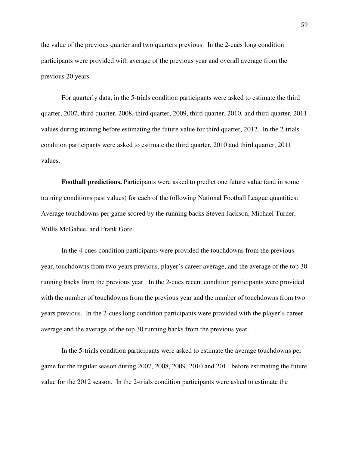the value of the previous quarter and two quarters previous. In the 2-cues long condition participants were provided with average of the previous year and overall average from the previous 20 years.

 For quarterly data, in the 5-trials condition participants were asked to estimate the third quarter, 2007, third quarter, 2008, third quarter, 2009, third quarter, 2010, and third quarter, 2011 values during training before estimating the future value for third quarter, 2012. In the 2-trials condition participants were asked to estimate the third quarter, 2010 and third quarter, 2011 values.

**Football predictions.** Participants were asked to predict one future value (and in some training conditions past values) for each of the following National Football League quantities: Average touchdowns per game scored by the running backs Steven Jackson, Michael Turner, Willis McGahee, and Frank Gore.

 In the 4-cues condition participants were provided the touchdowns from the previous year, touchdowns from two years previous, player's career average, and the average of the top 30 running backs from the previous year. In the 2-cues recent condition participants were provided with the number of touchdowns from the previous year and the number of touchdowns from two years previous. In the 2-cues long condition participants were provided with the player's career average and the average of the top 30 running backs from the previous year.

 In the 5-trials condition participants were asked to estimate the average touchdowns per game for the regular season during 2007, 2008, 2009, 2010 and 2011 before estimating the future value for the 2012 season. In the 2-trials condition participants were asked to estimate the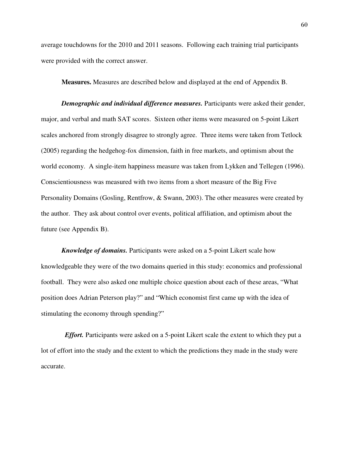average touchdowns for the 2010 and 2011 seasons. Following each training trial participants were provided with the correct answer.

**Measures.** Measures are described below and displayed at the end of Appendix B.

*Demographic and individual difference measures.* Participants were asked their gender, major, and verbal and math SAT scores. Sixteen other items were measured on 5-point Likert scales anchored from strongly disagree to strongly agree. Three items were taken from Tetlock (2005) regarding the hedgehog-fox dimension, faith in free markets, and optimism about the world economy. A single-item happiness measure was taken from Lykken and Tellegen (1996). Conscientiousness was measured with two items from a short measure of the Big Five Personality Domains (Gosling, Rentfrow, & Swann, 2003). The other measures were created by the author. They ask about control over events, political affiliation, and optimism about the future (see Appendix B).

*Knowledge of domains.* Participants were asked on a 5-point Likert scale how knowledgeable they were of the two domains queried in this study: economics and professional football. They were also asked one multiple choice question about each of these areas, "What position does Adrian Peterson play?" and "Which economist first came up with the idea of stimulating the economy through spending?"

 *Effort.* Participants were asked on a 5-point Likert scale the extent to which they put a lot of effort into the study and the extent to which the predictions they made in the study were accurate.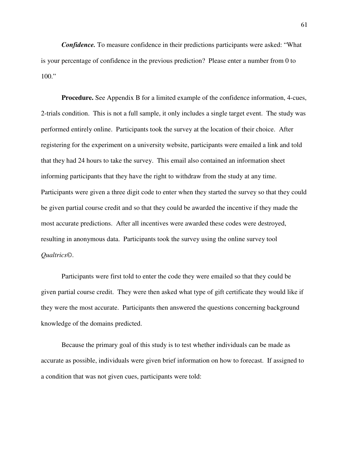*Confidence.* To measure confidence in their predictions participants were asked: "What is your percentage of confidence in the previous prediction? Please enter a number from 0 to 100."

**Procedure.** See Appendix B for a limited example of the confidence information, 4-cues, 2-trials condition. This is not a full sample, it only includes a single target event. The study was performed entirely online. Participants took the survey at the location of their choice. After registering for the experiment on a university website, participants were emailed a link and told that they had 24 hours to take the survey. This email also contained an information sheet informing participants that they have the right to withdraw from the study at any time. Participants were given a three digit code to enter when they started the survey so that they could be given partial course credit and so that they could be awarded the incentive if they made the most accurate predictions. After all incentives were awarded these codes were destroyed, resulting in anonymous data. Participants took the survey using the online survey tool *Qualtrics©*.

 Participants were first told to enter the code they were emailed so that they could be given partial course credit. They were then asked what type of gift certificate they would like if they were the most accurate. Participants then answered the questions concerning background knowledge of the domains predicted.

Because the primary goal of this study is to test whether individuals can be made as accurate as possible, individuals were given brief information on how to forecast. If assigned to a condition that was not given cues, participants were told: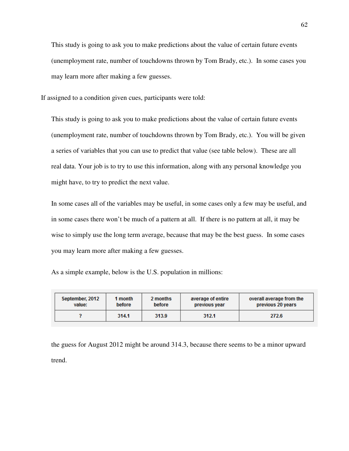This study is going to ask you to make predictions about the value of certain future events (unemployment rate, number of touchdowns thrown by Tom Brady, etc.). In some cases you may learn more after making a few guesses.

If assigned to a condition given cues, participants were told:

This study is going to ask you to make predictions about the value of certain future events (unemployment rate, number of touchdowns thrown by Tom Brady, etc.). You will be given a series of variables that you can use to predict that value (see table below). These are all real data. Your job is to try to use this information, along with any personal knowledge you might have, to try to predict the next value.

In some cases all of the variables may be useful, in some cases only a few may be useful, and in some cases there won't be much of a pattern at all. If there is no pattern at all, it may be wise to simply use the long term average, because that may be the best guess. In some cases you may learn more after making a few guesses.

|  |  | As a simple example, below is the U.S. population in millions: |
|--|--|----------------------------------------------------------------|
|--|--|----------------------------------------------------------------|

| September, 2012 | 1 month | 2 months | average of entire | overall average from the |
|-----------------|---------|----------|-------------------|--------------------------|
| value:          | before  | before   | previous year     | previous 20 years        |
|                 | 314.1   | 313.9    | 312.1             | 272.6                    |

the guess for August 2012 might be around 314.3, because there seems to be a minor upward trend.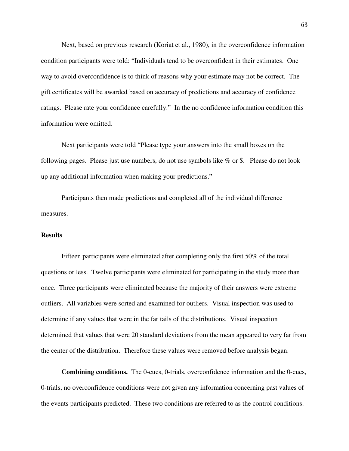Next, based on previous research (Koriat et al., 1980), in the overconfidence information condition participants were told: "Individuals tend to be overconfident in their estimates. One way to avoid overconfidence is to think of reasons why your estimate may not be correct. The gift certificates will be awarded based on accuracy of predictions and accuracy of confidence ratings. Please rate your confidence carefully." In the no confidence information condition this information were omitted.

Next participants were told "Please type your answers into the small boxes on the following pages. Please just use numbers, do not use symbols like % or \$. Please do not look up any additional information when making your predictions."

Participants then made predictions and completed all of the individual difference measures.

# **Results**

Fifteen participants were eliminated after completing only the first 50% of the total questions or less. Twelve participants were eliminated for participating in the study more than once. Three participants were eliminated because the majority of their answers were extreme outliers. All variables were sorted and examined for outliers. Visual inspection was used to determine if any values that were in the far tails of the distributions. Visual inspection determined that values that were 20 standard deviations from the mean appeared to very far from the center of the distribution. Therefore these values were removed before analysis began.

**Combining conditions.** The 0-cues, 0-trials, overconfidence information and the 0-cues, 0-trials, no overconfidence conditions were not given any information concerning past values of the events participants predicted. These two conditions are referred to as the control conditions.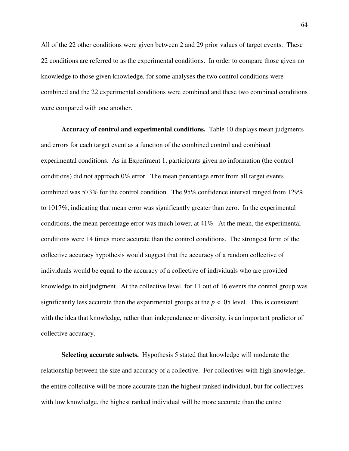All of the 22 other conditions were given between 2 and 29 prior values of target events. These 22 conditions are referred to as the experimental conditions. In order to compare those given no knowledge to those given knowledge, for some analyses the two control conditions were combined and the 22 experimental conditions were combined and these two combined conditions were compared with one another.

**Accuracy of control and experimental conditions.** Table 10 displays mean judgments and errors for each target event as a function of the combined control and combined experimental conditions. As in Experiment 1, participants given no information (the control conditions) did not approach 0% error. The mean percentage error from all target events combined was 573% for the control condition. The 95% confidence interval ranged from 129% to 1017%, indicating that mean error was significantly greater than zero. In the experimental conditions, the mean percentage error was much lower, at 41%. At the mean, the experimental conditions were 14 times more accurate than the control conditions. The strongest form of the collective accuracy hypothesis would suggest that the accuracy of a random collective of individuals would be equal to the accuracy of a collective of individuals who are provided knowledge to aid judgment. At the collective level, for 11 out of 16 events the control group was significantly less accurate than the experimental groups at the  $p < .05$  level. This is consistent with the idea that knowledge, rather than independence or diversity, is an important predictor of collective accuracy.

**Selecting accurate subsets.** Hypothesis 5 stated that knowledge will moderate the relationship between the size and accuracy of a collective. For collectives with high knowledge, the entire collective will be more accurate than the highest ranked individual, but for collectives with low knowledge, the highest ranked individual will be more accurate than the entire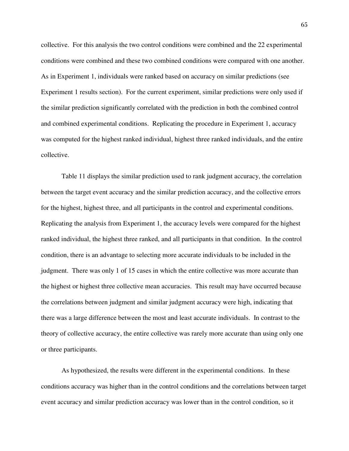collective. For this analysis the two control conditions were combined and the 22 experimental conditions were combined and these two combined conditions were compared with one another. As in Experiment 1, individuals were ranked based on accuracy on similar predictions (see Experiment 1 results section). For the current experiment, similar predictions were only used if the similar prediction significantly correlated with the prediction in both the combined control and combined experimental conditions. Replicating the procedure in Experiment 1, accuracy was computed for the highest ranked individual, highest three ranked individuals, and the entire collective.

Table 11 displays the similar prediction used to rank judgment accuracy, the correlation between the target event accuracy and the similar prediction accuracy, and the collective errors for the highest, highest three, and all participants in the control and experimental conditions. Replicating the analysis from Experiment 1, the accuracy levels were compared for the highest ranked individual, the highest three ranked, and all participants in that condition. In the control condition, there is an advantage to selecting more accurate individuals to be included in the judgment. There was only 1 of 15 cases in which the entire collective was more accurate than the highest or highest three collective mean accuracies. This result may have occurred because the correlations between judgment and similar judgment accuracy were high, indicating that there was a large difference between the most and least accurate individuals. In contrast to the theory of collective accuracy, the entire collective was rarely more accurate than using only one or three participants.

As hypothesized, the results were different in the experimental conditions. In these conditions accuracy was higher than in the control conditions and the correlations between target event accuracy and similar prediction accuracy was lower than in the control condition, so it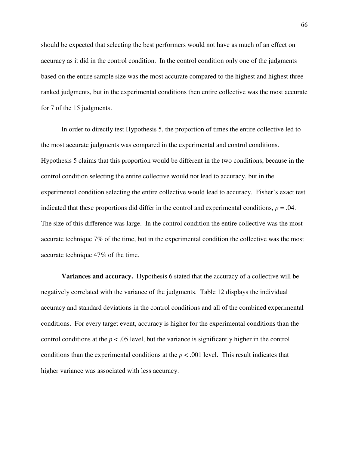should be expected that selecting the best performers would not have as much of an effect on accuracy as it did in the control condition. In the control condition only one of the judgments based on the entire sample size was the most accurate compared to the highest and highest three ranked judgments, but in the experimental conditions then entire collective was the most accurate for 7 of the 15 judgments.

In order to directly test Hypothesis 5, the proportion of times the entire collective led to the most accurate judgments was compared in the experimental and control conditions. Hypothesis 5 claims that this proportion would be different in the two conditions, because in the control condition selecting the entire collective would not lead to accuracy, but in the experimental condition selecting the entire collective would lead to accuracy. Fisher's exact test indicated that these proportions did differ in the control and experimental conditions,  $p = .04$ . The size of this difference was large. In the control condition the entire collective was the most accurate technique 7% of the time, but in the experimental condition the collective was the most accurate technique 47% of the time.

**Variances and accuracy.** Hypothesis 6 stated that the accuracy of a collective will be negatively correlated with the variance of the judgments. Table 12 displays the individual accuracy and standard deviations in the control conditions and all of the combined experimental conditions. For every target event, accuracy is higher for the experimental conditions than the control conditions at the  $p < .05$  level, but the variance is significantly higher in the control conditions than the experimental conditions at the  $p < .001$  level. This result indicates that higher variance was associated with less accuracy.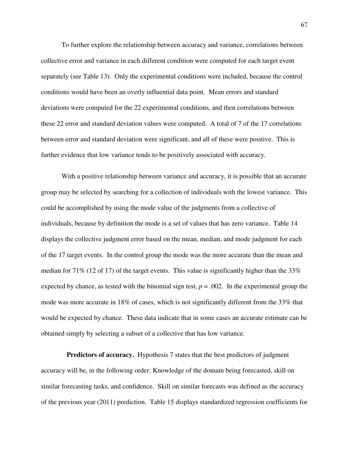To further explore the relationship between accuracy and variance, correlations between collective error and variance in each different condition were computed for each target event separately (see Table 13). Only the experimental conditions were included, because the control conditions would have been an overly influential data point. Mean errors and standard deviations were computed for the 22 experimental conditions, and then correlations between these 22 error and standard deviation values were computed. A total of 7 of the 17 correlations between error and standard deviation were significant, and all of these were positive. This is further evidence that low variance tends to be positively associated with accuracy.

With a positive relationship between variance and accuracy, it is possible that an accurate group may be selected by searching for a collection of individuals with the lowest variance. This could be accomplished by using the mode value of the judgments from a collective of individuals, because by definition the mode is a set of values that has zero variance. Table 14 displays the collective judgment error based on the mean, median, and mode judgment for each of the 17 target events. In the control group the mode was the more accurate than the mean and median for 71% (12 of 17) of the target events. This value is significantly higher than the 33% expected by chance, as tested with the binomial sign test,  $p = .002$ . In the experimental group the mode was more accurate in 18% of cases, which is not significantly different from the 33% that would be expected by chance. These data indicate that in some cases an accurate estimate can be obtained simply by selecting a subset of a collective that has low variance.

**Predictors of accuracy.** Hypothesis 7 states that the best predictors of judgment accuracy will be, in the following order: Knowledge of the domain being forecasted, skill on similar forecasting tasks, and confidence. Skill on similar forecasts was defined as the accuracy of the previous year (2011) prediction. Table 15 displays standardized regression coefficients for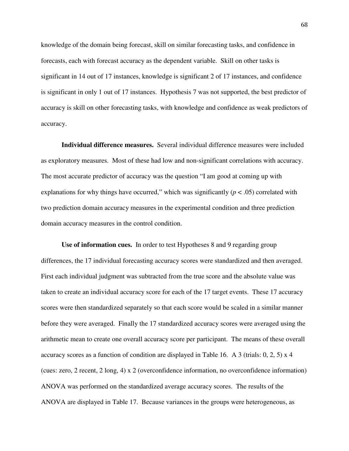knowledge of the domain being forecast, skill on similar forecasting tasks, and confidence in forecasts, each with forecast accuracy as the dependent variable. Skill on other tasks is significant in 14 out of 17 instances, knowledge is significant 2 of 17 instances, and confidence is significant in only 1 out of 17 instances. Hypothesis 7 was not supported, the best predictor of accuracy is skill on other forecasting tasks, with knowledge and confidence as weak predictors of accuracy.

**Individual difference measures.** Several individual difference measures were included as exploratory measures. Most of these had low and non-significant correlations with accuracy. The most accurate predictor of accuracy was the question "I am good at coming up with explanations for why things have occurred," which was significantly  $(p < .05)$  correlated with two prediction domain accuracy measures in the experimental condition and three prediction domain accuracy measures in the control condition.

**Use of information cues.** In order to test Hypotheses 8 and 9 regarding group differences, the 17 individual forecasting accuracy scores were standardized and then averaged. First each individual judgment was subtracted from the true score and the absolute value was taken to create an individual accuracy score for each of the 17 target events. These 17 accuracy scores were then standardized separately so that each score would be scaled in a similar manner before they were averaged. Finally the 17 standardized accuracy scores were averaged using the arithmetic mean to create one overall accuracy score per participant. The means of these overall accuracy scores as a function of condition are displayed in Table 16. A 3 (trials:  $0, 2, 5$ ) x 4 (cues: zero, 2 recent, 2 long, 4) x 2 (overconfidence information, no overconfidence information) ANOVA was performed on the standardized average accuracy scores. The results of the ANOVA are displayed in Table 17. Because variances in the groups were heterogeneous, as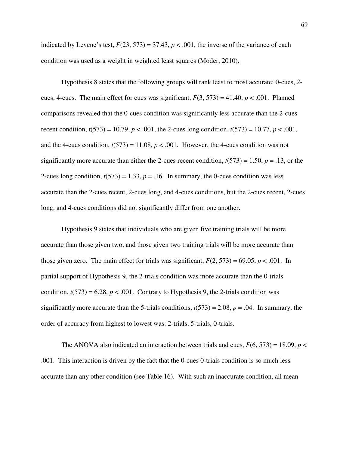indicated by Levene's test,  $F(23, 573) = 37.43$ ,  $p < .001$ , the inverse of the variance of each condition was used as a weight in weighted least squares (Moder, 2010).

Hypothesis 8 states that the following groups will rank least to most accurate: 0-cues, 2 cues, 4-cues. The main effect for cues was significant,  $F(3, 573) = 41.40$ ,  $p < .001$ . Planned comparisons revealed that the 0-cues condition was significantly less accurate than the 2-cues recent condition,  $t(573) = 10.79$ ,  $p < .001$ , the 2-cues long condition,  $t(573) = 10.77$ ,  $p < .001$ , and the 4-cues condition,  $t(573) = 11.08$ ,  $p < .001$ . However, the 4-cues condition was not significantly more accurate than either the 2-cues recent condition,  $t(573) = 1.50$ ,  $p = .13$ , or the 2-cues long condition,  $t(573) = 1.33$ ,  $p = .16$ . In summary, the 0-cues condition was less accurate than the 2-cues recent, 2-cues long, and 4-cues conditions, but the 2-cues recent, 2-cues long, and 4-cues conditions did not significantly differ from one another.

Hypothesis 9 states that individuals who are given five training trials will be more accurate than those given two, and those given two training trials will be more accurate than those given zero. The main effect for trials was significant,  $F(2, 573) = 69.05$ ,  $p < .001$ . In partial support of Hypothesis 9, the 2-trials condition was more accurate than the 0-trials condition,  $t(573) = 6.28$ ,  $p < .001$ . Contrary to Hypothesis 9, the 2-trials condition was significantly more accurate than the 5-trials conditions,  $t(573) = 2.08$ ,  $p = .04$ . In summary, the order of accuracy from highest to lowest was: 2-trials, 5-trials, 0-trials.

The ANOVA also indicated an interaction between trials and cues,  $F(6, 573) = 18.09$ ,  $p <$ .001. This interaction is driven by the fact that the 0-cues 0-trials condition is so much less accurate than any other condition (see Table 16). With such an inaccurate condition, all mean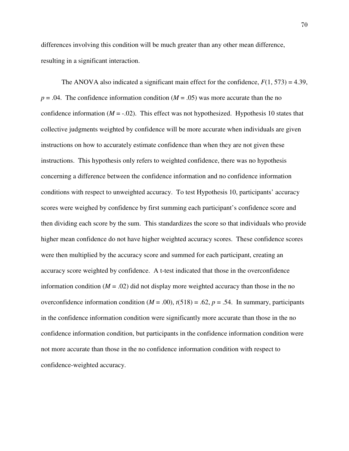differences involving this condition will be much greater than any other mean difference, resulting in a significant interaction.

The ANOVA also indicated a significant main effect for the confidence,  $F(1, 573) = 4.39$ ,  $p = .04$ . The confidence information condition ( $M = .05$ ) was more accurate than the no confidence information  $(M = -0.02)$ . This effect was not hypothesized. Hypothesis 10 states that collective judgments weighted by confidence will be more accurate when individuals are given instructions on how to accurately estimate confidence than when they are not given these instructions. This hypothesis only refers to weighted confidence, there was no hypothesis concerning a difference between the confidence information and no confidence information conditions with respect to unweighted accuracy. To test Hypothesis 10, participants' accuracy scores were weighed by confidence by first summing each participant's confidence score and then dividing each score by the sum. This standardizes the score so that individuals who provide higher mean confidence do not have higher weighted accuracy scores. These confidence scores were then multiplied by the accuracy score and summed for each participant, creating an accuracy score weighted by confidence. A t-test indicated that those in the overconfidence information condition  $(M = .02)$  did not display more weighted accuracy than those in the no overconfidence information condition  $(M = .00)$ ,  $t(518) = .62$ ,  $p = .54$ . In summary, participants in the confidence information condition were significantly more accurate than those in the no confidence information condition, but participants in the confidence information condition were not more accurate than those in the no confidence information condition with respect to confidence-weighted accuracy.

70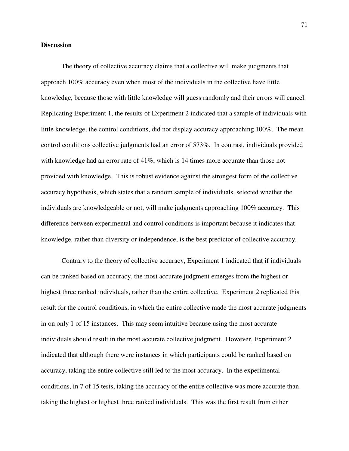## **Discussion**

 The theory of collective accuracy claims that a collective will make judgments that approach 100% accuracy even when most of the individuals in the collective have little knowledge, because those with little knowledge will guess randomly and their errors will cancel. Replicating Experiment 1, the results of Experiment 2 indicated that a sample of individuals with little knowledge, the control conditions, did not display accuracy approaching 100%. The mean control conditions collective judgments had an error of 573%. In contrast, individuals provided with knowledge had an error rate of 41%, which is 14 times more accurate than those not provided with knowledge. This is robust evidence against the strongest form of the collective accuracy hypothesis, which states that a random sample of individuals, selected whether the individuals are knowledgeable or not, will make judgments approaching 100% accuracy. This difference between experimental and control conditions is important because it indicates that knowledge, rather than diversity or independence, is the best predictor of collective accuracy.

 Contrary to the theory of collective accuracy, Experiment 1 indicated that if individuals can be ranked based on accuracy, the most accurate judgment emerges from the highest or highest three ranked individuals, rather than the entire collective. Experiment 2 replicated this result for the control conditions, in which the entire collective made the most accurate judgments in on only 1 of 15 instances. This may seem intuitive because using the most accurate individuals should result in the most accurate collective judgment. However, Experiment 2 indicated that although there were instances in which participants could be ranked based on accuracy, taking the entire collective still led to the most accuracy. In the experimental conditions, in 7 of 15 tests, taking the accuracy of the entire collective was more accurate than taking the highest or highest three ranked individuals. This was the first result from either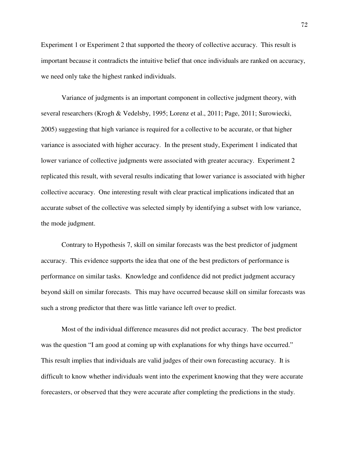Experiment 1 or Experiment 2 that supported the theory of collective accuracy. This result is important because it contradicts the intuitive belief that once individuals are ranked on accuracy, we need only take the highest ranked individuals.

 Variance of judgments is an important component in collective judgment theory, with several researchers (Krogh & Vedelsby, 1995; Lorenz et al., 2011; Page, 2011; Surowiecki, 2005) suggesting that high variance is required for a collective to be accurate, or that higher variance is associated with higher accuracy. In the present study, Experiment 1 indicated that lower variance of collective judgments were associated with greater accuracy. Experiment 2 replicated this result, with several results indicating that lower variance is associated with higher collective accuracy. One interesting result with clear practical implications indicated that an accurate subset of the collective was selected simply by identifying a subset with low variance, the mode judgment.

 Contrary to Hypothesis 7, skill on similar forecasts was the best predictor of judgment accuracy. This evidence supports the idea that one of the best predictors of performance is performance on similar tasks. Knowledge and confidence did not predict judgment accuracy beyond skill on similar forecasts. This may have occurred because skill on similar forecasts was such a strong predictor that there was little variance left over to predict.

 Most of the individual difference measures did not predict accuracy. The best predictor was the question "I am good at coming up with explanations for why things have occurred." This result implies that individuals are valid judges of their own forecasting accuracy. It is difficult to know whether individuals went into the experiment knowing that they were accurate forecasters, or observed that they were accurate after completing the predictions in the study.

72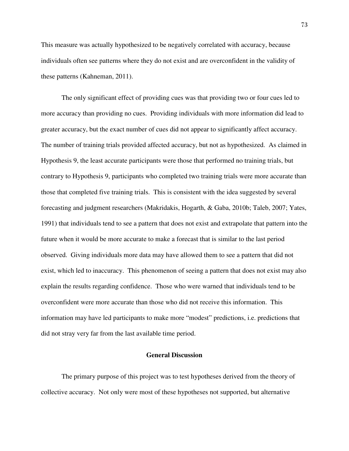This measure was actually hypothesized to be negatively correlated with accuracy, because individuals often see patterns where they do not exist and are overconfident in the validity of these patterns (Kahneman, 2011).

 The only significant effect of providing cues was that providing two or four cues led to more accuracy than providing no cues. Providing individuals with more information did lead to greater accuracy, but the exact number of cues did not appear to significantly affect accuracy. The number of training trials provided affected accuracy, but not as hypothesized. As claimed in Hypothesis 9, the least accurate participants were those that performed no training trials, but contrary to Hypothesis 9, participants who completed two training trials were more accurate than those that completed five training trials. This is consistent with the idea suggested by several forecasting and judgment researchers (Makridakis, Hogarth, & Gaba, 2010b; Taleb, 2007; Yates, 1991) that individuals tend to see a pattern that does not exist and extrapolate that pattern into the future when it would be more accurate to make a forecast that is similar to the last period observed. Giving individuals more data may have allowed them to see a pattern that did not exist, which led to inaccuracy. This phenomenon of seeing a pattern that does not exist may also explain the results regarding confidence. Those who were warned that individuals tend to be overconfident were more accurate than those who did not receive this information. This information may have led participants to make more "modest" predictions, i.e. predictions that did not stray very far from the last available time period.

#### **General Discussion**

 The primary purpose of this project was to test hypotheses derived from the theory of collective accuracy. Not only were most of these hypotheses not supported, but alternative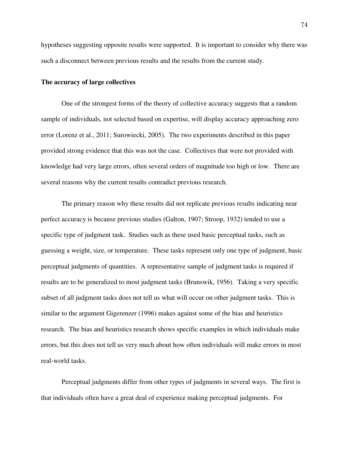hypotheses suggesting opposite results were supported. It is important to consider why there was such a disconnect between previous results and the results from the current study.

## **The accuracy of large collectives**

One of the strongest forms of the theory of collective accuracy suggests that a random sample of individuals, not selected based on expertise, will display accuracy approaching zero error (Lorenz et al., 2011; Surowiecki, 2005). The two experiments described in this paper provided strong evidence that this was not the case. Collectives that were not provided with knowledge had very large errors, often several orders of magnitude too high or low. There are several reasons why the current results contradict previous research.

The primary reason why these results did not replicate previous results indicating near perfect accuracy is because previous studies (Galton, 1907; Stroop, 1932) tended to use a specific type of judgment task. Studies such as these used basic perceptual tasks, such as guessing a weight, size, or temperature. These tasks represent only one type of judgment, basic perceptual judgments of quantities. A representative sample of judgment tasks is required if results are to be generalized to most judgment tasks (Brunswik, 1956). Taking a very specific subset of all judgment tasks does not tell us what will occur on other judgment tasks. This is similar to the argument Gigerenzer (1996) makes against some of the bias and heuristics research. The bias and heuristics research shows specific examples in which individuals make errors, but this does not tell us very much about how often individuals will make errors in most real-world tasks.

Perceptual judgments differ from other types of judgments in several ways. The first is that individuals often have a great deal of experience making perceptual judgments. For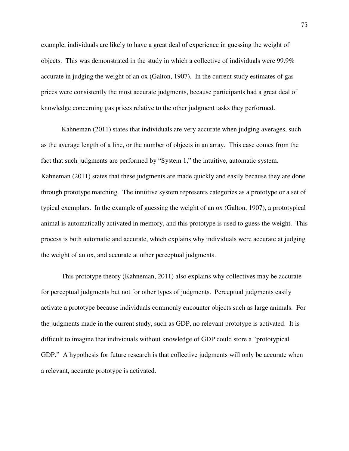example, individuals are likely to have a great deal of experience in guessing the weight of objects. This was demonstrated in the study in which a collective of individuals were 99.9% accurate in judging the weight of an ox (Galton, 1907). In the current study estimates of gas prices were consistently the most accurate judgments, because participants had a great deal of knowledge concerning gas prices relative to the other judgment tasks they performed.

Kahneman (2011) states that individuals are very accurate when judging averages, such as the average length of a line, or the number of objects in an array. This ease comes from the fact that such judgments are performed by "System 1," the intuitive, automatic system. Kahneman (2011) states that these judgments are made quickly and easily because they are done through prototype matching. The intuitive system represents categories as a prototype or a set of typical exemplars. In the example of guessing the weight of an ox (Galton, 1907), a prototypical animal is automatically activated in memory, and this prototype is used to guess the weight. This process is both automatic and accurate, which explains why individuals were accurate at judging the weight of an ox, and accurate at other perceptual judgments.

This prototype theory (Kahneman, 2011) also explains why collectives may be accurate for perceptual judgments but not for other types of judgments. Perceptual judgments easily activate a prototype because individuals commonly encounter objects such as large animals. For the judgments made in the current study, such as GDP, no relevant prototype is activated. It is difficult to imagine that individuals without knowledge of GDP could store a "prototypical GDP." A hypothesis for future research is that collective judgments will only be accurate when a relevant, accurate prototype is activated.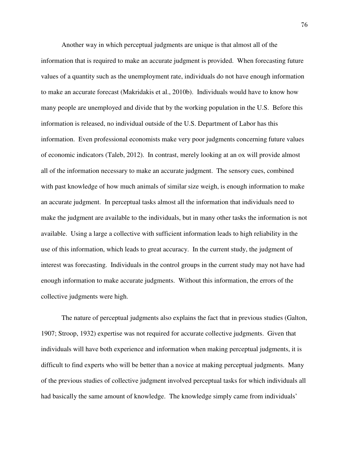Another way in which perceptual judgments are unique is that almost all of the information that is required to make an accurate judgment is provided. When forecasting future values of a quantity such as the unemployment rate, individuals do not have enough information to make an accurate forecast (Makridakis et al., 2010b). Individuals would have to know how many people are unemployed and divide that by the working population in the U.S. Before this information is released, no individual outside of the U.S. Department of Labor has this information. Even professional economists make very poor judgments concerning future values of economic indicators (Taleb, 2012). In contrast, merely looking at an ox will provide almost all of the information necessary to make an accurate judgment. The sensory cues, combined with past knowledge of how much animals of similar size weigh, is enough information to make an accurate judgment. In perceptual tasks almost all the information that individuals need to make the judgment are available to the individuals, but in many other tasks the information is not available. Using a large a collective with sufficient information leads to high reliability in the use of this information, which leads to great accuracy. In the current study, the judgment of interest was forecasting. Individuals in the control groups in the current study may not have had enough information to make accurate judgments. Without this information, the errors of the collective judgments were high.

The nature of perceptual judgments also explains the fact that in previous studies (Galton, 1907; Stroop, 1932) expertise was not required for accurate collective judgments. Given that individuals will have both experience and information when making perceptual judgments, it is difficult to find experts who will be better than a novice at making perceptual judgments. Many of the previous studies of collective judgment involved perceptual tasks for which individuals all had basically the same amount of knowledge. The knowledge simply came from individuals'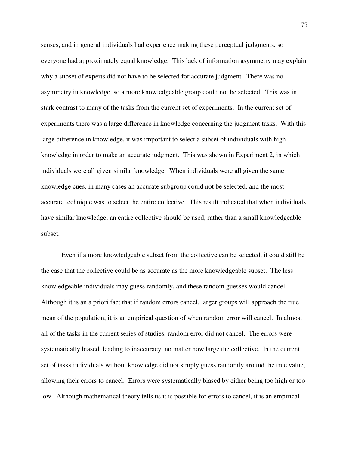senses, and in general individuals had experience making these perceptual judgments, so everyone had approximately equal knowledge. This lack of information asymmetry may explain why a subset of experts did not have to be selected for accurate judgment. There was no asymmetry in knowledge, so a more knowledgeable group could not be selected. This was in stark contrast to many of the tasks from the current set of experiments. In the current set of experiments there was a large difference in knowledge concerning the judgment tasks. With this large difference in knowledge, it was important to select a subset of individuals with high knowledge in order to make an accurate judgment. This was shown in Experiment 2, in which individuals were all given similar knowledge. When individuals were all given the same knowledge cues, in many cases an accurate subgroup could not be selected, and the most accurate technique was to select the entire collective. This result indicated that when individuals have similar knowledge, an entire collective should be used, rather than a small knowledgeable subset.

 Even if a more knowledgeable subset from the collective can be selected, it could still be the case that the collective could be as accurate as the more knowledgeable subset. The less knowledgeable individuals may guess randomly, and these random guesses would cancel. Although it is an a priori fact that if random errors cancel, larger groups will approach the true mean of the population, it is an empirical question of when random error will cancel. In almost all of the tasks in the current series of studies, random error did not cancel. The errors were systematically biased, leading to inaccuracy, no matter how large the collective. In the current set of tasks individuals without knowledge did not simply guess randomly around the true value, allowing their errors to cancel. Errors were systematically biased by either being too high or too low. Although mathematical theory tells us it is possible for errors to cancel, it is an empirical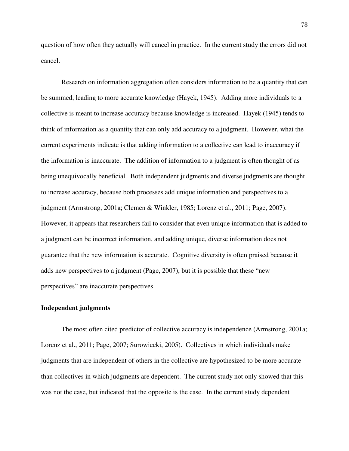question of how often they actually will cancel in practice. In the current study the errors did not cancel.

 Research on information aggregation often considers information to be a quantity that can be summed, leading to more accurate knowledge (Hayek, 1945). Adding more individuals to a collective is meant to increase accuracy because knowledge is increased. Hayek (1945) tends to think of information as a quantity that can only add accuracy to a judgment. However, what the current experiments indicate is that adding information to a collective can lead to inaccuracy if the information is inaccurate. The addition of information to a judgment is often thought of as being unequivocally beneficial. Both independent judgments and diverse judgments are thought to increase accuracy, because both processes add unique information and perspectives to a judgment (Armstrong, 2001a; Clemen & Winkler, 1985; Lorenz et al., 2011; Page, 2007). However, it appears that researchers fail to consider that even unique information that is added to a judgment can be incorrect information, and adding unique, diverse information does not guarantee that the new information is accurate. Cognitive diversity is often praised because it adds new perspectives to a judgment (Page, 2007), but it is possible that these "new perspectives" are inaccurate perspectives.

### **Independent judgments**

 The most often cited predictor of collective accuracy is independence (Armstrong, 2001a; Lorenz et al., 2011; Page, 2007; Surowiecki, 2005). Collectives in which individuals make judgments that are independent of others in the collective are hypothesized to be more accurate than collectives in which judgments are dependent. The current study not only showed that this was not the case, but indicated that the opposite is the case. In the current study dependent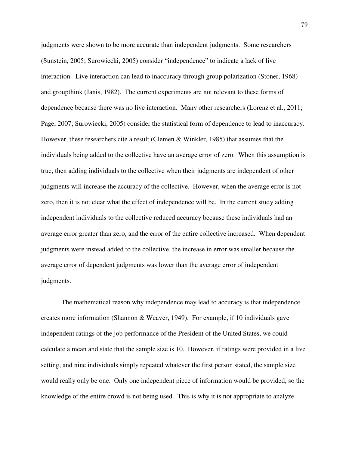judgments were shown to be more accurate than independent judgments. Some researchers (Sunstein, 2005; Surowiecki, 2005) consider "independence" to indicate a lack of live interaction. Live interaction can lead to inaccuracy through group polarization (Stoner, 1968) and groupthink (Janis, 1982). The current experiments are not relevant to these forms of dependence because there was no live interaction. Many other researchers (Lorenz et al., 2011; Page, 2007; Surowiecki, 2005) consider the statistical form of dependence to lead to inaccuracy. However, these researchers cite a result (Clemen & Winkler, 1985) that assumes that the individuals being added to the collective have an average error of zero. When this assumption is true, then adding individuals to the collective when their judgments are independent of other judgments will increase the accuracy of the collective. However, when the average error is not zero, then it is not clear what the effect of independence will be. In the current study adding independent individuals to the collective reduced accuracy because these individuals had an average error greater than zero, and the error of the entire collective increased. When dependent judgments were instead added to the collective, the increase in error was smaller because the average error of dependent judgments was lower than the average error of independent judgments.

 The mathematical reason why independence may lead to accuracy is that independence creates more information (Shannon & Weaver, 1949). For example, if 10 individuals gave independent ratings of the job performance of the President of the United States, we could calculate a mean and state that the sample size is 10. However, if ratings were provided in a live setting, and nine individuals simply repeated whatever the first person stated, the sample size would really only be one. Only one independent piece of information would be provided, so the knowledge of the entire crowd is not being used. This is why it is not appropriate to analyze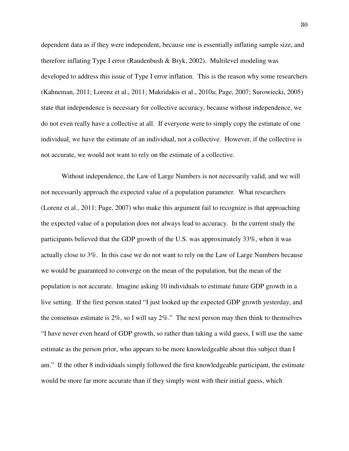dependent data as if they were independent, because one is essentially inflating sample size, and therefore inflating Type I error (Raudenbush & Bryk, 2002). Multilevel modeling was developed to address this issue of Type I error inflation. This is the reason why some researchers (Kahneman, 2011; Lorenz et al., 2011; Makridakis et al., 2010a; Page, 2007; Surowiecki, 2005) state that independence is necessary for collective accuracy, because without independence, we do not even really have a collective at all. If everyone were to simply copy the estimate of one individual, we have the estimate of an individual, not a collective. However, if the collective is not accurate, we would not want to rely on the estimate of a collective.

Without independence, the Law of Large Numbers is not necessarily valid, and we will not necessarily approach the expected value of a population parameter. What researchers (Lorenz et al., 2011; Page, 2007) who make this argument fail to recognize is that approaching the expected value of a population does not always lead to accuracy. In the current study the participants believed that the GDP growth of the U.S. was approximately 33%, when it was actually close to 3%. In this case we do not want to rely on the Law of Large Numbers because we would be guaranteed to converge on the mean of the population, but the mean of the population is not accurate. Imagine asking 10 individuals to estimate future GDP growth in a live setting. If the first person stated "I just looked up the expected GDP growth yesterday, and the consensus estimate is 2%, so I will say 2%." The next person may then think to themselves "I have never even heard of GDP growth, so rather than taking a wild guess, I will use the same estimate as the person prior, who appears to be more knowledgeable about this subject than I am." If the other 8 individuals simply followed the first knowledgeable participant, the estimate would be more far more accurate than if they simply went with their initial guess, which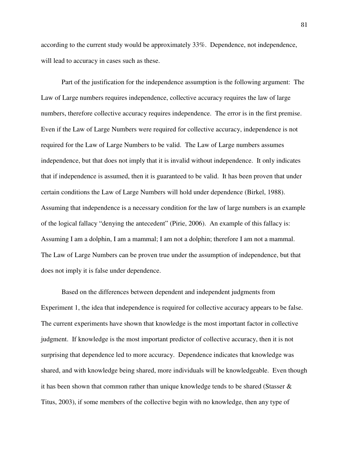according to the current study would be approximately 33%. Dependence, not independence, will lead to accuracy in cases such as these.

Part of the justification for the independence assumption is the following argument: The Law of Large numbers requires independence, collective accuracy requires the law of large numbers, therefore collective accuracy requires independence. The error is in the first premise. Even if the Law of Large Numbers were required for collective accuracy, independence is not required for the Law of Large Numbers to be valid. The Law of Large numbers assumes independence, but that does not imply that it is invalid without independence. It only indicates that if independence is assumed, then it is guaranteed to be valid. It has been proven that under certain conditions the Law of Large Numbers will hold under dependence (Birkel, 1988). Assuming that independence is a necessary condition for the law of large numbers is an example of the logical fallacy "denying the antecedent" (Pirie, 2006). An example of this fallacy is: Assuming I am a dolphin, I am a mammal; I am not a dolphin; therefore I am not a mammal. The Law of Large Numbers can be proven true under the assumption of independence, but that does not imply it is false under dependence.

 Based on the differences between dependent and independent judgments from Experiment 1, the idea that independence is required for collective accuracy appears to be false. The current experiments have shown that knowledge is the most important factor in collective judgment. If knowledge is the most important predictor of collective accuracy, then it is not surprising that dependence led to more accuracy. Dependence indicates that knowledge was shared, and with knowledge being shared, more individuals will be knowledgeable. Even though it has been shown that common rather than unique knowledge tends to be shared (Stasser & Titus, 2003), if some members of the collective begin with no knowledge, then any type of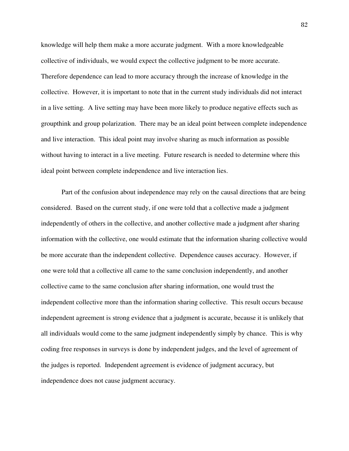knowledge will help them make a more accurate judgment. With a more knowledgeable collective of individuals, we would expect the collective judgment to be more accurate. Therefore dependence can lead to more accuracy through the increase of knowledge in the collective. However, it is important to note that in the current study individuals did not interact in a live setting. A live setting may have been more likely to produce negative effects such as groupthink and group polarization. There may be an ideal point between complete independence and live interaction. This ideal point may involve sharing as much information as possible without having to interact in a live meeting. Future research is needed to determine where this ideal point between complete independence and live interaction lies.

 Part of the confusion about independence may rely on the causal directions that are being considered. Based on the current study, if one were told that a collective made a judgment independently of others in the collective, and another collective made a judgment after sharing information with the collective, one would estimate that the information sharing collective would be more accurate than the independent collective. Dependence causes accuracy. However, if one were told that a collective all came to the same conclusion independently, and another collective came to the same conclusion after sharing information, one would trust the independent collective more than the information sharing collective. This result occurs because independent agreement is strong evidence that a judgment is accurate, because it is unlikely that all individuals would come to the same judgment independently simply by chance. This is why coding free responses in surveys is done by independent judges, and the level of agreement of the judges is reported. Independent agreement is evidence of judgment accuracy, but independence does not cause judgment accuracy.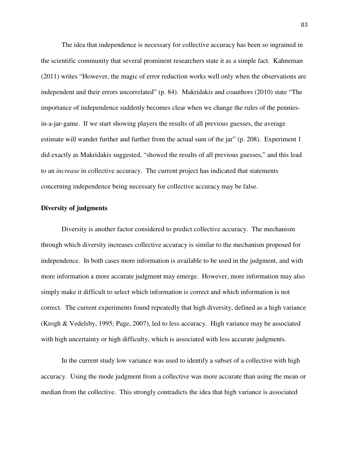The idea that independence is necessary for collective accuracy has been so ingrained in the scientific community that several prominent researchers state it as a simple fact. Kahneman (2011) writes "However, the magic of error reduction works well only when the observations are independent and their errors uncorrelated" (p. 84). Makridakis and coauthors (2010) state "The importance of independence suddenly becomes clear when we change the rules of the penniesin-a-jar-game. If we start showing players the results of all previous guesses, the average estimate will wander further and further from the actual sum of the jar" (p. 208). Experiment 1 did exactly as Makridakis suggested, "showed the results of all previous guesses," and this lead to an *increase* in collective accuracy. The current project has indicated that statements concerning independence being necessary for collective accuracy may be false.

# **Diversity of judgments**

 Diversity is another factor considered to predict collective accuracy. The mechanism through which diversity increases collective accuracy is similar to the mechanism proposed for independence. In both cases more information is available to be used in the judgment, and with more information a more accurate judgment may emerge. However, more information may also simply make it difficult to select which information is correct and which information is not correct. The current experiments found repeatedly that high diversity, defined as a high variance (Krogh & Vedelsby, 1995; Page, 2007), led to less accuracy. High variance may be associated with high uncertainty or high difficulty, which is associated with less accurate judgments.

 In the current study low variance was used to identify a subset of a collective with high accuracy. Using the mode judgment from a collective was more accurate than using the mean or median from the collective. This strongly contradicts the idea that high variance is associated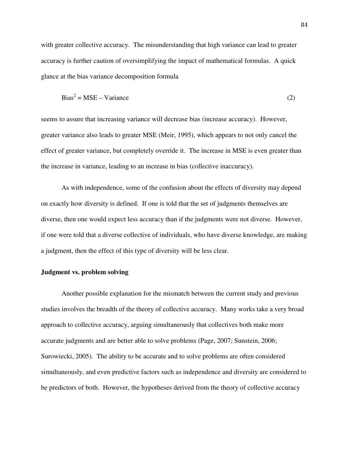with greater collective accuracy. The misunderstanding that high variance can lead to greater accuracy is further caution of oversimplifying the impact of mathematical formulas. A quick glance at the bias variance decomposition formula

$$
Bias^2 = MSE - Variance
$$
 (2)

seems to assure that increasing variance will decrease bias (increase accuracy). However, greater variance also leads to greater MSE (Meir, 1995), which appears to not only cancel the effect of greater variance, but completely override it. The increase in MSE is even greater than the increase in variance, leading to an increase in bias (collective inaccuracy).

 As with independence, some of the confusion about the effects of diversity may depend on exactly how diversity is defined. If one is told that the set of judgments themselves are diverse, then one would expect less accuracy than if the judgments were not diverse. However, if one were told that a diverse collective of individuals, who have diverse knowledge, are making a judgment, then the effect of this type of diversity will be less clear.

# **Judgment vs. problem solving**

 Another possible explanation for the mismatch between the current study and previous studies involves the breadth of the theory of collective accuracy. Many works take a very broad approach to collective accuracy, arguing simultaneously that collectives both make more accurate judgments and are better able to solve problems (Page, 2007; Sunstein, 2006; Surowiecki, 2005). The ability to be accurate and to solve problems are often considered simultaneously, and even predictive factors such as independence and diversity are considered to be predictors of both. However, the hypotheses derived from the theory of collective accuracy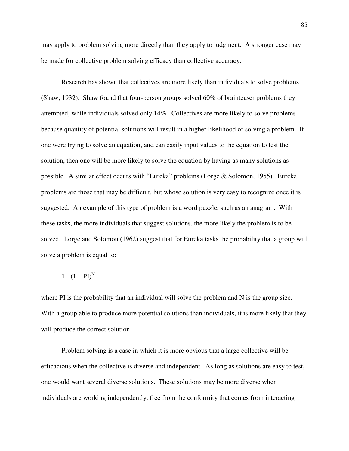may apply to problem solving more directly than they apply to judgment. A stronger case may be made for collective problem solving efficacy than collective accuracy.

 Research has shown that collectives are more likely than individuals to solve problems (Shaw, 1932). Shaw found that four-person groups solved 60% of brainteaser problems they attempted, while individuals solved only 14%. Collectives are more likely to solve problems because quantity of potential solutions will result in a higher likelihood of solving a problem. If one were trying to solve an equation, and can easily input values to the equation to test the solution, then one will be more likely to solve the equation by having as many solutions as possible. A similar effect occurs with "Eureka" problems (Lorge & Solomon, 1955). Eureka problems are those that may be difficult, but whose solution is very easy to recognize once it is suggested. An example of this type of problem is a word puzzle, such as an anagram. With these tasks, the more individuals that suggest solutions, the more likely the problem is to be solved. Lorge and Solomon (1962) suggest that for Eureka tasks the probability that a group will solve a problem is equal to:

$$
1-(1-PI)^N
$$

where PI is the probability that an individual will solve the problem and N is the group size. With a group able to produce more potential solutions than individuals, it is more likely that they will produce the correct solution.

 Problem solving is a case in which it is more obvious that a large collective will be efficacious when the collective is diverse and independent. As long as solutions are easy to test, one would want several diverse solutions. These solutions may be more diverse when individuals are working independently, free from the conformity that comes from interacting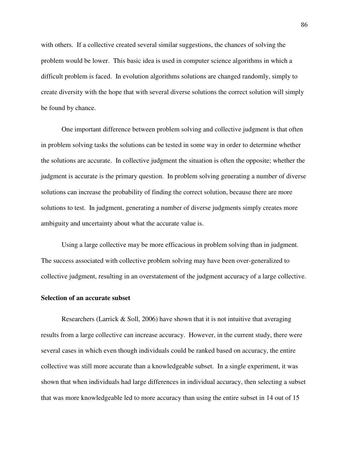with others. If a collective created several similar suggestions, the chances of solving the problem would be lower. This basic idea is used in computer science algorithms in which a difficult problem is faced. In evolution algorithms solutions are changed randomly, simply to create diversity with the hope that with several diverse solutions the correct solution will simply be found by chance.

 One important difference between problem solving and collective judgment is that often in problem solving tasks the solutions can be tested in some way in order to determine whether the solutions are accurate. In collective judgment the situation is often the opposite; whether the judgment is accurate is the primary question. In problem solving generating a number of diverse solutions can increase the probability of finding the correct solution, because there are more solutions to test. In judgment, generating a number of diverse judgments simply creates more ambiguity and uncertainty about what the accurate value is.

Using a large collective may be more efficacious in problem solving than in judgment. The success associated with collective problem solving may have been over-generalized to collective judgment, resulting in an overstatement of the judgment accuracy of a large collective.

#### **Selection of an accurate subset**

 Researchers (Larrick & Soll, 2006) have shown that it is not intuitive that averaging results from a large collective can increase accuracy. However, in the current study, there were several cases in which even though individuals could be ranked based on accuracy, the entire collective was still more accurate than a knowledgeable subset. In a single experiment, it was shown that when individuals had large differences in individual accuracy, then selecting a subset that was more knowledgeable led to more accuracy than using the entire subset in 14 out of 15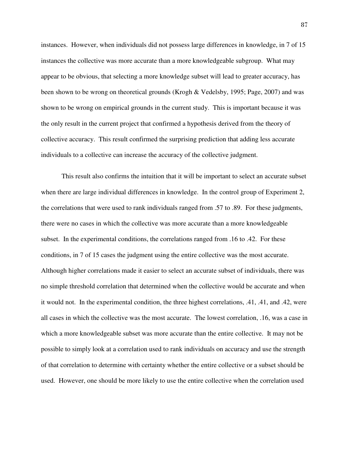instances. However, when individuals did not possess large differences in knowledge, in 7 of 15 instances the collective was more accurate than a more knowledgeable subgroup. What may appear to be obvious, that selecting a more knowledge subset will lead to greater accuracy, has been shown to be wrong on theoretical grounds (Krogh & Vedelsby, 1995; Page, 2007) and was shown to be wrong on empirical grounds in the current study. This is important because it was the only result in the current project that confirmed a hypothesis derived from the theory of collective accuracy. This result confirmed the surprising prediction that adding less accurate individuals to a collective can increase the accuracy of the collective judgment.

 This result also confirms the intuition that it will be important to select an accurate subset when there are large individual differences in knowledge. In the control group of Experiment 2, the correlations that were used to rank individuals ranged from .57 to .89. For these judgments, there were no cases in which the collective was more accurate than a more knowledgeable subset. In the experimental conditions, the correlations ranged from .16 to .42. For these conditions, in 7 of 15 cases the judgment using the entire collective was the most accurate. Although higher correlations made it easier to select an accurate subset of individuals, there was no simple threshold correlation that determined when the collective would be accurate and when it would not. In the experimental condition, the three highest correlations, .41, .41, and .42, were all cases in which the collective was the most accurate. The lowest correlation, .16, was a case in which a more knowledgeable subset was more accurate than the entire collective. It may not be possible to simply look at a correlation used to rank individuals on accuracy and use the strength of that correlation to determine with certainty whether the entire collective or a subset should be used. However, one should be more likely to use the entire collective when the correlation used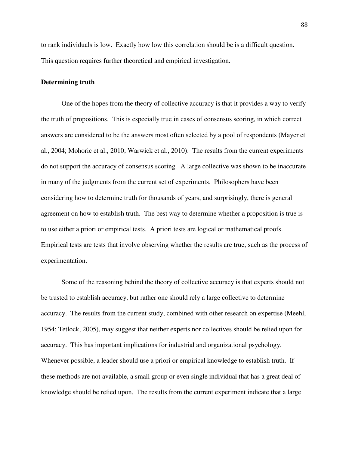to rank individuals is low. Exactly how low this correlation should be is a difficult question. This question requires further theoretical and empirical investigation.

## **Determining truth**

One of the hopes from the theory of collective accuracy is that it provides a way to verify the truth of propositions. This is especially true in cases of consensus scoring, in which correct answers are considered to be the answers most often selected by a pool of respondents (Mayer et al., 2004; Mohoric et al., 2010; Warwick et al., 2010). The results from the current experiments do not support the accuracy of consensus scoring. A large collective was shown to be inaccurate in many of the judgments from the current set of experiments. Philosophers have been considering how to determine truth for thousands of years, and surprisingly, there is general agreement on how to establish truth. The best way to determine whether a proposition is true is to use either a priori or empirical tests. A priori tests are logical or mathematical proofs. Empirical tests are tests that involve observing whether the results are true, such as the process of experimentation.

Some of the reasoning behind the theory of collective accuracy is that experts should not be trusted to establish accuracy, but rather one should rely a large collective to determine accuracy. The results from the current study, combined with other research on expertise (Meehl, 1954; Tetlock, 2005), may suggest that neither experts nor collectives should be relied upon for accuracy. This has important implications for industrial and organizational psychology. Whenever possible, a leader should use a priori or empirical knowledge to establish truth. If these methods are not available, a small group or even single individual that has a great deal of knowledge should be relied upon. The results from the current experiment indicate that a large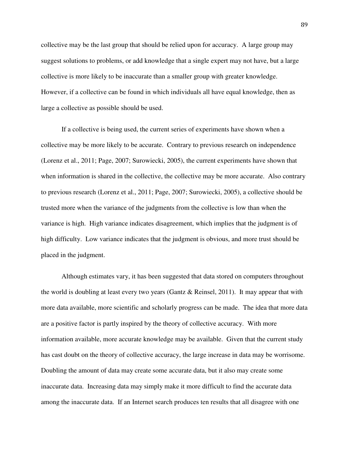collective may be the last group that should be relied upon for accuracy. A large group may suggest solutions to problems, or add knowledge that a single expert may not have, but a large collective is more likely to be inaccurate than a smaller group with greater knowledge. However, if a collective can be found in which individuals all have equal knowledge, then as large a collective as possible should be used.

If a collective is being used, the current series of experiments have shown when a collective may be more likely to be accurate. Contrary to previous research on independence (Lorenz et al., 2011; Page, 2007; Surowiecki, 2005), the current experiments have shown that when information is shared in the collective, the collective may be more accurate. Also contrary to previous research (Lorenz et al., 2011; Page, 2007; Surowiecki, 2005), a collective should be trusted more when the variance of the judgments from the collective is low than when the variance is high. High variance indicates disagreement, which implies that the judgment is of high difficulty. Low variance indicates that the judgment is obvious, and more trust should be placed in the judgment.

Although estimates vary, it has been suggested that data stored on computers throughout the world is doubling at least every two years (Gantz & Reinsel, 2011). It may appear that with more data available, more scientific and scholarly progress can be made. The idea that more data are a positive factor is partly inspired by the theory of collective accuracy. With more information available, more accurate knowledge may be available. Given that the current study has cast doubt on the theory of collective accuracy, the large increase in data may be worrisome. Doubling the amount of data may create some accurate data, but it also may create some inaccurate data. Increasing data may simply make it more difficult to find the accurate data among the inaccurate data. If an Internet search produces ten results that all disagree with one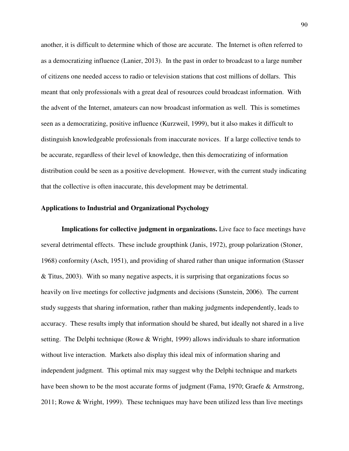another, it is difficult to determine which of those are accurate. The Internet is often referred to as a democratizing influence (Lanier, 2013). In the past in order to broadcast to a large number of citizens one needed access to radio or television stations that cost millions of dollars. This meant that only professionals with a great deal of resources could broadcast information. With the advent of the Internet, amateurs can now broadcast information as well. This is sometimes seen as a democratizing, positive influence (Kurzweil, 1999), but it also makes it difficult to distinguish knowledgeable professionals from inaccurate novices. If a large collective tends to be accurate, regardless of their level of knowledge, then this democratizing of information distribution could be seen as a positive development. However, with the current study indicating that the collective is often inaccurate, this development may be detrimental.

# **Applications to Industrial and Organizational Psychology**

**Implications for collective judgment in organizations.** Live face to face meetings have several detrimental effects. These include groupthink (Janis, 1972), group polarization (Stoner, 1968) conformity (Asch, 1951), and providing of shared rather than unique information (Stasser & Titus, 2003). With so many negative aspects, it is surprising that organizations focus so heavily on live meetings for collective judgments and decisions (Sunstein, 2006). The current study suggests that sharing information, rather than making judgments independently, leads to accuracy. These results imply that information should be shared, but ideally not shared in a live setting. The Delphi technique (Rowe & Wright, 1999) allows individuals to share information without live interaction. Markets also display this ideal mix of information sharing and independent judgment. This optimal mix may suggest why the Delphi technique and markets have been shown to be the most accurate forms of judgment (Fama, 1970; Graefe & Armstrong, 2011; Rowe & Wright, 1999). These techniques may have been utilized less than live meetings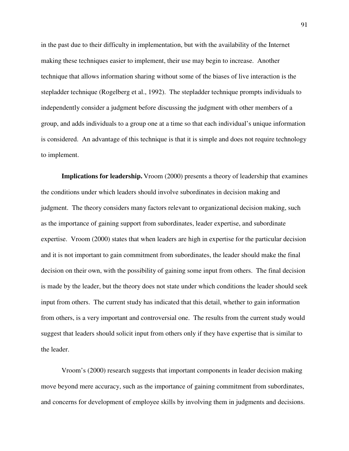in the past due to their difficulty in implementation, but with the availability of the Internet making these techniques easier to implement, their use may begin to increase. Another technique that allows information sharing without some of the biases of live interaction is the stepladder technique (Rogelberg et al., 1992). The stepladder technique prompts individuals to independently consider a judgment before discussing the judgment with other members of a group, and adds individuals to a group one at a time so that each individual's unique information is considered. An advantage of this technique is that it is simple and does not require technology to implement.

**Implications for leadership.** Vroom (2000) presents a theory of leadership that examines the conditions under which leaders should involve subordinates in decision making and judgment. The theory considers many factors relevant to organizational decision making, such as the importance of gaining support from subordinates, leader expertise, and subordinate expertise. Vroom (2000) states that when leaders are high in expertise for the particular decision and it is not important to gain commitment from subordinates, the leader should make the final decision on their own, with the possibility of gaining some input from others. The final decision is made by the leader, but the theory does not state under which conditions the leader should seek input from others. The current study has indicated that this detail, whether to gain information from others, is a very important and controversial one. The results from the current study would suggest that leaders should solicit input from others only if they have expertise that is similar to the leader.

Vroom's (2000) research suggests that important components in leader decision making move beyond mere accuracy, such as the importance of gaining commitment from subordinates, and concerns for development of employee skills by involving them in judgments and decisions.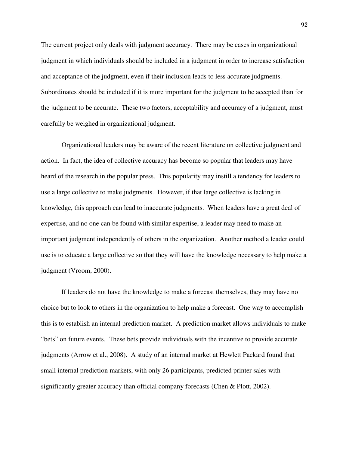The current project only deals with judgment accuracy. There may be cases in organizational judgment in which individuals should be included in a judgment in order to increase satisfaction and acceptance of the judgment, even if their inclusion leads to less accurate judgments. Subordinates should be included if it is more important for the judgment to be accepted than for the judgment to be accurate. These two factors, acceptability and accuracy of a judgment, must carefully be weighed in organizational judgment.

Organizational leaders may be aware of the recent literature on collective judgment and action. In fact, the idea of collective accuracy has become so popular that leaders may have heard of the research in the popular press. This popularity may instill a tendency for leaders to use a large collective to make judgments. However, if that large collective is lacking in knowledge, this approach can lead to inaccurate judgments. When leaders have a great deal of expertise, and no one can be found with similar expertise, a leader may need to make an important judgment independently of others in the organization. Another method a leader could use is to educate a large collective so that they will have the knowledge necessary to help make a judgment (Vroom, 2000).

If leaders do not have the knowledge to make a forecast themselves, they may have no choice but to look to others in the organization to help make a forecast. One way to accomplish this is to establish an internal prediction market. A prediction market allows individuals to make "bets" on future events. These bets provide individuals with the incentive to provide accurate judgments (Arrow et al., 2008). A study of an internal market at Hewlett Packard found that small internal prediction markets, with only 26 participants, predicted printer sales with significantly greater accuracy than official company forecasts (Chen & Plott, 2002).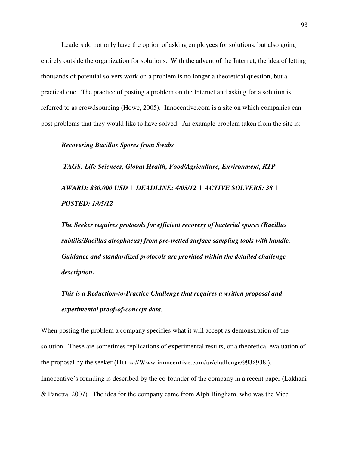Leaders do not only have the option of asking employees for solutions, but also going entirely outside the organization for solutions. With the advent of the Internet, the idea of letting thousands of potential solvers work on a problem is no longer a theoretical question, but a practical one. The practice of posting a problem on the Internet and asking for a solution is referred to as crowdsourcing (Howe, 2005). Innocentive.com is a site on which companies can post problems that they would like to have solved. An example problem taken from the site is:

## *Recovering Bacillus Spores from Swabs*

 *TAGS: Life Sciences, Global Health, Food/Agriculture, Environment, RTP*

*AWARD: \$30,000 USD | DEADLINE: 4/05/12 | ACTIVE SOLVERS: 38 | POSTED: 1/05/12* 

*The Seeker requires protocols for efficient recovery of bacterial spores (Bacillus subtilis/Bacillus atrophaeus) from pre-wetted surface sampling tools with handle. Guidance and standardized protocols are provided within the detailed challenge description.* 

# *This is a Reduction-to-Practice Challenge that requires a written proposal and experimental proof-of-concept data.*

When posting the problem a company specifies what it will accept as demonstration of the solution. These are sometimes replications of experimental results, or a theoretical evaluation of the proposal by the seeker (Https://Www.innocentive.com/ar/challenge/9932938.). Innocentive's founding is described by the co-founder of the company in a recent paper (Lakhani & Panetta, 2007). The idea for the company came from Alph Bingham, who was the Vice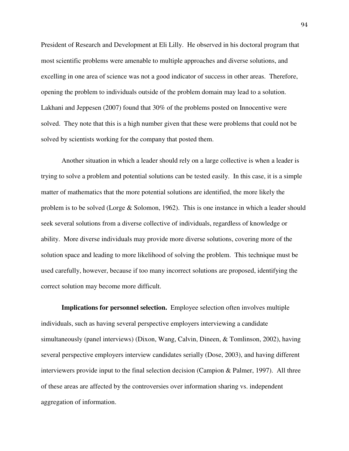President of Research and Development at Eli Lilly. He observed in his doctoral program that most scientific problems were amenable to multiple approaches and diverse solutions, and excelling in one area of science was not a good indicator of success in other areas. Therefore, opening the problem to individuals outside of the problem domain may lead to a solution. Lakhani and Jeppesen (2007) found that 30% of the problems posted on Innocentive were solved. They note that this is a high number given that these were problems that could not be solved by scientists working for the company that posted them.

 Another situation in which a leader should rely on a large collective is when a leader is trying to solve a problem and potential solutions can be tested easily. In this case, it is a simple matter of mathematics that the more potential solutions are identified, the more likely the problem is to be solved (Lorge & Solomon, 1962). This is one instance in which a leader should seek several solutions from a diverse collective of individuals, regardless of knowledge or ability. More diverse individuals may provide more diverse solutions, covering more of the solution space and leading to more likelihood of solving the problem. This technique must be used carefully, however, because if too many incorrect solutions are proposed, identifying the correct solution may become more difficult.

**Implications for personnel selection.** Employee selection often involves multiple individuals, such as having several perspective employers interviewing a candidate simultaneously (panel interviews) (Dixon, Wang, Calvin, Dineen, & Tomlinson, 2002), having several perspective employers interview candidates serially (Dose, 2003), and having different interviewers provide input to the final selection decision (Campion & Palmer, 1997). All three of these areas are affected by the controversies over information sharing vs. independent aggregation of information.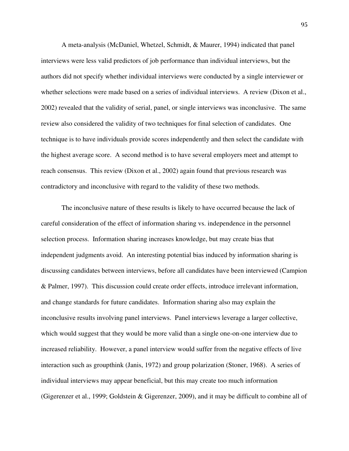A meta-analysis (McDaniel, Whetzel, Schmidt, & Maurer, 1994) indicated that panel interviews were less valid predictors of job performance than individual interviews, but the authors did not specify whether individual interviews were conducted by a single interviewer or whether selections were made based on a series of individual interviews. A review (Dixon et al., 2002) revealed that the validity of serial, panel, or single interviews was inconclusive. The same review also considered the validity of two techniques for final selection of candidates. One technique is to have individuals provide scores independently and then select the candidate with the highest average score. A second method is to have several employers meet and attempt to reach consensus. This review (Dixon et al., 2002) again found that previous research was contradictory and inconclusive with regard to the validity of these two methods.

 The inconclusive nature of these results is likely to have occurred because the lack of careful consideration of the effect of information sharing vs. independence in the personnel selection process. Information sharing increases knowledge, but may create bias that independent judgments avoid. An interesting potential bias induced by information sharing is discussing candidates between interviews, before all candidates have been interviewed (Campion & Palmer, 1997). This discussion could create order effects, introduce irrelevant information, and change standards for future candidates. Information sharing also may explain the inconclusive results involving panel interviews. Panel interviews leverage a larger collective, which would suggest that they would be more valid than a single one-on-one interview due to increased reliability. However, a panel interview would suffer from the negative effects of live interaction such as groupthink (Janis, 1972) and group polarization (Stoner, 1968). A series of individual interviews may appear beneficial, but this may create too much information (Gigerenzer et al., 1999; Goldstein & Gigerenzer, 2009), and it may be difficult to combine all of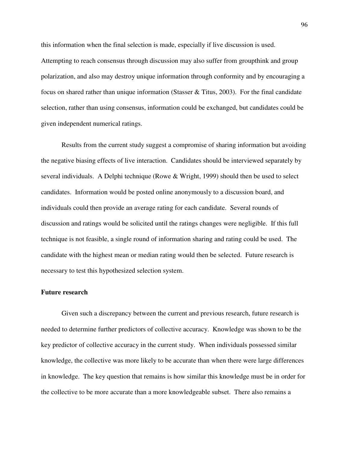this information when the final selection is made, especially if live discussion is used. Attempting to reach consensus through discussion may also suffer from groupthink and group polarization, and also may destroy unique information through conformity and by encouraging a focus on shared rather than unique information (Stasser & Titus, 2003). For the final candidate selection, rather than using consensus, information could be exchanged, but candidates could be given independent numerical ratings.

 Results from the current study suggest a compromise of sharing information but avoiding the negative biasing effects of live interaction. Candidates should be interviewed separately by several individuals. A Delphi technique (Rowe & Wright, 1999) should then be used to select candidates. Information would be posted online anonymously to a discussion board, and individuals could then provide an average rating for each candidate. Several rounds of discussion and ratings would be solicited until the ratings changes were negligible. If this full technique is not feasible, a single round of information sharing and rating could be used. The candidate with the highest mean or median rating would then be selected. Future research is necessary to test this hypothesized selection system.

#### **Future research**

 Given such a discrepancy between the current and previous research, future research is needed to determine further predictors of collective accuracy. Knowledge was shown to be the key predictor of collective accuracy in the current study. When individuals possessed similar knowledge, the collective was more likely to be accurate than when there were large differences in knowledge. The key question that remains is how similar this knowledge must be in order for the collective to be more accurate than a more knowledgeable subset. There also remains a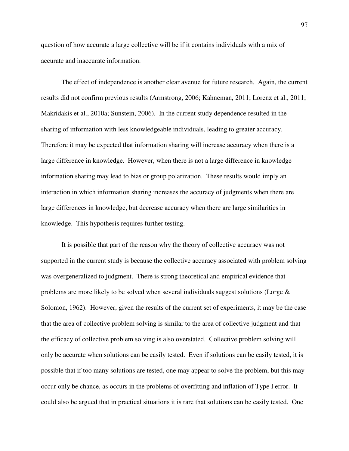question of how accurate a large collective will be if it contains individuals with a mix of accurate and inaccurate information.

 The effect of independence is another clear avenue for future research. Again, the current results did not confirm previous results (Armstrong, 2006; Kahneman, 2011; Lorenz et al., 2011; Makridakis et al., 2010a; Sunstein, 2006). In the current study dependence resulted in the sharing of information with less knowledgeable individuals, leading to greater accuracy. Therefore it may be expected that information sharing will increase accuracy when there is a large difference in knowledge. However, when there is not a large difference in knowledge information sharing may lead to bias or group polarization. These results would imply an interaction in which information sharing increases the accuracy of judgments when there are large differences in knowledge, but decrease accuracy when there are large similarities in knowledge. This hypothesis requires further testing.

 It is possible that part of the reason why the theory of collective accuracy was not supported in the current study is because the collective accuracy associated with problem solving was overgeneralized to judgment. There is strong theoretical and empirical evidence that problems are more likely to be solved when several individuals suggest solutions (Lorge & Solomon, 1962). However, given the results of the current set of experiments, it may be the case that the area of collective problem solving is similar to the area of collective judgment and that the efficacy of collective problem solving is also overstated. Collective problem solving will only be accurate when solutions can be easily tested. Even if solutions can be easily tested, it is possible that if too many solutions are tested, one may appear to solve the problem, but this may occur only be chance, as occurs in the problems of overfitting and inflation of Type I error. It could also be argued that in practical situations it is rare that solutions can be easily tested. One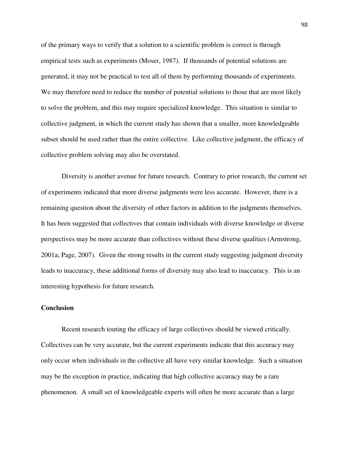of the primary ways to verify that a solution to a scientific problem is correct is through empirical tests such as experiments (Moser, 1987). If thousands of potential solutions are generated, it may not be practical to test all of them by performing thousands of experiments. We may therefore need to reduce the number of potential solutions to those that are most likely to solve the problem, and this may require specialized knowledge. This situation is similar to collective judgment, in which the current study has shown that a smaller, more knowledgeable subset should be used rather than the entire collective. Like collective judgment, the efficacy of collective problem solving may also be overstated.

 Diversity is another avenue for future research. Contrary to prior research, the current set of experiments indicated that more diverse judgments were less accurate. However, there is a remaining question about the diversity of other factors in addition to the judgments themselves. It has been suggested that collectives that contain individuals with diverse knowledge or diverse perspectives may be more accurate than collectives without these diverse qualities (Armstrong, 2001a; Page, 2007). Given the strong results in the current study suggesting judgment diversity leads to inaccuracy, these additional forms of diversity may also lead to inaccuracy. This is an interesting hypothesis for future research.

# **Conclusion**

 Recent research touting the efficacy of large collectives should be viewed critically. Collectives can be very accurate, but the current experiments indicate that this accuracy may only occur when individuals in the collective all have very similar knowledge. Such a situation may be the exception in practice, indicating that high collective accuracy may be a rare phenomenon. A small set of knowledgeable experts will often be more accurate than a large

98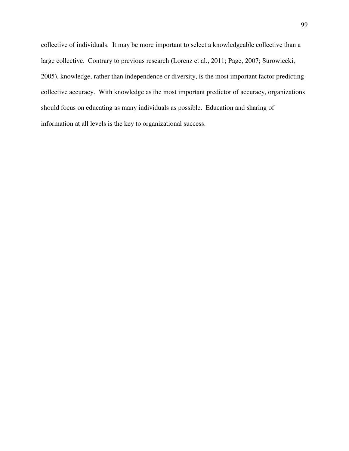collective of individuals. It may be more important to select a knowledgeable collective than a large collective. Contrary to previous research (Lorenz et al., 2011; Page, 2007; Surowiecki, 2005), knowledge, rather than independence or diversity, is the most important factor predicting collective accuracy. With knowledge as the most important predictor of accuracy, organizations should focus on educating as many individuals as possible. Education and sharing of information at all levels is the key to organizational success.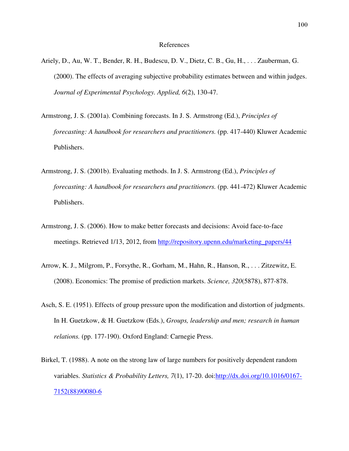- Ariely, D., Au, W. T., Bender, R. H., Budescu, D. V., Dietz, C. B., Gu, H., . . . Zauberman, G. (2000). The effects of averaging subjective probability estimates between and within judges. *Journal of Experimental Psychology. Applied, 6*(2), 130-47.
- Armstrong, J. S. (2001a). Combining forecasts. In J. S. Armstrong (Ed.), *Principles of forecasting: A handbook for researchers and practitioners.* (pp. 417-440) Kluwer Academic Publishers.
- Armstrong, J. S. (2001b). Evaluating methods. In J. S. Armstrong (Ed.), *Principles of forecasting: A handbook for researchers and practitioners.* (pp. 441-472) Kluwer Academic Publishers.
- Armstrong, J. S. (2006). How to make better forecasts and decisions: Avoid face-to-face meetings. Retrieved 1/13, 2012, from http://repository.upenn.edu/marketing\_papers/44
- Arrow, K. J., Milgrom, P., Forsythe, R., Gorham, M., Hahn, R., Hanson, R., . . . Zitzewitz, E. (2008). Economics: The promise of prediction markets. *Science, 320*(5878), 877-878.
- Asch, S. E. (1951). Effects of group pressure upon the modification and distortion of judgments. In H. Guetzkow, & H. Guetzkow (Eds.), *Groups, leadership and men; research in human relations.* (pp. 177-190). Oxford England: Carnegie Press.
- Birkel, T. (1988). A note on the strong law of large numbers for positively dependent random variables. *Statistics & Probability Letters, 7*(1), 17-20. doi:http://dx.doi.org/10.1016/0167- 7152(88)90080-6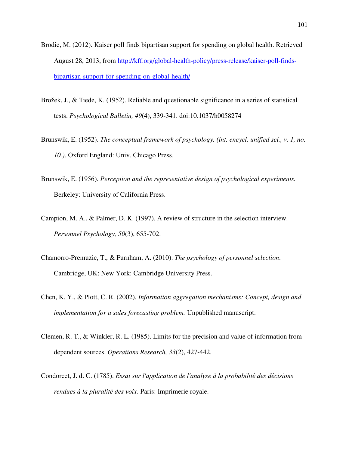- Brodie, M. (2012). Kaiser poll finds bipartisan support for spending on global health. Retrieved August 28, 2013, from http://kff.org/global-health-policy/press-release/kaiser-poll-findsbipartisan-support-for-spending-on-global-health/
- Brožek, J., & Tiede, K. (1952). Reliable and questionable significance in a series of statistical tests. *Psychological Bulletin, 49*(4), 339-341. doi:10.1037/h0058274
- Brunswik, E. (1952). *The conceptual framework of psychology. (int. encycl. unified sci., v. 1, no. 10.)*. Oxford England: Univ. Chicago Press.
- Brunswik, E. (1956). *Perception and the representative design of psychological experiments.* Berkeley: University of California Press.
- Campion, M. A., & Palmer, D. K. (1997). A review of structure in the selection interview. *Personnel Psychology, 50*(3), 655-702.
- Chamorro-Premuzic, T., & Furnham, A. (2010). *The psychology of personnel selection*. Cambridge, UK; New York: Cambridge University Press.
- Chen, K. Y., & Plott, C. R. (2002). *Information aggregation mechanisms: Concept, design and implementation for a sales forecasting problem.* Unpublished manuscript.
- Clemen, R. T., & Winkler, R. L. (1985). Limits for the precision and value of information from dependent sources. *Operations Research, 33*(2), 427-442.
- Condorcet, J. d. C. (1785). Essai sur l'application de l'analyse à la probabilité des décisions *rendu*es à la pluralité des voix. Paris: Imprimerie royale.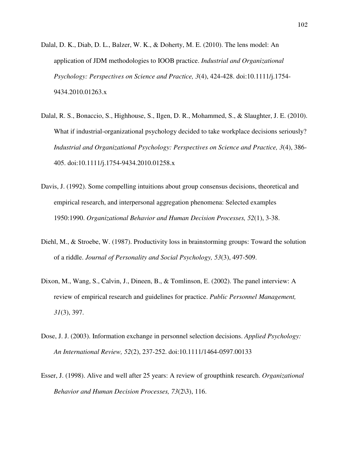- Dalal, D. K., Diab, D. L., Balzer, W. K., & Doherty, M. E. (2010). The lens model: An application of JDM methodologies to IOOB practice. *Industrial and Organizational Psychology: Perspectives on Science and Practice, 3*(4), 424-428. doi:10.1111/j.1754- 9434.2010.01263.x
- Dalal, R. S., Bonaccio, S., Highhouse, S., Ilgen, D. R., Mohammed, S., & Slaughter, J. E. (2010). What if industrial-organizational psychology decided to take workplace decisions seriously? *Industrial and Organizational Psychology: Perspectives on Science and Practice, 3*(4), 386- 405. doi:10.1111/j.1754-9434.2010.01258.x
- Davis, J. (1992). Some compelling intuitions about group consensus decisions, theoretical and empirical research, and interpersonal aggregation phenomena: Selected examples 1950:1990. *Organizational Behavior and Human Decision Processes, 52*(1), 3-38.
- Diehl, M., & Stroebe, W. (1987). Productivity loss in brainstorming groups: Toward the solution of a riddle. *Journal of Personality and Social Psychology, 53*(3), 497-509.
- Dixon, M., Wang, S., Calvin, J., Dineen, B., & Tomlinson, E. (2002). The panel interview: A review of empirical research and guidelines for practice. *Public Personnel Management, 31*(3), 397.
- Dose, J. J. (2003). Information exchange in personnel selection decisions. *Applied Psychology: An International Review, 52*(2), 237-252. doi:10.1111/1464-0597.00133
- Esser, J. (1998). Alive and well after 25 years: A review of groupthink research. *Organizational Behavior and Human Decision Processes, 73*(2\3), 116.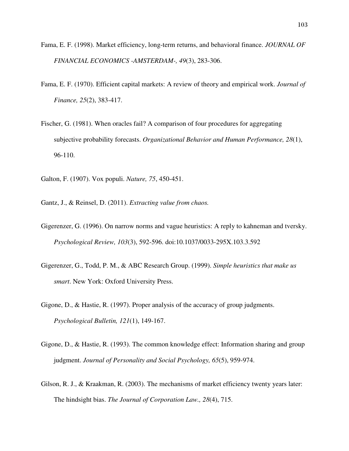- Fama, E. F. (1998). Market efficiency, long-term returns, and behavioral finance. *JOURNAL OF FINANCIAL ECONOMICS -AMSTERDAM-, 49*(3), 283-306.
- Fama, E. F. (1970). Efficient capital markets: A review of theory and empirical work. *Journal of Finance, 25*(2), 383-417.
- Fischer, G. (1981). When oracles fail? A comparison of four procedures for aggregating subjective probability forecasts. *Organizational Behavior and Human Performance, 28*(1), 96-110.
- Galton, F. (1907). Vox populi. *Nature, 75*, 450-451.
- Gantz, J., & Reinsel, D. (2011). *Extracting value from chaos.*
- Gigerenzer, G. (1996). On narrow norms and vague heuristics: A reply to kahneman and tversky. *Psychological Review, 103*(3), 592-596. doi:10.1037/0033-295X.103.3.592
- Gigerenzer, G., Todd, P. M., & ABC Research Group. (1999). *Simple heuristics that make us smart*. New York: Oxford University Press.
- Gigone, D., & Hastie, R. (1997). Proper analysis of the accuracy of group judgments. *Psychological Bulletin, 121*(1), 149-167.
- Gigone, D., & Hastie, R. (1993). The common knowledge effect: Information sharing and group judgment. *Journal of Personality and Social Psychology, 65*(5), 959-974.
- Gilson, R. J., & Kraakman, R. (2003). The mechanisms of market efficiency twenty years later: The hindsight bias. *The Journal of Corporation Law., 28*(4), 715.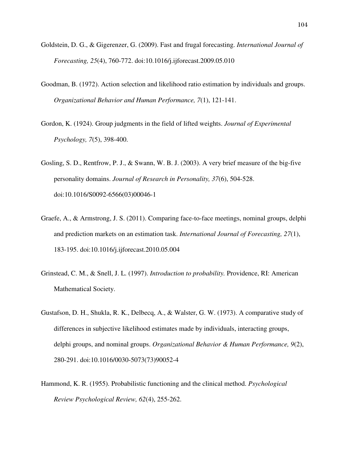- Goldstein, D. G., & Gigerenzer, G. (2009). Fast and frugal forecasting. *International Journal of Forecasting, 25*(4), 760-772. doi:10.1016/j.ijforecast.2009.05.010
- Goodman, B. (1972). Action selection and likelihood ratio estimation by individuals and groups. *Organizational Behavior and Human Performance, 7*(1), 121-141.
- Gordon, K. (1924). Group judgments in the field of lifted weights. *Journal of Experimental Psychology, 7*(5), 398-400.
- Gosling, S. D., Rentfrow, P. J., & Swann, W. B. J. (2003). A very brief measure of the big-five personality domains. *Journal of Research in Personality, 37*(6), 504-528. doi:10.1016/S0092-6566(03)00046-1
- Graefe, A., & Armstrong, J. S. (2011). Comparing face-to-face meetings, nominal groups, delphi and prediction markets on an estimation task. *International Journal of Forecasting, 27*(1), 183-195. doi:10.1016/j.ijforecast.2010.05.004
- Grinstead, C. M., & Snell, J. L. (1997). *Introduction to probability.* Providence, RI: American Mathematical Society.
- Gustafson, D. H., Shukla, R. K., Delbecq, A., & Walster, G. W. (1973). A comparative study of differences in subjective likelihood estimates made by individuals, interacting groups, delphi groups, and nominal groups. *Organizational Behavior & Human Performance, 9*(2), 280-291. doi:10.1016/0030-5073(73)90052-4
- Hammond, K. R. (1955). Probabilistic functioning and the clinical method. *Psychological Review Psychological Review, 62*(4), 255-262.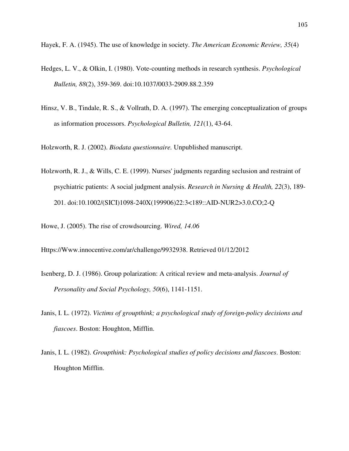Hayek, F. A. (1945). The use of knowledge in society. *The American Economic Review, 35*(4)

- Hedges, L. V., & Olkin, I. (1980). Vote-counting methods in research synthesis. *Psychological Bulletin, 88*(2), 359-369. doi:10.1037/0033-2909.88.2.359
- Hinsz, V. B., Tindale, R. S., & Vollrath, D. A. (1997). The emerging conceptualization of groups as information processors. *Psychological Bulletin, 121*(1), 43-64.

Holzworth, R. J. (2002). *Biodata questionnaire.* Unpublished manuscript.

Holzworth, R. J., & Wills, C. E. (1999). Nurses' judgments regarding seclusion and restraint of psychiatric patients: A social judgment analysis. *Research in Nursing & Health, 22*(3), 189- 201. doi:10.1002/(SICI)1098-240X(199906)22:3<189::AID-NUR2>3.0.CO;2-Q

Howe, J. (2005). The rise of crowdsourcing. *Wired, 14.06*

Https://Www.innocentive.com/ar/challenge/9932938. Retrieved 01/12/2012

- Isenberg, D. J. (1986). Group polarization: A critical review and meta-analysis. *Journal of Personality and Social Psychology, 50*(6), 1141-1151.
- Janis, I. L. (1972). *Victims of groupthink; a psychological study of foreign-policy decisions and fiascoes*. Boston: Houghton, Mifflin.
- Janis, I. L. (1982). *Groupthink: Psychological studies of policy decisions and fiascoes*. Boston: Houghton Mifflin.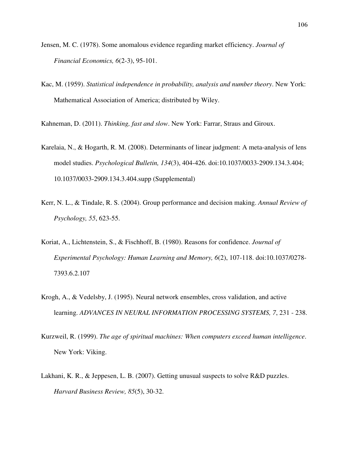- Jensen, M. C. (1978). Some anomalous evidence regarding market efficiency. *Journal of Financial Economics, 6*(2-3), 95-101.
- Kac, M. (1959). *Statistical independence in probability, analysis and number theory*. New York: Mathematical Association of America; distributed by Wiley.

Kahneman, D. (2011). *Thinking, fast and slow*. New York: Farrar, Straus and Giroux.

- Karelaia, N., & Hogarth, R. M. (2008). Determinants of linear judgment: A meta-analysis of lens model studies. *Psychological Bulletin, 134*(3), 404-426. doi:10.1037/0033-2909.134.3.404; 10.1037/0033-2909.134.3.404.supp (Supplemental)
- Kerr, N. L., & Tindale, R. S. (2004). Group performance and decision making. *Annual Review of Psychology, 55*, 623-55.
- Koriat, A., Lichtenstein, S., & Fischhoff, B. (1980). Reasons for confidence. *Journal of Experimental Psychology: Human Learning and Memory, 6*(2), 107-118. doi:10.1037/0278- 7393.6.2.107
- Krogh, A., & Vedelsby, J. (1995). Neural network ensembles, cross validation, and active learning. *ADVANCES IN NEURAL INFORMATION PROCESSING SYSTEMS, 7*, 231 - 238.
- Kurzweil, R. (1999). *The age of spiritual machines: When computers exceed human intelligence*. New York: Viking.
- Lakhani, K. R., & Jeppesen, L. B. (2007). Getting unusual suspects to solve R&D puzzles. *Harvard Business Review, 85*(5), 30-32.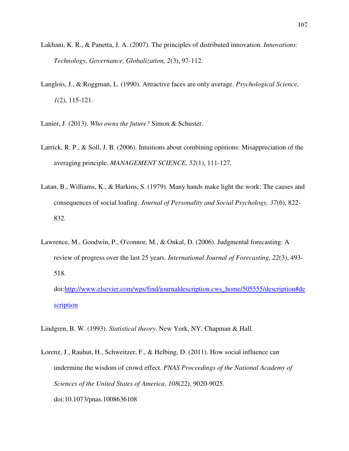- Lakhani, K. R., & Panetta, J. A. (2007). The principles of distributed innovation. *Innovations: Technology, Governance, Globalization, 2*(3), 97-112.
- Langlois, J., & Roggman, L. (1990). Attractive faces are only average. *Psychological Science, 1*(2), 115-121.
- Lanier, J. (2013). *Who owns the future?* Simon & Schuster.
- Larrick, R. P., & Soll, J. B. (2006). Intuitions about combining opinions: Misappreciation of the averaging principle. *MANAGEMENT SCIENCE, 52*(1), 111-127.
- Latan, B., Williams, K., & Harkins, S. (1979). Many hands make light the work: The causes and consequences of social loafing. *Journal of Personality and Social Psychology, 37*(6), 822- 832.
- Lawrence, M., Goodwin, P., O'connor, M., & Onkal, D. (2006). Judgmental forecasting: A review of progress over the last 25 years. *International Journal of Forecasting, 22*(3), 493- 518.

doi:http://www.elsevier.com/wps/find/journaldescription.cws\_home/505555/description#de scription

Lindgren, B. W. (1993). *Statistical theory*. New York, NY: Chapman & Hall.

Lorenz, J., Rauhut, H., Schweitzer, F., & Helbing, D. (2011). How social influence can undermine the wisdom of crowd effect. *PNAS Proceedings of the National Academy of Sciences of the United States of America, 108*(22), 9020-9025. doi:10.1073/pnas.1008636108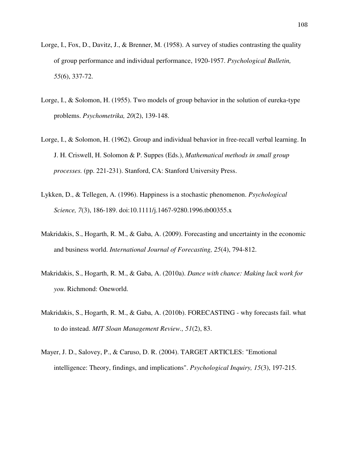- Lorge, I., Fox, D., Davitz, J., & Brenner, M. (1958). A survey of studies contrasting the quality of group performance and individual performance, 1920-1957. *Psychological Bulletin, 55*(6), 337-72.
- Lorge, I., & Solomon, H. (1955). Two models of group behavior in the solution of eureka-type problems. *Psychometrika, 20*(2), 139-148.
- Lorge, I., & Solomon, H. (1962). Group and individual behavior in free-recall verbal learning. In J. H. Criswell, H. Solomon & P. Suppes (Eds.), *Mathematical methods in small group processes.* (pp. 221-231). Stanford, CA: Stanford University Press.
- Lykken, D., & Tellegen, A. (1996). Happiness is a stochastic phenomenon. *Psychological Science, 7*(3), 186-189. doi:10.1111/j.1467-9280.1996.tb00355.x
- Makridakis, S., Hogarth, R. M., & Gaba, A. (2009). Forecasting and uncertainty in the economic and business world. *International Journal of Forecasting, 25*(4), 794-812.
- Makridakis, S., Hogarth, R. M., & Gaba, A. (2010a). *Dance with chance: Making luck work for you*. Richmond: Oneworld.
- Makridakis, S., Hogarth, R. M., & Gaba, A. (2010b). FORECASTING why forecasts fail. what to do instead. *MIT Sloan Management Review., 51*(2), 83.
- Mayer, J. D., Salovey, P., & Caruso, D. R. (2004). TARGET ARTICLES: "Emotional intelligence: Theory, findings, and implications". *Psychological Inquiry, 15*(3), 197-215.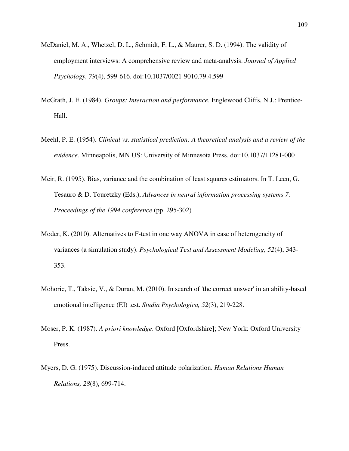- McDaniel, M. A., Whetzel, D. L., Schmidt, F. L., & Maurer, S. D. (1994). The validity of employment interviews: A comprehensive review and meta-analysis. *Journal of Applied Psychology, 79*(4), 599-616. doi:10.1037/0021-9010.79.4.599
- McGrath, J. E. (1984). *Groups: Interaction and performance*. Englewood Cliffs, N.J.: Prentice-Hall.
- Meehl, P. E. (1954). *Clinical vs. statistical prediction: A theoretical analysis and a review of the evidence*. Minneapolis, MN US: University of Minnesota Press. doi:10.1037/11281-000
- Meir, R. (1995). Bias, variance and the combination of least squares estimators. In T. Leen, G. Tesauro & D. Touretzky (Eds.), *Advances in neural information processing systems 7: Proceedings of the 1994 conference* (pp. 295-302)
- Moder, K. (2010). Alternatives to F-test in one way ANOVA in case of heterogeneity of variances (a simulation study). *Psychological Test and Assessment Modeling, 52*(4), 343- 353.
- Mohoric, T., Taksic, V., & Duran, M. (2010). In search of 'the correct answer' in an ability-based emotional intelligence (EI) test. *Studia Psychologica, 52*(3), 219-228.
- Moser, P. K. (1987). *A priori knowledge*. Oxford [Oxfordshire]; New York: Oxford University Press.
- Myers, D. G. (1975). Discussion-induced attitude polarization. *Human Relations Human Relations, 28*(8), 699-714.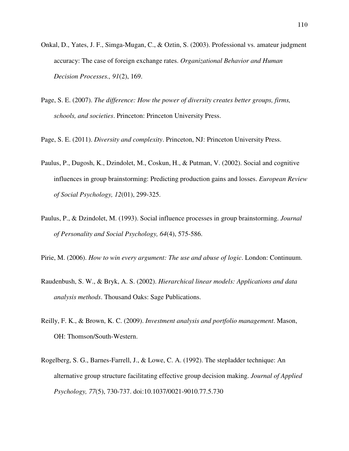- Onkal, D., Yates, J. F., Simga-Mugan, C., & Oztin, S. (2003). Professional vs. amateur judgment accuracy: The case of foreign exchange rates. *Organizational Behavior and Human Decision Processes., 91*(2), 169.
- Page, S. E. (2007). *The difference: How the power of diversity creates better groups, firms, schools, and societies*. Princeton: Princeton University Press.
- Page, S. E. (2011). *Diversity and complexity*. Princeton, NJ: Princeton University Press.
- Paulus, P., Dugosh, K., Dzindolet, M., Coskun, H., & Putman, V. (2002). Social and cognitive influences in group brainstorming: Predicting production gains and losses. *European Review of Social Psychology, 12*(01), 299-325.
- Paulus, P., & Dzindolet, M. (1993). Social influence processes in group brainstorming. *Journal of Personality and Social Psychology, 64*(4), 575-586.
- Pirie, M. (2006). *How to win every argument: The use and abuse of logic*. London: Continuum.
- Raudenbush, S. W., & Bryk, A. S. (2002). *Hierarchical linear models: Applications and data analysis methods*. Thousand Oaks: Sage Publications.
- Reilly, F. K., & Brown, K. C. (2009). *Investment analysis and portfolio management*. Mason, OH: Thomson/South-Western.
- Rogelberg, S. G., Barnes-Farrell, J., & Lowe, C. A. (1992). The stepladder technique: An alternative group structure facilitating effective group decision making. *Journal of Applied Psychology, 77*(5), 730-737. doi:10.1037/0021-9010.77.5.730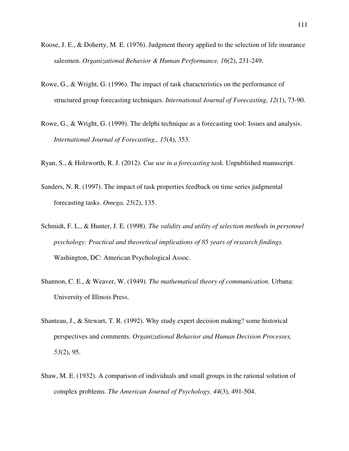- Roose, J. E., & Doherty, M. E. (1976). Judgment theory applied to the selection of life insurance salesmen. *Organizational Behavior & Human Performance, 16*(2), 231-249.
- Rowe, G., & Wright, G. (1996). The impact of task characteristics on the performance of structured group forecasting techniques. *International Journal of Forecasting, 12*(1), 73-90.
- Rowe, G., & Wright, G. (1999). The delphi technique as a forecasting tool: Issues and analysis. *International Journal of Forecasting., 15*(4), 353.
- Ryan, S., & Holzworth, R. J. (2012). *Cue use in a forecasting task.* Unpublished manuscript.
- Sanders, N. R. (1997). The impact of task properties feedback on time series judgmental forecasting tasks. *Omega, 25*(2), 135.
- Schmidt, F. L., & Hunter, J. E. (1998). *The validity and utility of selection methods in personnel psychology: Practical and theoretical implications of 85 years of research findings.* Washington, DC: American Psychological Assoc.
- Shannon, C. E., & Weaver, W. (1949). *The mathematical theory of communication.* Urbana: University of Illinois Press.
- Shanteau, J., & Stewart, T. R. (1992). Why study expert decision making? some historical perspectives and comments. *Organizational Behavior and Human Decision Processes, 53*(2), 95.
- Shaw, M. E. (1932). A comparison of individuals and small groups in the rational solution of complex problems. *The American Journal of Psychology, 44*(3), 491-504.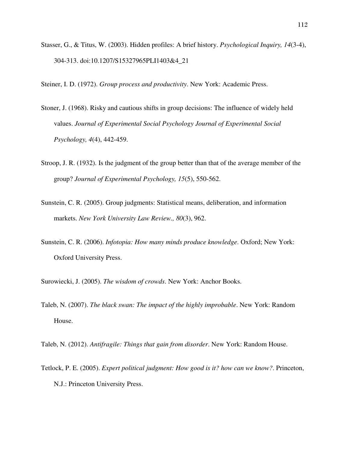- Stasser, G., & Titus, W. (2003). Hidden profiles: A brief history. *Psychological Inquiry, 14*(3-4), 304-313. doi:10.1207/S15327965PLI1403&4\_21
- Steiner, I. D. (1972). *Group process and productivity*. New York: Academic Press.
- Stoner, J. (1968). Risky and cautious shifts in group decisions: The influence of widely held values. *Journal of Experimental Social Psychology Journal of Experimental Social Psychology, 4*(4), 442-459.
- Stroop, J. R. (1932). Is the judgment of the group better than that of the average member of the group? *Journal of Experimental Psychology, 15*(5), 550-562.
- Sunstein, C. R. (2005). Group judgments: Statistical means, deliberation, and information markets. *New York University Law Review., 80*(3), 962.
- Sunstein, C. R. (2006). *Infotopia: How many minds produce knowledge*. Oxford; New York: Oxford University Press.
- Surowiecki, J. (2005). *The wisdom of crowds*. New York: Anchor Books.
- Taleb, N. (2007). *The black swan: The impact of the highly improbable*. New York: Random House.
- Taleb, N. (2012). *Antifragile: Things that gain from disorder*. New York: Random House.
- Tetlock, P. E. (2005). *Expert political judgment: How good is it? how can we know?*. Princeton, N.J.: Princeton University Press.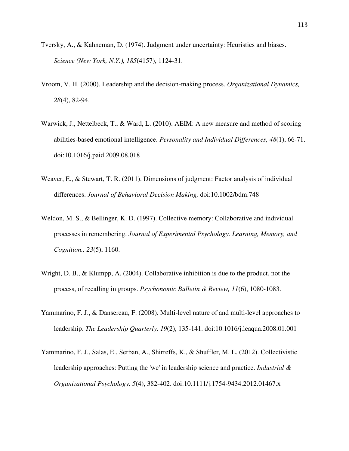- Tversky, A., & Kahneman, D. (1974). Judgment under uncertainty: Heuristics and biases. *Science (New York, N.Y.), 185*(4157), 1124-31.
- Vroom, V. H. (2000). Leadership and the decision-making process. *Organizational Dynamics, 28*(4), 82-94.
- Warwick, J., Nettelbeck, T., & Ward, L. (2010). AEIM: A new measure and method of scoring abilities-based emotional intelligence. *Personality and Individual Differences, 48*(1), 66-71. doi:10.1016/j.paid.2009.08.018
- Weaver, E., & Stewart, T. R. (2011). Dimensions of judgment: Factor analysis of individual differences. *Journal of Behavioral Decision Making,* doi:10.1002/bdm.748
- Weldon, M. S., & Bellinger, K. D. (1997). Collective memory: Collaborative and individual processes in remembering. *Journal of Experimental Psychology. Learning, Memory, and Cognition., 23*(5), 1160.
- Wright, D. B., & Klumpp, A. (2004). Collaborative inhibition is due to the product, not the process, of recalling in groups. *Psychonomic Bulletin & Review, 11*(6), 1080-1083.
- Yammarino, F. J., & Dansereau, F. (2008). Multi-level nature of and multi-level approaches to leadership. *The Leadership Quarterly, 19*(2), 135-141. doi:10.1016/j.leaqua.2008.01.001
- Yammarino, F. J., Salas, E., Serban, A., Shirreffs, K., & Shuffler, M. L. (2012). Collectivistic leadership approaches: Putting the 'we' in leadership science and practice. *Industrial & Organizational Psychology, 5*(4), 382-402. doi:10.1111/j.1754-9434.2012.01467.x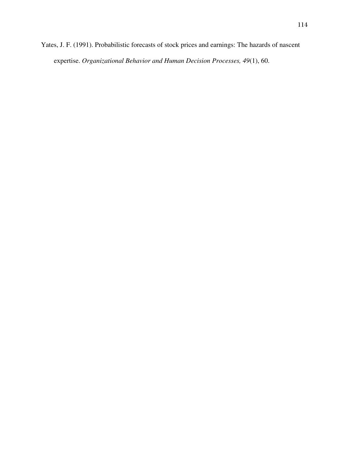Yates, J. F. (1991). Probabilistic forecasts of stock prices and earnings: The hazards of nascent expertise. *Organizational Behavior and Human Decision Processes, 49*(1), 60.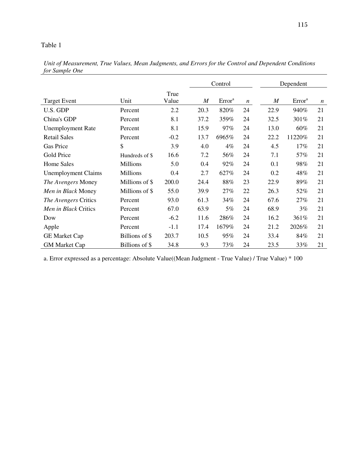|                            |                 |               |      | Control            |                  |                  | Dependent          |                  |
|----------------------------|-----------------|---------------|------|--------------------|------------------|------------------|--------------------|------------------|
| <b>Target Event</b>        | Unit            | True<br>Value | M    | Error <sup>a</sup> | $\boldsymbol{n}$ | $\boldsymbol{M}$ | Error <sup>a</sup> | $\boldsymbol{n}$ |
| U.S. GDP                   | Percent         | 2.2           | 20.3 | 820%               | 24               | 22.9             | 940%               | 21               |
| China's GDP                | Percent         | 8.1           | 37.2 | 359%               | 24               | 32.5             | 301%               | 21               |
| <b>Unemployment Rate</b>   | Percent         | 8.1           | 15.9 | 97%                | 24               | 13.0             | 60%                | 21               |
| <b>Retail Sales</b>        | Percent         | $-0.2$        | 13.7 | 6965%              | 24               | 22.2             | 11220%             | 21               |
| Gas Price                  | \$              | 3.9           | 4.0  | $4\%$              | 24               | 4.5              | 17%                | 21               |
| Gold Price                 | Hundreds of \$  | 16.6          | 7.2  | 56%                | 24               | 7.1              | 57%                | 21               |
| <b>Home Sales</b>          | <b>Millions</b> | 5.0           | 0.4  | 92%                | 24               | 0.1              | 98%                | 21               |
| <b>Unemployment Claims</b> | <b>Millions</b> | 0.4           | 2.7  | 627%               | 24               | 0.2              | 48%                | 21               |
| The Avengers Money         | Millions of \$  | 200.0         | 24.4 | 88%                | 23               | 22.9             | 89%                | 21               |
| Men in Black Money         | Millions of \$  | 55.0          | 39.9 | 27%                | 22               | 26.3             | 52%                | 21               |
| The Avengers Critics       | Percent         | 93.0          | 61.3 | 34%                | 24               | 67.6             | 27%                | 21               |
| Men in Black Critics       | Percent         | 67.0          | 63.9 | 5%                 | 24               | 68.9             | 3%                 | 21               |
| Dow                        | Percent         | $-6.2$        | 11.6 | 286%               | 24               | 16.2             | 361%               | 21               |
| Apple                      | Percent         | $-1.1$        | 17.4 | 1679%              | 24               | 21.2             | 2026%              | 21               |
| <b>GE Market Cap</b>       | Billions of \$  | 203.7         | 10.5 | 95%                | 24               | 33.4             | 84%                | 21               |
| <b>GM Market Cap</b>       | Billions of \$  | 34.8          | 9.3  | 73%                | 24               | 23.5             | 33%                | 21               |

*Unit of Measurement, True Values, Mean Judgments, and Errors for the Control and Dependent Conditions for Sample One* 

a. Error expressed as a percentage: Absolute Value((Mean Judgment - True Value) / True Value) \* 100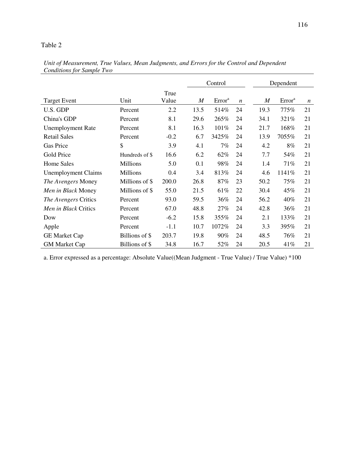|                            |                 |        | Control          |                    |                  |                  | Dependent          |                  |
|----------------------------|-----------------|--------|------------------|--------------------|------------------|------------------|--------------------|------------------|
|                            |                 | True   |                  |                    |                  |                  |                    |                  |
| <b>Target Event</b>        | Unit            | Value  | $\boldsymbol{M}$ | Error <sup>a</sup> | $\boldsymbol{n}$ | $\boldsymbol{M}$ | Error <sup>a</sup> | $\boldsymbol{n}$ |
| U.S. GDP                   | Percent         | 2.2    | 13.5             | 514%               | 24               | 19.3             | 775%               | 21               |
| China's GDP                | Percent         | 8.1    | 29.6             | 265%               | 24               | 34.1             | 321%               | 21               |
| <b>Unemployment Rate</b>   | Percent         | 8.1    | 16.3             | 101%               | 24               | 21.7             | 168%               | 21               |
| <b>Retail Sales</b>        | Percent         | $-0.2$ | 6.7              | 3425%              | 24               | 13.9             | 7055%              | 21               |
| <b>Gas Price</b>           | \$              | 3.9    | 4.1              | 7%                 | 24               | 4.2              | 8%                 | 21               |
| Gold Price                 | Hundreds of \$  | 16.6   | 6.2              | 62%                | 24               | 7.7              | 54%                | 21               |
| <b>Home Sales</b>          | <b>Millions</b> | 5.0    | 0.1              | 98%                | 24               | 1.4              | 71%                | 21               |
| <b>Unemployment Claims</b> | <b>Millions</b> | 0.4    | 3.4              | 813%               | 24               | 4.6              | 1141%              | 21               |
| The Avengers Money         | Millions of \$  | 200.0  | 26.8             | 87%                | 23               | 50.2             | 75%                | 21               |
| Men in Black Money         | Millions of \$  | 55.0   | 21.5             | 61%                | 22               | 30.4             | 45%                | 21               |
| The Avengers Critics       | Percent         | 93.0   | 59.5             | 36%                | 24               | 56.2             | 40%                | 21               |
| Men in Black Critics       | Percent         | 67.0   | 48.8             | 27%                | 24               | 42.8             | 36%                | 21               |
| Dow                        | Percent         | $-6.2$ | 15.8             | 355%               | 24               | 2.1              | 133%               | 21               |
| Apple                      | Percent         | $-1.1$ | 10.7             | 1072%              | 24               | 3.3              | 395%               | 21               |
| <b>GE Market Cap</b>       | Billions of \$  | 203.7  | 19.8             | 90%                | 24               | 48.5             | 76%                | 21               |
| <b>GM Market Cap</b>       | Billions of \$  | 34.8   | 16.7             | 52%                | 24               | 20.5             | 41%                | 21               |

*Unit of Measurement, True Values, Mean Judgments, and Errors for the Control and Dependent Conditions for Sample Two* 

a. Error expressed as a percentage: Absolute Value((Mean Judgment - True Value) / True Value) \*100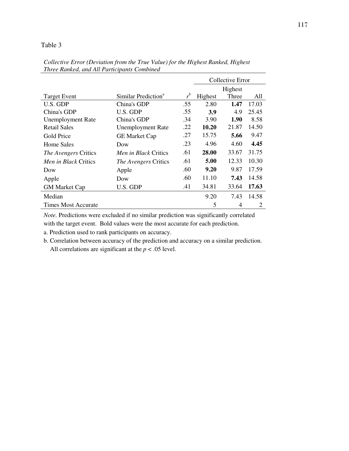|                             |                                 |         | Collective Error |         |                |  |  |
|-----------------------------|---------------------------------|---------|------------------|---------|----------------|--|--|
|                             |                                 |         |                  | Highest |                |  |  |
| <b>Target Event</b>         | Similar Prediction <sup>a</sup> | $r^{b}$ | Highest          | Three   | A11            |  |  |
| U.S. GDP                    | China's GDP                     | .55     | 2.80             | 1.47    | 17.03          |  |  |
| China's GDP                 | U.S. GDP                        | .55     | <b>3.9</b>       | 4.9     | 25.45          |  |  |
| <b>Unemployment Rate</b>    | China's GDP                     | .34     | 3.90             | 1.90    | 8.58           |  |  |
| <b>Retail Sales</b>         | <b>Unemployment Rate</b>        | .22     | 10.20            | 21.87   | 14.50          |  |  |
| Gold Price                  | <b>GE Market Cap</b>            | .27     | 15.75            | 5.66    | 9.47           |  |  |
| Home Sales                  | Dow                             | .23     | 4.96             | 4.60    | 4.45           |  |  |
| <i>The Avengers Critics</i> | <i>Men in Black Critics</i>     | .61     | 28.00            | 33.67   | 31.75          |  |  |
| <i>Men in Black Critics</i> | <i>The Avengers Critics</i>     | .61     | 5.00             | 12.33   | 10.30          |  |  |
| Dow                         | Apple                           | .60     | 9.20             | 9.87    | 17.59          |  |  |
| Apple                       | Dow                             | .60     | 11.10            | 7.43    | 14.58          |  |  |
| <b>GM Market Cap</b>        | U.S. GDP                        | .41     | 34.81            | 33.64   | 17.63          |  |  |
| Median                      |                                 |         | 9.20             | 7.43    | 14.58          |  |  |
| <b>Times Most Accurate</b>  |                                 |         | 5                | 4       | $\overline{2}$ |  |  |

*Collective Error (Deviation from the True Value) for the Highest Ranked, Highest Three Ranked, and All Participants Combined* 

*Note.* Predictions were excluded if no similar prediction was significantly correlated

with the target event. Bold values were the most accurate for each prediction.

a. Prediction used to rank participants on accuracy.

b. Correlation between accuracy of the prediction and accuracy on a similar prediction. All correlations are significant at the  $p < .05$  level.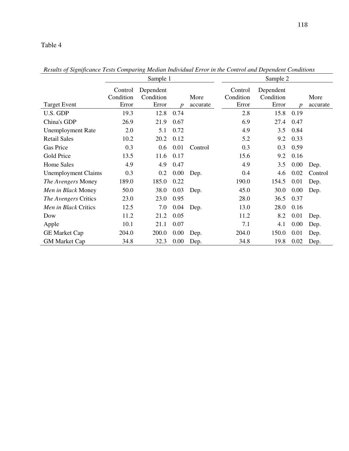|                            |                      | Sample 1               |      |          | Sample 2             |                        |                  |          |  |  |
|----------------------------|----------------------|------------------------|------|----------|----------------------|------------------------|------------------|----------|--|--|
|                            | Control<br>Condition | Dependent<br>Condition |      | More     | Control<br>Condition | Dependent<br>Condition |                  | More     |  |  |
| <b>Target Event</b>        | Error                | Error                  | D    | accurate | Error                | Error                  | $\boldsymbol{p}$ | accurate |  |  |
| U.S. GDP                   | 19.3                 | 12.8                   | 0.74 |          | 2.8                  | 15.8                   | 0.19             |          |  |  |
| China's GDP                | 26.9                 | 21.9                   | 0.67 |          | 6.9                  | 27.4                   | 0.47             |          |  |  |
| <b>Unemployment Rate</b>   | 2.0                  | 5.1                    | 0.72 |          | 4.9                  | 3.5                    | 0.84             |          |  |  |
| <b>Retail Sales</b>        | 10.2                 | 20.2                   | 0.12 |          | 5.2                  | 9.2                    | 0.33             |          |  |  |
| Gas Price                  | 0.3                  | 0.6                    | 0.01 | Control  | 0.3                  | 0.3                    | 0.59             |          |  |  |
| Gold Price                 | 13.5                 | 11.6                   | 0.17 |          | 15.6                 | 9.2                    | 0.16             |          |  |  |
| <b>Home Sales</b>          | 4.9                  | 4.9                    | 0.47 |          | 4.9                  | 3.5                    | 0.00             | Dep.     |  |  |
| <b>Unemployment Claims</b> | 0.3                  | 0.2                    | 0.00 | Dep.     | 0.4                  | 4.6                    | 0.02             | Control  |  |  |
| The Avengers Money         | 189.0                | 185.0                  | 0.22 |          | 190.0                | 154.5                  | 0.01             | Dep.     |  |  |
| Men in Black Money         | 50.0                 | 38.0                   | 0.03 | Dep.     | 45.0                 | 30.0                   | 0.00             | Dep.     |  |  |
| The Avengers Critics       | 23.0                 | 23.0                   | 0.95 |          | 28.0                 | 36.5                   | 0.37             |          |  |  |
| Men in Black Critics       | 12.5                 | 7.0                    | 0.04 | Dep.     | 13.0                 | 28.0                   | 0.16             |          |  |  |
| Dow                        | 11.2                 | 21.2                   | 0.05 |          | 11.2                 | 8.2                    | 0.01             | Dep.     |  |  |
| Apple                      | 10.1                 | 21.1                   | 0.07 |          | 7.1                  | 4.1                    | 0.00             | Dep.     |  |  |
| <b>GE Market Cap</b>       | 204.0                | 200.0                  | 0.00 | Dep.     | 204.0                | 150.0                  | 0.01             | Dep.     |  |  |
| <b>GM Market Cap</b>       | 34.8                 | 32.3                   | 0.00 | Dep.     | 34.8                 | 19.8                   | 0.02             | Dep.     |  |  |

*Results of Significance Tests Comparing Median Individual Error in the Control and Dependent Conditions*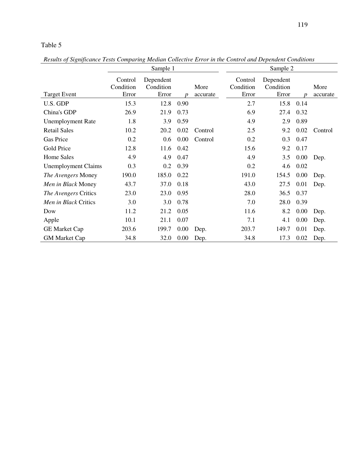*Results of Significance Tests Comparing Median Collective Error in the Control and Dependent Conditions* 

|                            |                               | Sample 1                        |                  |                  | Sample 2                      |                                 |                  |                  |  |  |
|----------------------------|-------------------------------|---------------------------------|------------------|------------------|-------------------------------|---------------------------------|------------------|------------------|--|--|
| <b>Target Event</b>        | Control<br>Condition<br>Error | Dependent<br>Condition<br>Error | $\boldsymbol{p}$ | More<br>accurate | Control<br>Condition<br>Error | Dependent<br>Condition<br>Error | $\boldsymbol{p}$ | More<br>accurate |  |  |
| U.S. GDP                   | 15.3                          | 12.8                            | 0.90             |                  | 2.7                           | 15.8                            | 0.14             |                  |  |  |
| China's GDP                | 26.9                          | 21.9                            | 0.73             |                  | 6.9                           | 27.4                            | 0.32             |                  |  |  |
| <b>Unemployment Rate</b>   | 1.8                           | 3.9                             | 0.59             |                  | 4.9                           | 2.9                             | 0.89             |                  |  |  |
| <b>Retail Sales</b>        | 10.2                          | 20.2                            | 0.02             | Control          | 2.5                           | 9.2                             | 0.02             | Control          |  |  |
| <b>Gas Price</b>           | 0.2                           | 0.6                             | 0.00             | Control          | 0.2                           | 0.3                             | 0.47             |                  |  |  |
| Gold Price                 | 12.8                          | 11.6                            | 0.42             |                  | 15.6                          | 9.2                             | 0.17             |                  |  |  |
| <b>Home Sales</b>          | 4.9                           | 4.9                             | 0.47             |                  | 4.9                           | 3.5                             | 0.00             | Dep.             |  |  |
| <b>Unemployment Claims</b> | 0.3                           | 0.2                             | 0.39             |                  | 0.2                           | 4.6                             | 0.02             |                  |  |  |
| The Avengers Money         | 190.0                         | 185.0                           | 0.22             |                  | 191.0                         | 154.5                           | 0.00             | Dep.             |  |  |
| Men in Black Money         | 43.7                          | 37.0                            | 0.18             |                  | 43.0                          | 27.5                            | 0.01             | Dep.             |  |  |
| The Avengers Critics       | 23.0                          | 23.0                            | 0.95             |                  | 28.0                          | 36.5                            | 0.37             |                  |  |  |
| Men in Black Critics       | 3.0                           | 3.0                             | 0.78             |                  | 7.0                           | 28.0                            | 0.39             |                  |  |  |
| Dow                        | 11.2                          | 21.2                            | 0.05             |                  | 11.6                          | 8.2                             | 0.00             | Dep.             |  |  |
| Apple                      | 10.1                          | 21.1                            | 0.07             |                  | 7.1                           | 4.1                             | 0.00             | Dep.             |  |  |
| <b>GE Market Cap</b>       | 203.6                         | 199.7                           | 0.00             | Dep.             | 203.7                         | 149.7                           | 0.01             | Dep.             |  |  |
| <b>GM Market Cap</b>       | 34.8                          | 32.0                            | 0.00             | Dep.             | 34.8                          | 17.3                            | 0.02             | Dep.             |  |  |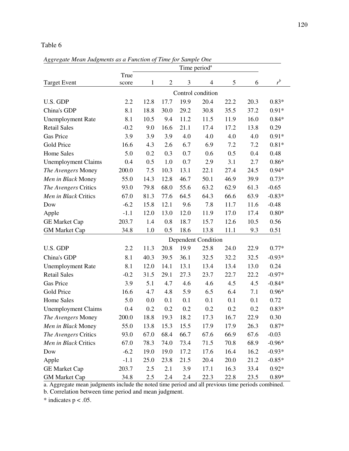*Aggregate Mean Judgments as a Function of Time for Sample One* 

|                            | Time period <sup>a</sup> |         |                |      |                            |      |      |          |
|----------------------------|--------------------------|---------|----------------|------|----------------------------|------|------|----------|
|                            | True                     |         |                |      |                            |      |      |          |
| <b>Target Event</b>        | score                    | 1       | $\overline{2}$ | 3    | 4                          | 5    | 6    | $r^b$    |
|                            |                          |         |                |      | Control condition          |      |      |          |
| U.S. GDP                   | 2.2                      | 12.8    | 17.7           | 19.9 | 20.4                       | 22.2 | 20.3 | $0.83*$  |
| China's GDP                | 8.1                      | 18.8    | 30.0           | 29.2 | 30.8                       | 35.5 | 37.2 | $0.91*$  |
| <b>Unemployment Rate</b>   | 8.1                      | 10.5    | 9.4            | 11.2 | 11.5                       | 11.9 | 16.0 | $0.84*$  |
| <b>Retail Sales</b>        | $-0.2$                   | 9.0     | 16.6           | 21.1 | 17.4                       | 17.2 | 13.8 | 0.29     |
| Gas Price                  | 3.9                      | 3.9     | 3.9            | 4.0  | 4.0                        | 4.0  | 4.0  | $0.91*$  |
| Gold Price                 | 16.6                     | 4.3     | 2.6            | 6.7  | 6.9                        | 7.2  | 7.2  | $0.81*$  |
| <b>Home Sales</b>          | 5.0                      | 0.2     | 0.3            | 0.7  | 0.6                        | 0.5  | 0.4  | 0.48     |
| <b>Unemployment Claims</b> | 0.4                      | 0.5     | 1.0            | 0.7  | 2.9                        | 3.1  | 2.7  | $0.86*$  |
| The Avengers Money         | 200.0                    | 7.5     | 10.3           | 13.1 | 22.1                       | 27.4 | 24.5 | $0.94*$  |
| Men in Black Money         | 55.0                     | 14.3    | 12.8           | 46.7 | 50.1                       | 46.9 | 39.9 | $0.73*$  |
| The Avengers Critics       | 93.0                     | 79.8    | 68.0           | 55.6 | 63.2                       | 62.9 | 61.3 | $-0.65$  |
| Men in Black Critics       | 67.0                     | 81.3    | 77.6           | 64.5 | 64.3                       | 66.6 | 63.9 | $-0.83*$ |
| Dow                        | $-6.2$                   | 15.8    | 12.1           | 9.6  | 7.8                        | 11.7 | 11.6 | $-0.48$  |
| Apple                      | $-1.1$                   | 12.0    | 13.0           | 12.0 | 11.9                       | 17.0 | 17.4 | $0.80*$  |
| <b>GE Market Cap</b>       | 203.7                    | 1.4     | 0.8            | 18.7 | 15.7                       | 12.6 | 10.5 | 0.56     |
| <b>GM Market Cap</b>       | 34.8                     | 1.0     | 0.5            | 18.6 | 13.8                       | 11.1 | 9.3  | 0.51     |
|                            |                          |         |                |      | <b>Dependent Condition</b> |      |      |          |
| U.S. GDP                   | 2.2                      | 11.3    | 20.8           | 19.9 | 25.8                       | 24.0 | 22.9 | $0.77*$  |
| China's GDP                | 8.1                      | 40.3    | 39.5           | 36.1 | 32.5                       | 32.2 | 32.5 | $-0.93*$ |
| <b>Unemployment Rate</b>   | 8.1                      | 12.0    | 14.1           | 13.1 | 13.4                       | 13.4 | 13.0 | 0.24     |
| <b>Retail Sales</b>        | $-0.2$                   | 31.5    | 29.1           | 27.3 | 23.7                       | 22.7 | 22.2 | $-0.97*$ |
| Gas Price                  | 3.9                      | 5.1     | 4.7            | 4.6  | 4.6                        | 4.5  | 4.5  | $-0.84*$ |
| Gold Price                 | 16.6                     | 4.7     | 4.8            | 5.9  | 6.5                        | 6.4  | 7.1  | $0.96*$  |
| <b>Home Sales</b>          | 5.0                      | 0.0     | 0.1            | 0.1  | 0.1                        | 0.1  | 0.1  | 0.72     |
| <b>Unemployment Claims</b> | 0.4                      | 0.2     | 0.2            | 0.2  | 0.2                        | 0.2  | 0.2  | $0.83*$  |
| The Avengers Money         | 200.0                    | 18.8    | 19.3           | 18.2 | 17.3                       | 16.7 | 22.9 | 0.30     |
| Men in Black Money         | 55.0                     | 13.8    | 15.3           | 15.5 | 17.9                       | 17.9 | 26.3 | $0.87*$  |
| The Avengers Critics       | 93.0                     | 67.0    | 68.4           | 66.7 | 67.6                       | 66.9 | 67.6 | $-0.03$  |
| Men in Black Critics       | 67.0                     | 78.3    | 74.0           | 73.4 | 71.5                       | 70.8 | 68.9 | $-0.96*$ |
| Dow                        | $-6.2$                   | 19.0    | 19.0           | 17.2 | 17.6                       | 16.4 | 16.2 | $-0.93*$ |
| Apple                      | $-1.1$                   | 25.0    | 23.8           | 21.5 | 20.4                       | 20.0 | 21.2 | $-0.85*$ |
| <b>GE Market Cap</b>       | 203.7                    | 2.5     | 2.1            | 3.9  | 17.1                       | 16.3 | 33.4 | $0.92*$  |
| <b>GM</b> Market Cap       | 34.8                     | $2.5\,$ | 2.4            | 2.4  | 22.3                       | 22.8 | 23.5 | $0.89*$  |

a. Aggregate mean judgments include the noted time period and all previous time periods combined.

b. Correlation between time period and mean judgment.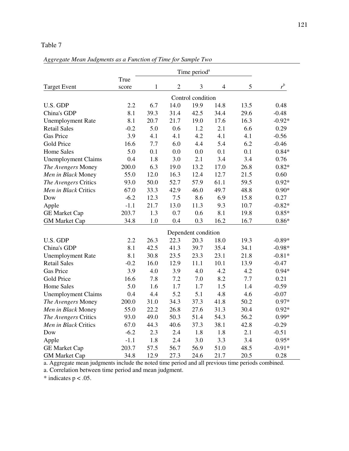### *Aggregate Mean Judgments as a Function of Time for Sample Two*

|                            |        |              |                | Time period <sup>a</sup> |                |      |          |
|----------------------------|--------|--------------|----------------|--------------------------|----------------|------|----------|
|                            | True   |              |                |                          |                |      |          |
| <b>Target Event</b>        | score  | $\mathbf{1}$ | $\overline{2}$ | 3                        | $\overline{4}$ | 5    | $r^{b}$  |
|                            |        |              |                | Control condition        |                |      |          |
| U.S. GDP                   | 2.2    | 6.7          | 14.0           | 19.9                     | 14.8           | 13.5 | 0.48     |
| China's GDP                | 8.1    | 39.3         | 31.4           | 42.5                     | 34.4           | 29.6 | $-0.48$  |
| <b>Unemployment Rate</b>   | 8.1    | 20.7         | 21.7           | 19.0                     | 17.6           | 16.3 | $-0.92*$ |
| <b>Retail Sales</b>        | $-0.2$ | 5.0          | 0.6            | 1.2                      | 2.1            | 6.6  | 0.29     |
| <b>Gas Price</b>           | 3.9    | 4.1          | 4.1            | 4.2                      | 4.1            | 4.1  | $-0.56$  |
| Gold Price                 | 16.6   | 7.7          | 6.0            | 4.4                      | 5.4            | 6.2  | $-0.46$  |
| <b>Home Sales</b>          | 5.0    | 0.1          | 0.0            | 0.0                      | 0.1            | 0.1  | $0.84*$  |
| <b>Unemployment Claims</b> | 0.4    | 1.8          | 3.0            | 2.1                      | 3.4            | 3.4  | 0.76     |
| The Avengers Money         | 200.0  | 6.3          | 19.0           | 13.2                     | 17.0           | 26.8 | $0.82*$  |
| Men in Black Money         | 55.0   | 12.0         | 16.3           | 12.4                     | 12.7           | 21.5 | 0.60     |
| The Avengers Critics       | 93.0   | 50.0         | 52.7           | 57.9                     | 61.1           | 59.5 | $0.92*$  |
| Men in Black Critics       | 67.0   | 33.3         | 42.9           | 46.0                     | 49.7           | 48.8 | $0.90*$  |
| Dow                        | $-6.2$ | 12.3         | 7.5            | 8.6                      | 6.9            | 15.8 | 0.27     |
| Apple                      | $-1.1$ | 21.7         | 13.0           | 11.3                     | 9.3            | 10.7 | $-0.82*$ |
| <b>GE Market Cap</b>       | 203.7  | 1.3          | 0.7            | 0.6                      | 8.1            | 19.8 | $0.85*$  |
| <b>GM Market Cap</b>       | 34.8   | 1.0          | 0.4            | 0.3                      | 16.2           | 16.7 | $0.86*$  |
|                            |        |              |                | Dependent condition      |                |      |          |
| U.S. GDP                   | 2.2    | 26.3         | 22.3           | 20.3                     | 18.0           | 19.3 | $-0.89*$ |
| China's GDP                | 8.1    | 42.5         | 41.3           | 39.7                     | 35.4           | 34.1 | $-0.98*$ |
| <b>Unemployment Rate</b>   | 8.1    | 30.8         | 23.5           | 23.3                     | 23.1           | 21.8 | $-0.81*$ |
| <b>Retail Sales</b>        | $-0.2$ | 16.0         | 12.9           | 11.1                     | 10.1           | 13.9 | $-0.47$  |
| <b>Gas Price</b>           | 3.9    | 4.0          | 3.9            | 4.0                      | 4.2            | 4.2  | $0.94*$  |
| Gold Price                 | 16.6   | 7.8          | 7.2            | 7.0                      | 8.2            | 7.7  | 0.21     |
| <b>Home Sales</b>          | 5.0    | 1.6          | 1.7            | 1.7                      | 1.5            | 1.4  | $-0.59$  |
| <b>Unemployment Claims</b> | 0.4    | 4.4          | 5.2            | 5.1                      | 4.8            | 4.6  | $-0.07$  |
| The Avengers Money         | 200.0  | 31.0         | 34.3           | 37.3                     | 41.8           | 50.2 | $0.97*$  |
| Men in Black Money         | 55.0   | 22.2         | 26.8           | 27.6                     | 31.3           | 30.4 | $0.92*$  |
| The Avengers Critics       | 93.0   | 49.0         | 50.3           | 51.4                     | 54.3           | 56.2 | $0.99*$  |
| Men in Black Critics       | 67.0   | 44.3         | 40.6           | 37.3                     | 38.1           | 42.8 | $-0.29$  |
| Dow                        | $-6.2$ | 2.3          | 2.4            | 1.8                      | 1.8            | 2.1  | $-0.51$  |
| Apple                      | $-1.1$ | 1.8          | 2.4            | 3.0                      | 3.3            | 3.4  | $0.95*$  |
| <b>GE Market Cap</b>       | 203.7  | 57.5         | 56.7           | 56.9                     | 51.0           | 48.5 | $-0.91*$ |
| <b>GM</b> Market Cap       | 34.8   | 12.9         | 27.3           | 24.6                     | 21.7           | 20.5 | 0.28     |

a. Aggregate mean judgments include the noted time period and all previous time periods combined.

a. Correlation between time period and mean judgment.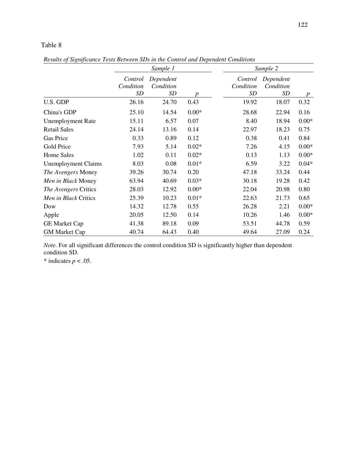*Results of Significance Tests Between SDs in the Control and Dependent Conditions* 

|                            |                                   | Sample 1                            |         |                            | Sample 2                            |         |
|----------------------------|-----------------------------------|-------------------------------------|---------|----------------------------|-------------------------------------|---------|
|                            | Control<br>Condition<br><b>SD</b> | Dependent<br>Condition<br><b>SD</b> | p       | Control<br>Condition<br>SD | Dependent<br>Condition<br><b>SD</b> | p       |
| U.S. GDP                   | 26.16                             | 24.70                               | 0.43    | 19.92                      | 18.07                               | 0.32    |
| China's GDP                | 25.10                             | 14.54                               | $0.00*$ | 28.68                      | 22.94                               | 0.16    |
| <b>Unemployment Rate</b>   | 15.11                             | 6.57                                | 0.07    | 8.40                       | 18.94                               | $0.00*$ |
| <b>Retail Sales</b>        | 24.14                             | 13.16                               | 0.14    | 22.97                      | 18.23                               | 0.75    |
| <b>Gas Price</b>           | 0.33                              | 0.89                                | 0.12    | 0.38                       | 0.41                                | 0.84    |
| Gold Price                 | 7.93                              | 5.14                                | $0.02*$ | 7.26                       | 4.15                                | $0.00*$ |
| <b>Home Sales</b>          | 1.02                              | 0.11                                | $0.02*$ | 0.13                       | 1.13                                | $0.00*$ |
| <b>Unemployment Claims</b> | 8.03                              | 0.08                                | $0.01*$ | 6.59                       | 3.22                                | $0.04*$ |
| The Avengers Money         | 39.26                             | 30.74                               | 0.20    | 47.18                      | 33.24                               | 0.44    |
| Men in Black Money         | 63.94                             | 40.69                               | $0.03*$ | 30.18                      | 19.28                               | 0.42    |
| The Avengers Critics       | 28.03                             | 12.92                               | $0.00*$ | 22.04                      | 20.98                               | 0.80    |
| Men in Black Critics       | 25.39                             | 10.23                               | $0.01*$ | 22.63                      | 21.73                               | 0.65    |
| Dow                        | 14.32                             | 12.78                               | 0.55    | 26.28                      | 2.21                                | $0.00*$ |
| Apple                      | 20.05                             | 12.50                               | 0.14    | 10.26                      | 1.46                                | $0.00*$ |
| <b>GE Market Cap</b>       | 41.38                             | 89.18                               | 0.09    | 53.51                      | 44.78                               | 0.59    |
| <b>GM Market Cap</b>       | 40.74                             | 64.43                               | 0.40    | 49.64                      | 27.09                               | 0.24    |

*Note.* For all significant differences the control condition SD is significantly higher than dependent condition SD.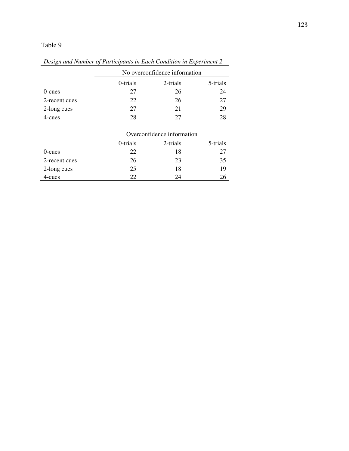|               |          | No overconfidence information |          |  |  |  |  |  |  |
|---------------|----------|-------------------------------|----------|--|--|--|--|--|--|
|               | 0-trials | 2-trials                      | 5-trials |  |  |  |  |  |  |
| $0$ -cues     | 27       | 26                            | 24       |  |  |  |  |  |  |
| 2-recent cues | 22       | 26                            | 27       |  |  |  |  |  |  |
| 2-long cues   | 27       | 21                            | 29       |  |  |  |  |  |  |
| 4-cues        | 28       | 27                            | 28       |  |  |  |  |  |  |

*Design and Number of Participants in Each Condition in Experiment 2* 

|               |          | Overconfidence information |    |  |  |  |  |  |  |
|---------------|----------|----------------------------|----|--|--|--|--|--|--|
|               | 0-trials | 2-trials                   |    |  |  |  |  |  |  |
| $0$ -cues     | 22       | 18                         | 27 |  |  |  |  |  |  |
| 2-recent cues | 26       | 23                         | 35 |  |  |  |  |  |  |
| 2-long cues   | 25       | 18                         | 19 |  |  |  |  |  |  |
| 4-cues        | 22.      | 24                         |    |  |  |  |  |  |  |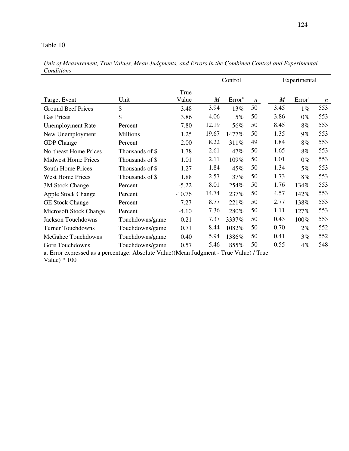| Conditions                   |                 |               |                  |                    |                  |                  |                    |                  |
|------------------------------|-----------------|---------------|------------------|--------------------|------------------|------------------|--------------------|------------------|
|                              |                 |               |                  | Control            |                  |                  | Experimental       |                  |
| <b>Target Event</b>          | Unit            | True<br>Value | $\boldsymbol{M}$ | Error <sup>a</sup> | $\boldsymbol{n}$ | $\boldsymbol{M}$ | Error <sup>a</sup> | $\boldsymbol{n}$ |
| <b>Ground Beef Prices</b>    | \$              | 3.48          | 3.94             | 13%                | 50               | 3.45             | $1\%$              | 553              |
| <b>Gas Prices</b>            | \$              | 3.86          | 4.06             | 5%                 | 50               | 3.86             | $0\%$              | 553              |
| <b>Unemployment Rate</b>     | Percent         | 7.80          | 12.19            | 56%                | 50               | 8.45             | $8\%$              | 553              |
| New Unemployment             | <b>Millions</b> | 1.25          | 19.67            | 1477%              | 50               | 1.35             | $9\%$              | 553              |
| <b>GDP</b> Change            | Percent         | 2.00          | 8.22             | 311%               | 49               | 1.84             | 8%                 | 553              |
| <b>Northeast Home Prices</b> | Thousands of \$ | 1.78          | 2.61             | 47%                | 50               | 1.65             | 8%                 | 553              |
| <b>Midwest Home Prices</b>   | Thousands of \$ | 1.01          | 2.11             | 109%               | 50               | 1.01             | $0\%$              | 553              |
| <b>South Home Prices</b>     | Thousands of \$ | 1.27          | 1.84             | 45%                | 50               | 1.34             | 5%                 | 553              |
| <b>West Home Prices</b>      | Thousands of \$ | 1.88          | 2.57             | 37%                | 50               | 1.73             | 8%                 | 553              |
| 3M Stock Change              | Percent         | $-5.22$       | 8.01             | 254%               | 50               | 1.76             | 134%               | 553              |
| <b>Apple Stock Change</b>    | Percent         | $-10.76$      | 14.74            | 237%               | 50               | 4.57             | 142%               | 553              |
| <b>GE Stock Change</b>       | Percent         | $-7.27$       | 8.77             | 221%               | 50               | 2.77             | 138%               | 553              |
| Microsoft Stock Change       | Percent         | $-4.10$       | 7.36             | 280%               | 50               | 1.11             | 127%               | 553              |
| <b>Jackson Touchdowns</b>    | Touchdowns/game | 0.21          | 7.37             | 3337%              | 50               | 0.43             | 100%               | 553              |
| <b>Turner Touchdowns</b>     | Touchdowns/game | 0.71          | 8.44             | 1082%              | 50               | 0.70             | $2\%$              | 552              |
| McGahee Touchdowns           | Touchdowns/game | 0.40          | 5.94             | 1386%              | 50               | 0.41             | 3%                 | 552              |
| Gore Touchdowns              | Touchdowns/game | 0.57          | 5.46             | 855%               | 50               | 0.55             | $4\%$              | 548              |

*Unit of Measurement, True Values, Mean Judgments, and Errors in the Combined Control and Experimental Conditions* 

a. Error expressed as a percentage: Absolute Value((Mean Judgment - True Value) / True Value)  $* 100$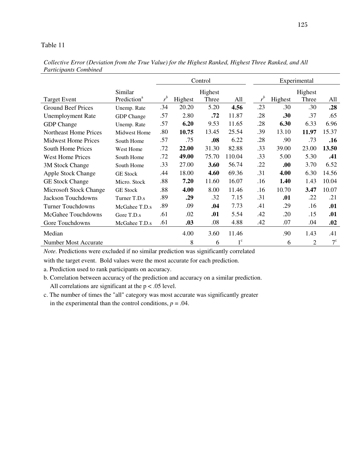|                              |                         |         |         | Control |             |         | Experimental |                |             |  |  |
|------------------------------|-------------------------|---------|---------|---------|-------------|---------|--------------|----------------|-------------|--|--|
|                              | Similar                 |         |         | Highest |             |         |              | Highest        |             |  |  |
| <b>Target Event</b>          | Prediction <sup>a</sup> | $r^{b}$ | Highest | Three   | All         | $r^{b}$ | Highest      | Three          | All         |  |  |
| <b>Ground Beef Prices</b>    | Unemp. Rate             | .34     | 20.20   | 5.20    | 4.56        | .23     | .30          | .30            | .28         |  |  |
| <b>Unemployment Rate</b>     | <b>GDP</b> Change       | .57     | 2.80    | .72     | 11.87       | .28     | .30          | .37            | .65         |  |  |
| <b>GDP</b> Change            | Unemp. Rate             | .57     | 6.20    | 9.53    | 11.65       | .28     | 6.30         | 6.33           | 6.96        |  |  |
| <b>Northeast Home Prices</b> | Midwest Home            | .80     | 10.75   | 13.45   | 25.54       | .39     | 13.10        | 11.97          | 15.37       |  |  |
| <b>Midwest Home Prices</b>   | South Home              | .57     | .75     | .08     | 6.22        | .28     | .90          | .73            | .16         |  |  |
| <b>South Home Prices</b>     | <b>West Home</b>        | .72     | 22.00   | 31.30   | 82.88       | .33     | 39.00        | 23.00          | 13.50       |  |  |
| <b>West Home Prices</b>      | South Home              | .72     | 49.00   | 75.70   | 110.04      | .33     | 5.00         | 5.30           | .41         |  |  |
| 3M Stock Change              | South Home              | .33     | 27.00   | 3.60    | 56.74       | .22     | .00.         | 3.70           | 6.52        |  |  |
| Apple Stock Change           | <b>GE Stock</b>         | .44     | 18.00   | 4.60    | 69.36       | .31     | 4.00         | 6.30           | 14.56       |  |  |
| <b>GE Stock Change</b>       | Micro. Stock            | .88     | 7.20    | 11.60   | 16.07       | .16     | 1.40         | 1.43           | 10.04       |  |  |
| Microsoft Stock Change       | <b>GE Stock</b>         | .88     | 4.00    | 8.00    | 11.46       | .16     | 10.70        | 3.47           | 10.07       |  |  |
| Jackson Touchdowns           | Turner T.D.s            | .89     | .29     | .32     | 7.15        | .31     | .01          | .22            | .21         |  |  |
| <b>Turner Touchdowns</b>     | McGahee T.D.s           | .89     | .09     | .04     | 7.73        | .41     | .29          | .16            | .01         |  |  |
| McGahee Touchdowns           | Gore T.D.s              | .61     | .02     | .01     | 5.54        | .42     | .20          | .15            | .01         |  |  |
| Gore Touchdowns              | McGahee T.D.s           | .61     | .03     | .08     | 4.88        | .42     | .07          | .04            | .02         |  |  |
| Median                       |                         |         | 4.00    | 3.60    | 11.46       |         | .90          | 1.43           | .41         |  |  |
| <b>Number Most Accurate</b>  |                         |         | 8       | 6       | $1^{\circ}$ |         | 6            | $\overline{2}$ | $7^{\circ}$ |  |  |

*Collective Error (Deviation from the True Value) for the Highest Ranked, Highest Three Ranked, and All Participants Combined* 

*Note.* Predictions were excluded if no similar prediction was significantly correlated

with the target event. Bold values were the most accurate for each prediction.

a. Prediction used to rank participants on accuracy.

- b. Correlation between accuracy of the prediction and accuracy on a similar prediction. All correlations are significant at the  $p < .05$  level.
- c. The number of times the "all" category was most accurate was significantly greater in the experimental than the control conditions,  $p = .04$ .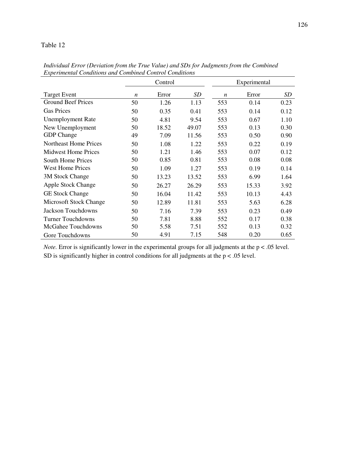|                            |                  | Control |       |                  | Experimental |      |
|----------------------------|------------------|---------|-------|------------------|--------------|------|
| <b>Target Event</b>        | $\boldsymbol{n}$ | Error   | SD    | $\boldsymbol{n}$ | Error        | SD   |
| <b>Ground Beef Prices</b>  | 50               | 1.26    | 1.13  | 553              | 0.14         | 0.23 |
| <b>Gas Prices</b>          | 50               | 0.35    | 0.41  | 553              | 0.14         | 0.12 |
| <b>Unemployment Rate</b>   | 50               | 4.81    | 9.54  | 553              | 0.67         | 1.10 |
| New Unemployment           | 50               | 18.52   | 49.07 | 553              | 0.13         | 0.30 |
| <b>GDP</b> Change          | 49               | 7.09    | 11.56 | 553              | 0.50         | 0.90 |
| Northeast Home Prices      | 50               | 1.08    | 1.22  | 553              | 0.22         | 0.19 |
| <b>Midwest Home Prices</b> | 50               | 1.21    | 1.46  | 553              | 0.07         | 0.12 |
| <b>South Home Prices</b>   | 50               | 0.85    | 0.81  | 553              | 0.08         | 0.08 |
| <b>West Home Prices</b>    | 50               | 1.09    | 1.27  | 553              | 0.19         | 0.14 |
| 3M Stock Change            | 50               | 13.23   | 13.52 | 553              | 6.99         | 1.64 |
| Apple Stock Change         | 50               | 26.27   | 26.29 | 553              | 15.33        | 3.92 |
| <b>GE Stock Change</b>     | 50               | 16.04   | 11.42 | 553              | 10.13        | 4.43 |
| Microsoft Stock Change     | 50               | 12.89   | 11.81 | 553              | 5.63         | 6.28 |
| Jackson Touchdowns         | 50               | 7.16    | 7.39  | 553              | 0.23         | 0.49 |
| <b>Turner Touchdowns</b>   | 50               | 7.81    | 8.88  | 552              | 0.17         | 0.38 |
| McGahee Touchdowns         | 50               | 5.58    | 7.51  | 552              | 0.13         | 0.32 |
| Gore Touchdowns            | 50               | 4.91    | 7.15  | 548              | 0.20         | 0.65 |

*Individual Error (Deviation from the True Value) and SDs for Judgments from the Combined Experimental Conditions and Combined Control Conditions* 

*Note.* Error is significantly lower in the experimental groups for all judgments at the  $p < .05$  level. SD is significantly higher in control conditions for all judgments at the  $p < .05$  level.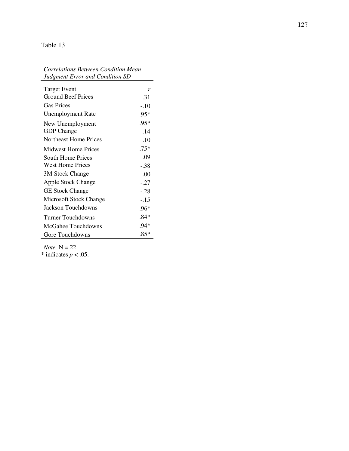### *Correlations Between Condition Mean Judgment Error and Condition SD*

 $\overline{\phantom{a}}$ 

| <b>Target Event</b>        | r      |
|----------------------------|--------|
| <b>Ground Beef Prices</b>  | .31    |
| <b>Gas Prices</b>          | -.10   |
| <b>Unemployment Rate</b>   | .95*   |
| New Unemployment           | $.95*$ |
| <b>GDP</b> Change          | $-14$  |
| Northeast Home Prices      | .10    |
| <b>Midwest Home Prices</b> | $.75*$ |
| <b>South Home Prices</b>   | .09    |
| <b>West Home Prices</b>    | -.38   |
| 3M Stock Change            | .00    |
| <b>Apple Stock Change</b>  | $-.27$ |
| <b>GE Stock Change</b>     | $-.28$ |
| Microsoft Stock Change     | -.15   |
| Jackson Touchdowns         | $.96*$ |
| <b>Turner Touchdowns</b>   | $.84*$ |
| McGahee Touchdowns         | .94*   |
| Gore Touchdowns            | $.85*$ |

*Note.* N = 22.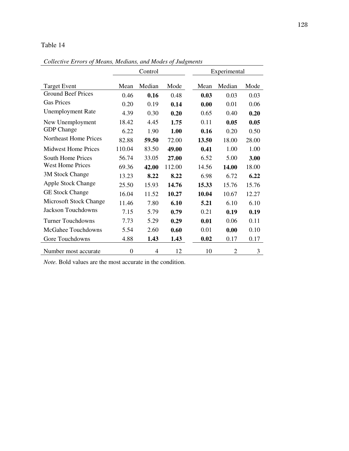Control Experimental Target Event Mean Median Mode Mean Median Mode Ground Beef Prices 0.46 **0.16** 0.48 **0.03** 0.03 0.03 Gas Prices 0.20 0.19 **0.14 0.00** 0.01 0.06 Unemployment Rate 4.39 0.30 **0.20** 0.65 0.40 **0.20** New Unemployment 18.42 4.45 **1.75** 0.11 **0.05 0.05** GDP Change 6.22 1.90 **1.00 0.16** 0.20 0.50 Northeast Home Prices 82.88 **59.50** 72.00 **13.50** 18.00 28.00 Midwest Home Prices 110.04 83.50 **49.00 0.41** 1.00 1.00 South Home Prices 56.74 33.05 **27.00** 6.52 5.00 **3.00** West Home Prices 69.36 **42.00** 112.00 14.56 **14.00** 18.00 3M Stock Change 13.23 **8.22 8.22** 6.98 6.72 **6.22** Apple Stock Change 25.50 15.93 **14.76 15.33** 15.76 15.76 GE Stock Change 16.04 11.52 **10.27 10.04** 10.67 12.27 Microsoft Stock Change 11.46 7.80 **6.10 5.21** 6.10 6.10 Jackson Touchdowns 7.15 5.79 **0.79** 0.21 **0.19 0.19** Turner Touchdowns 7.73 5.29 **0.29 0.01** 0.06 0.11 McGahee Touchdowns 5.54 2.60 **0.60** 0.01 **0.00** 0.10 Gore Touchdowns 4.88 **1.43 1.43 0.02** 0.17 0.17 Number most accurate  $0 \t 4 \t 12 \t 10 \t 2 \t 3$ 

*Collective Errors of Means, Medians, and Modes of Judgments* 

*Note.* Bold values are the most accurate in the condition.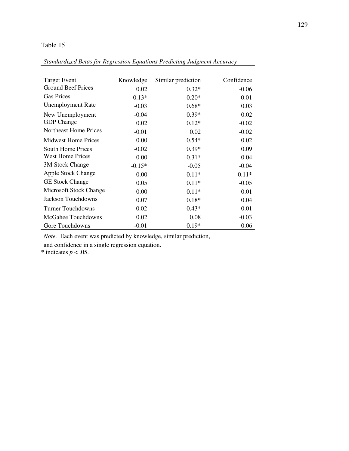|--|

| <b>Target Event</b>        | Knowledge | Similar prediction | Confidence |
|----------------------------|-----------|--------------------|------------|
| <b>Ground Beef Prices</b>  | 0.02      | $0.32*$            | $-0.06$    |
| <b>Gas Prices</b>          | $0.13*$   | $0.20*$            | $-0.01$    |
| <b>Unemployment Rate</b>   | $-0.03$   | $0.68*$            | 0.03       |
| New Unemployment           | $-0.04$   | $0.39*$            | 0.02       |
| <b>GDP</b> Change          | 0.02      | $0.12*$            | $-0.02$    |
| Northeast Home Prices      | $-0.01$   | 0.02               | $-0.02$    |
| <b>Midwest Home Prices</b> | 0.00      | $0.54*$            | 0.02       |
| South Home Prices          | $-0.02$   | $0.39*$            | 0.09       |
| <b>West Home Prices</b>    | 0.00      | $0.31*$            | 0.04       |
| 3M Stock Change            | $-0.15*$  | $-0.05$            | $-0.04$    |
| <b>Apple Stock Change</b>  | 0.00      | $0.11*$            | $-0.11*$   |
| <b>GE Stock Change</b>     | 0.05      | $0.11*$            | $-0.05$    |
| Microsoft Stock Change     | 0.00      | $0.11*$            | 0.01       |
| Jackson Touchdowns         | 0.07      | $0.18*$            | 0.04       |
| <b>Turner Touchdowns</b>   | $-0.02$   | $0.43*$            | 0.01       |
| McGahee Touchdowns         | 0.02      | 0.08               | $-0.03$    |
| Gore Touchdowns            | $-0.01$   | $0.19*$            | 0.06       |

*Note.* Each event was predicted by knowledge, similar prediction,

and confidence in a single regression equation.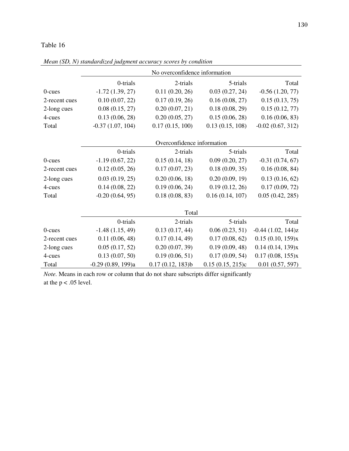|               | No overconfidence information |                            |                  |                        |
|---------------|-------------------------------|----------------------------|------------------|------------------------|
|               | 0-trials                      | 2-trials                   | 5-trials         | Total                  |
| $0$ -cues     | $-1.72(1.39, 27)$             | 0.11(0.20, 26)             | 0.03(0.27, 24)   | $-0.56(1.20, 77)$      |
| 2-recent cues | 0.10(0.07, 22)                | 0.17(0.19, 26)             | 0.16(0.08, 27)   | 0.15(0.13, 75)         |
| 2-long cues   | 0.08(0.15, 27)                | 0.20(0.07, 21)             | 0.18(0.08, 29)   | 0.15(0.12, 77)         |
| 4-cues        | 0.13(0.06, 28)                | 0.20(0.05, 27)             | 0.15(0.06, 28)   | 0.16(0.06, 83)         |
| Total         | $-0.37(1.07, 104)$            | 0.17(0.15, 100)            | 0.13(0.15, 108)  | $-0.02(0.67, 312)$     |
|               |                               |                            |                  |                        |
|               |                               | Overconfidence information |                  |                        |
|               | 0-trials                      | 2-trials                   | 5-trials         | Total                  |
| $0$ -cues     | $-1.19(0.67, 22)$             | 0.15(0.14, 18)             | 0.09(0.20, 27)   | $-0.31(0.74, 67)$      |
| 2-recent cues | 0.12(0.05, 26)                | 0.17(0.07, 23)             | 0.18(0.09, 35)   | 0.16(0.08, 84)         |
| 2-long cues   | 0.03(0.19, 25)                | 0.20(0.06, 18)             | 0.20(0.09, 19)   | 0.13(0.16, 62)         |
| 4-cues        | 0.14(0.08, 22)                | 0.19(0.06, 24)             | 0.19(0.12, 26)   | 0.17(0.09, 72)         |
| Total         | $-0.20(0.64, 95)$             | 0.18(0.08, 83)             | 0.16(0.14, 107)  | 0.05(0.42, 285)        |
|               |                               |                            |                  |                        |
|               |                               | Total                      |                  |                        |
|               | 0-trials                      | 2-trials                   | 5-trials         | Total                  |
| $0$ -cues     | $-1.48(1.15, 49)$             | 0.13(0.17, 44)             | 0.06(0.23, 51)   | $-0.44$ $(1.02, 144)z$ |
| 2-recent cues | 0.11(0.06, 48)                | 0.17(0.14, 49)             | 0.17(0.08, 62)   | 0.15(0.10, 159)x       |
| 2-long cues   | 0.05(0.17, 52)                | 0.20(0.07, 39)             | 0.19(0.09, 48)   | 0.14(0.14, 139)x       |
| 4-cues        | 0.13(0.07, 50)                | 0.19(0.06, 51)             | 0.17(0.09, 54)   | 0.17(0.08, 155)x       |
| Total         | $-0.29(0.89, 199)a$           | 0.17(0.12, 183)b           | 0.15(0.15, 215)c | $0.01$ $(0.57, 597)$   |

*Mean (SD, N) standardized judgment accuracy scores by condition* 

*Note.* Means in each row or column that do not share subscripts differ significantly at the  $p < .05$  level.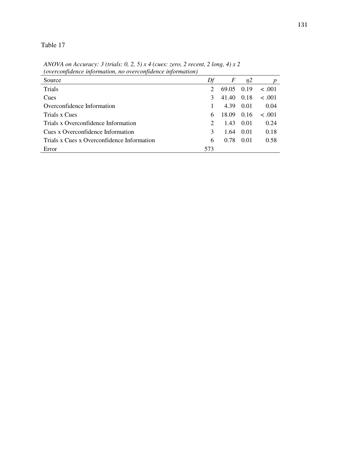Table 17

| Source                                     |                             | F      | n2   |        |
|--------------------------------------------|-----------------------------|--------|------|--------|
| Trials                                     |                             | 69.05  | 0.19 | < 0.01 |
| Cues                                       | 3                           | 41.40  | 0.18 | < 0.01 |
| Overconfidence Information                 |                             | 4.39   | 0.01 | 0.04   |
| Trials x Cues                              | 6                           | -18.09 | 0.16 | < .001 |
| Trials x Overconfidence Information        | $\mathcal{D}_{\mathcal{A}}$ | 1.43   | 0.01 | 0.24   |
| Cues x Overconfidence Information          | $\mathcal{F}$               | 1.64   | 0.01 | 0.18   |
| Trials x Cues x Overconfidence Information | 6                           | 0.78   | 0.01 | 0.58   |
| Error                                      | 573                         |        |      |        |

*ANOVA on Accuracy: 3 (trials: 0, 2, 5) x 4 (cues: zero, 2 recent, 2 long, 4) x 2 (overconfidence information, no overconfidence information)*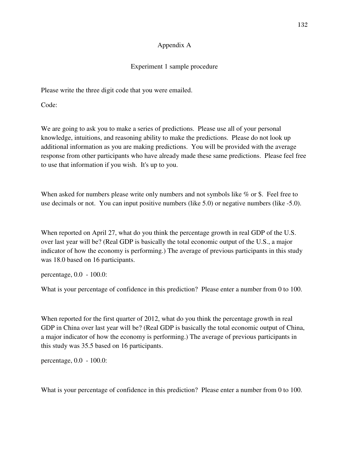### Appendix A

### Experiment 1 sample procedure

Please write the three digit code that you were emailed.

Code:

We are going to ask you to make a series of predictions. Please use all of your personal knowledge, intuitions, and reasoning ability to make the predictions. Please do not look up additional information as you are making predictions. You will be provided with the average response from other participants who have already made these same predictions. Please feel free to use that information if you wish. It's up to you.

When asked for numbers please write only numbers and not symbols like % or \$. Feel free to use decimals or not. You can input positive numbers (like 5.0) or negative numbers (like -5.0).

When reported on April 27, what do you think the percentage growth in real GDP of the U.S. over last year will be? (Real GDP is basically the total economic output of the U.S., a major indicator of how the economy is performing.) The average of previous participants in this study was 18.0 based on 16 participants.

percentage, 0.0 - 100.0:

What is your percentage of confidence in this prediction? Please enter a number from 0 to 100.

When reported for the first quarter of 2012, what do you think the percentage growth in real GDP in China over last year will be? (Real GDP is basically the total economic output of China, a major indicator of how the economy is performing.) The average of previous participants in this study was 35.5 based on 16 participants.

percentage, 0.0 - 100.0: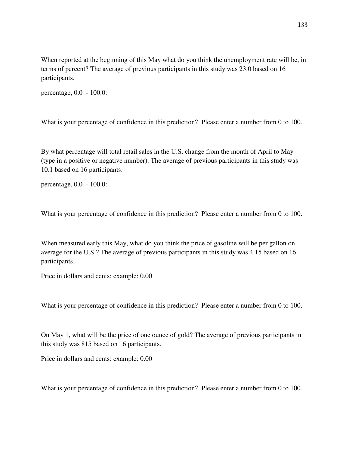When reported at the beginning of this May what do you think the unemployment rate will be, in terms of percent? The average of previous participants in this study was 23.0 based on 16 participants.

percentage, 0.0 - 100.0:

What is your percentage of confidence in this prediction? Please enter a number from 0 to 100.

By what percentage will total retail sales in the U.S. change from the month of April to May (type in a positive or negative number). The average of previous participants in this study was 10.1 based on 16 participants.

percentage, 0.0 - 100.0:

What is your percentage of confidence in this prediction? Please enter a number from 0 to 100.

When measured early this May, what do you think the price of gasoline will be per gallon on average for the U.S.? The average of previous participants in this study was 4.15 based on 16 participants.

Price in dollars and cents: example: 0.00

What is your percentage of confidence in this prediction? Please enter a number from 0 to 100.

On May 1, what will be the price of one ounce of gold? The average of previous participants in this study was 815 based on 16 participants.

Price in dollars and cents: example: 0.00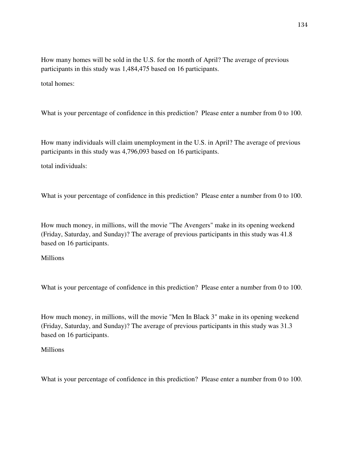How many homes will be sold in the U.S. for the month of April? The average of previous participants in this study was 1,484,475 based on 16 participants.

total homes:

What is your percentage of confidence in this prediction? Please enter a number from 0 to 100.

How many individuals will claim unemployment in the U.S. in April? The average of previous participants in this study was 4,796,093 based on 16 participants.

total individuals:

What is your percentage of confidence in this prediction? Please enter a number from 0 to 100.

How much money, in millions, will the movie "The Avengers" make in its opening weekend (Friday, Saturday, and Sunday)? The average of previous participants in this study was 41.8 based on 16 participants.

#### **Millions**

What is your percentage of confidence in this prediction? Please enter a number from 0 to 100.

How much money, in millions, will the movie "Men In Black 3" make in its opening weekend (Friday, Saturday, and Sunday)? The average of previous participants in this study was 31.3 based on 16 participants.

#### **Millions**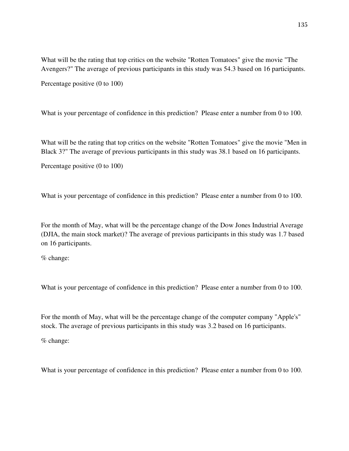What will be the rating that top critics on the website "Rotten Tomatoes" give the movie "The Avengers?" The average of previous participants in this study was 54.3 based on 16 participants.

Percentage positive (0 to 100)

What is your percentage of confidence in this prediction? Please enter a number from 0 to 100.

What will be the rating that top critics on the website "Rotten Tomatoes" give the movie "Men in Black 3?" The average of previous participants in this study was 38.1 based on 16 participants.

Percentage positive (0 to 100)

What is your percentage of confidence in this prediction? Please enter a number from 0 to 100.

For the month of May, what will be the percentage change of the Dow Jones Industrial Average (DJIA, the main stock market)? The average of previous participants in this study was 1.7 based on 16 participants.

% change:

What is your percentage of confidence in this prediction? Please enter a number from 0 to 100.

For the month of May, what will be the percentage change of the computer company "Apple's" stock. The average of previous participants in this study was 3.2 based on 16 participants.

% change: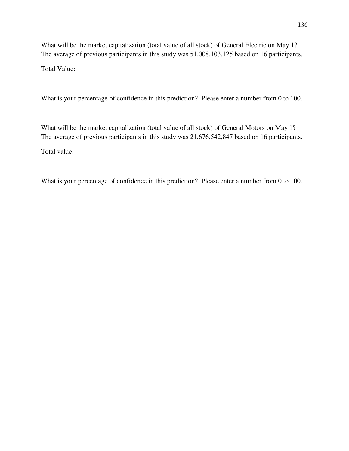What will be the market capitalization (total value of all stock) of General Electric on May 1? The average of previous participants in this study was 51,008,103,125 based on 16 participants.

Total Value:

What is your percentage of confidence in this prediction? Please enter a number from 0 to 100.

What will be the market capitalization (total value of all stock) of General Motors on May 1? The average of previous participants in this study was 21,676,542,847 based on 16 participants.

Total value: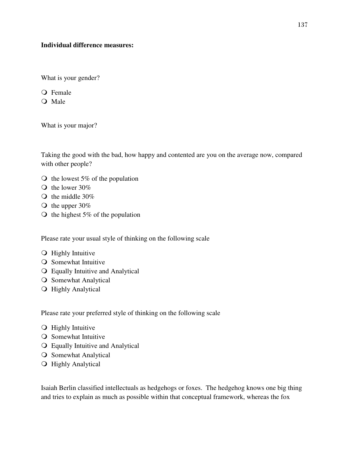#### **Individual difference measures:**

What is your gender?

Q Female

O Male

What is your major?

Taking the good with the bad, how happy and contented are you on the average now, compared with other people?

- $\circ$  the lowest 5% of the population
- $\bullet$  the lower 30%
- $\bigcirc$  the middle 30%
- $\bigcirc$  the upper 30%
- $\circ$  the highest 5% of the population

Please rate your usual style of thinking on the following scale

- **O** Highly Intuitive
- **O** Somewhat Intuitive
- Equally Intuitive and Analytical
- **O** Somewhat Analytical
- **O** Highly Analytical

Please rate your preferred style of thinking on the following scale

- **O** Highly Intuitive
- **O** Somewhat Intuitive
- Equally Intuitive and Analytical
- **O** Somewhat Analytical
- **O** Highly Analytical

Isaiah Berlin classified intellectuals as hedgehogs or foxes. The hedgehog knows one big thing and tries to explain as much as possible within that conceptual framework, whereas the fox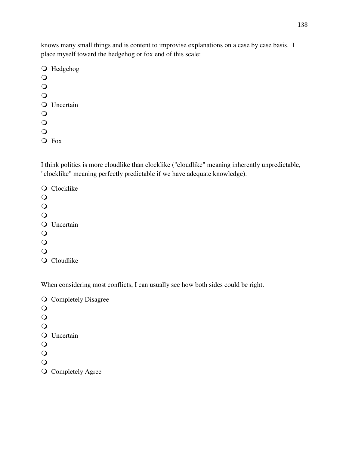knows many small things and is content to improvise explanations on a case by case basis. I place myself toward the hedgehog or fox end of this scale:

O Hedgehog  $\bigcirc$  $\bullet$  $\overline{O}$ **O** Uncertain  $\Omega$  $\overline{O}$  $\overline{O}$ Fox

I think politics is more cloudlike than clocklike ("cloudlike" meaning inherently unpredictable, "clocklike" meaning perfectly predictable if we have adequate knowledge).

Q Clocklike  $\overline{O}$  $\bullet$  $\Omega$ **O** Uncertain  $\bigcirc$  $\overline{O}$  $\Omega$ Q Cloudlike

When considering most conflicts, I can usually see how both sides could be right.

**Q** Completely Disagree  $\circ$  $\overline{O}$  $\bigcirc$ **O** Uncertain  $\bigcirc$  $\bigcirc$  $\bigcirc$ **O** Completely Agree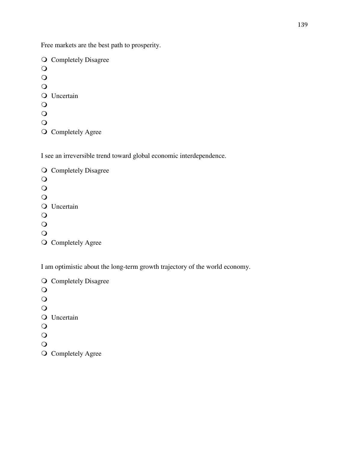Free markets are the best path to prosperity.

**Q** Completely Disagree  $\bigcirc$  $\overline{O}$  $\overline{O}$ **O** Uncertain  $\overline{O}$  $\circ$  $\overline{O}$ **O** Completely Agree

I see an irreversible trend toward global economic interdependence.

O Completely Disagree  $\bigcirc$  $\bullet$  $\overline{O}$ **O** Uncertain  $\bigcirc$  $\overline{O}$  $\bigcirc$ O Completely Agree

I am optimistic about the long-term growth trajectory of the world economy.

**Q** Completely Disagree  $\bullet$  $\overline{O}$  $\Omega$ Q Uncertain  $\bigcirc$  $\overline{O}$  $\bigcirc$ 

**O** Completely Agree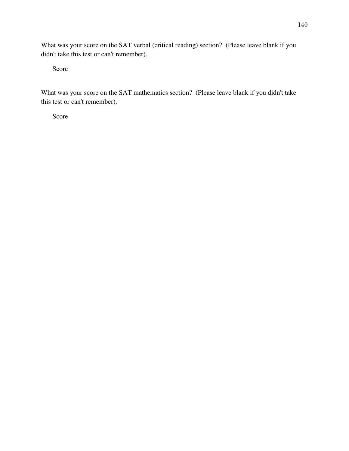What was your score on the SAT verbal (critical reading) section? (Please leave blank if you didn't take this test or can't remember).

Score

What was your score on the SAT mathematics section? (Please leave blank if you didn't take this test or can't remember).

Score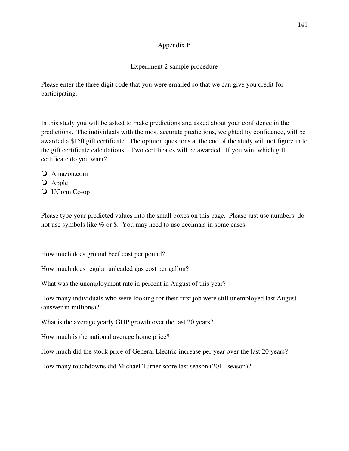### Appendix B

### Experiment 2 sample procedure

Please enter the three digit code that you were emailed so that we can give you credit for participating.

In this study you will be asked to make predictions and asked about your confidence in the predictions. The individuals with the most accurate predictions, weighted by confidence, will be awarded a \$150 gift certificate. The opinion questions at the end of the study will not figure in to the gift certificate calculations. Two certificates will be awarded. If you win, which gift certificate do you want?

- Amazon.com
- Q Apple
- UConn Co-op

Please type your predicted values into the small boxes on this page. Please just use numbers, do not use symbols like % or \$. You may need to use decimals in some cases.

How much does ground beef cost per pound?

How much does regular unleaded gas cost per gallon?

What was the unemployment rate in percent in August of this year?

How many individuals who were looking for their first job were still unemployed last August (answer in millions)?

What is the average yearly GDP growth over the last 20 years?

How much is the national average home price?

How much did the stock price of General Electric increase per year over the last 20 years?

How many touchdowns did Michael Turner score last season (2011 season)?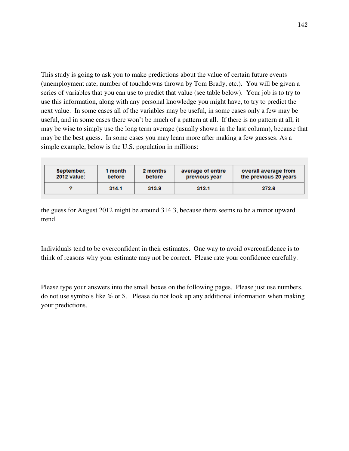This study is going to ask you to make predictions about the value of certain future events (unemployment rate, number of touchdowns thrown by Tom Brady, etc.). You will be given a series of variables that you can use to predict that value (see table below). Your job is to try to use this information, along with any personal knowledge you might have, to try to predict the next value. In some cases all of the variables may be useful, in some cases only a few may be useful, and in some cases there won't be much of a pattern at all. If there is no pattern at all, it may be wise to simply use the long term average (usually shown in the last column), because that may be the best guess. In some cases you may learn more after making a few guesses. As a simple example, below is the U.S. population in millions:

| September,         | 1 month | 2 months | average of entire | overall average from  |
|--------------------|---------|----------|-------------------|-----------------------|
| <b>2012 value:</b> | before  | before   | previous year     | the previous 20 years |
|                    | 314.1   | 313.9    | 312.1             | 272.6                 |

the guess for August 2012 might be around 314.3, because there seems to be a minor upward trend.

Individuals tend to be overconfident in their estimates. One way to avoid overconfidence is to think of reasons why your estimate may not be correct. Please rate your confidence carefully.

Please type your answers into the small boxes on the following pages. Please just use numbers, do not use symbols like % or \$. Please do not look up any additional information when making your predictions.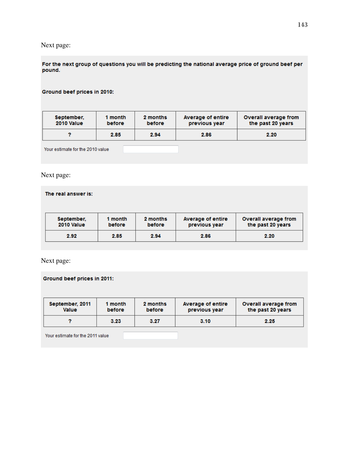# Next page:

For the next group of questions you will be predicting the national average price of ground beef per pound.

#### Ground beef prices in 2010:

| September, | 1 month | 2 months | Average of entire | Overall average from |
|------------|---------|----------|-------------------|----------------------|
| 2010 Value | before  | before   | previous year     | the past 20 years    |
|            | 2.85    | 2.94     | 2.86              | 2.20                 |

Your estimate for the 2010 value

### Next page:

#### The real answer is:

| September. | 1 month       | 2 months | Average of entire | <b>Overall average from</b> |
|------------|---------------|----------|-------------------|-----------------------------|
| 2010 Value | <b>before</b> | before   | previous year     | the past 20 years           |
| 2.92       | 2.85          | 2.94     | 2.86              | 2.20                        |

Next page:

#### Ground beef prices in 2011:

| September, 2011 | 1 month | 2 months | Average of entire | Overall average from |
|-----------------|---------|----------|-------------------|----------------------|
| <b>Value</b>    | before  | before   | previous year     | the past 20 years    |
|                 | 3.23    | 3.27     | 3.10              | 2.25                 |

Your estimate for the 2011 value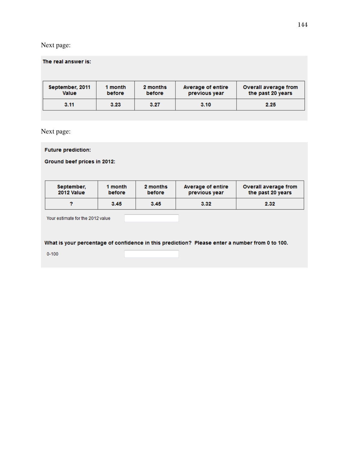## Next page:

| The real answer is:             |                   |                    |                                    |                                           |
|---------------------------------|-------------------|--------------------|------------------------------------|-------------------------------------------|
| September, 2011<br><b>Value</b> | 1 month<br>before | 2 months<br>before | Average of entire<br>previous year | Overall average from<br>the past 20 years |
| 3.11                            | 3.23              | 3.27               | 3.10                               | 2.25                                      |

Next page:

**Future prediction:** 

Ground beef prices in 2012:

| September. | 1 month | 2 months | Average of entire | Overall average from |
|------------|---------|----------|-------------------|----------------------|
| 2012 Value | before  | before   | previous year     | the past 20 years    |
|            | 3.45    | 3.45     | 3.32              | 2.32                 |

Your estimate for the 2012 value

What is your percentage of confidence in this prediction? Please enter a number from 0 to 100.

 $0 - 100$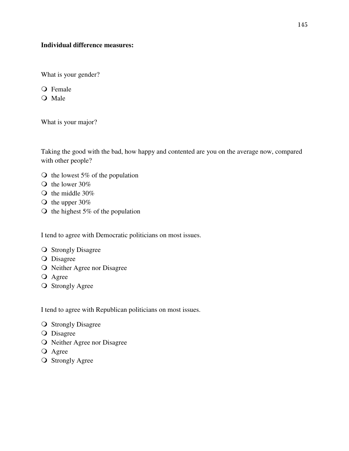## **Individual difference measures:**

What is your gender?

Female

O Male

What is your major?

Taking the good with the bad, how happy and contented are you on the average now, compared with other people?

- $\circ$  the lowest 5% of the population
- $\bigcirc$  the lower 30%
- $\circ$  the middle 30%
- $\circ$  the upper 30%
- $\bigcirc$  the highest 5% of the population

I tend to agree with Democratic politicians on most issues.

- **O** Strongly Disagree
- O Disagree
- O Neither Agree nor Disagree
- O Agree
- **O** Strongly Agree

I tend to agree with Republican politicians on most issues.

- **O** Strongly Disagree
- O Disagree
- O Neither Agree nor Disagree
- **O** Agree
- **O** Strongly Agree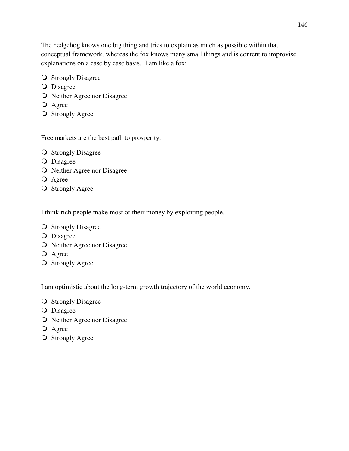The hedgehog knows one big thing and tries to explain as much as possible within that conceptual framework, whereas the fox knows many small things and is content to improvise explanations on a case by case basis. I am like a fox:

- **O** Strongly Disagree
- **O** Disagree
- O Neither Agree nor Disagree
- O Agree
- **O** Strongly Agree

Free markets are the best path to prosperity.

- **O** Strongly Disagree
- **O** Disagree
- O Neither Agree nor Disagree
- O Agree
- **O** Strongly Agree

I think rich people make most of their money by exploiting people.

- **O** Strongly Disagree
- **O** Disagree
- O Neither Agree nor Disagree
- **O** Agree
- **O** Strongly Agree

I am optimistic about the long-term growth trajectory of the world economy.

- **O** Strongly Disagree
- **O** Disagree
- O Neither Agree nor Disagree
- O Agree
- **O** Strongly Agree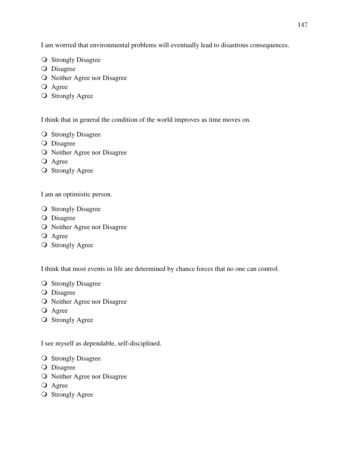I am worried that environmental problems will eventually lead to disastrous consequences.

- **O** Strongly Disagree
- O Disagree
- O Neither Agree nor Disagree
- **O** Agree
- **O** Strongly Agree

I think that in general the condition of the world improves as time moves on.

- **O** Strongly Disagree
- **O** Disagree
- O Neither Agree nor Disagree
- **O** Agree
- **O** Strongly Agree

I am an optimistic person.

- **O** Strongly Disagree
- **O** Disagree
- O Neither Agree nor Disagree
- O Agree
- **O** Strongly Agree

I think that most events in life are determined by chance forces that no one can control.

- **O** Strongly Disagree
- O Disagree
- O Neither Agree nor Disagree
- O Agree
- **O** Strongly Agree

I see myself as dependable, self-disciplined.

- **O** Strongly Disagree
- **O** Disagree
- O Neither Agree nor Disagree
- **O** Agree
- O Strongly Agree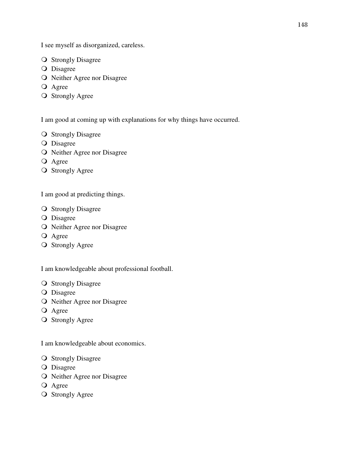I see myself as disorganized, careless.

- **O** Strongly Disagree
- **O** Disagree
- O Neither Agree nor Disagree
- O Agree
- **O** Strongly Agree

I am good at coming up with explanations for why things have occurred.

- **O** Strongly Disagree
- **O** Disagree
- O Neither Agree nor Disagree
- **O** Agree
- **O** Strongly Agree

I am good at predicting things.

- **O** Strongly Disagree
- **O** Disagree
- O Neither Agree nor Disagree
- O Agree
- **O** Strongly Agree

I am knowledgeable about professional football.

- **O** Strongly Disagree
- O Disagree
- O Neither Agree nor Disagree
- O Agree
- **O** Strongly Agree

I am knowledgeable about economics.

- **O** Strongly Disagree
- O Disagree
- O Neither Agree nor Disagree
- O Agree
- **O** Strongly Agree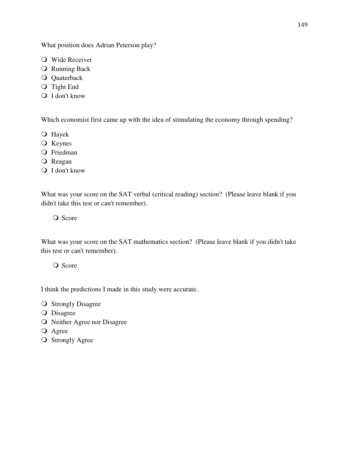What position does Adrian Peterson play?

- Wide Receiver
- **O** Running Back
- **Q** Quaterback
- O Tight End
- Q I don't know

Which economist first came up with the idea of stimulating the economy through spending?

- Hayek
- O Keynes
- O Friedman
- O Reagan
- Q I don't know

What was your score on the SAT verbal (critical reading) section? (Please leave blank if you didn't take this test or can't remember).

Q Score

What was your score on the SAT mathematics section? (Please leave blank if you didn't take this test or can't remember).

Q Score

I think the predictions I made in this study were accurate.

- **O** Strongly Disagree
- **O** Disagree
- O Neither Agree nor Disagree
- O Agree
- **O** Strongly Agree